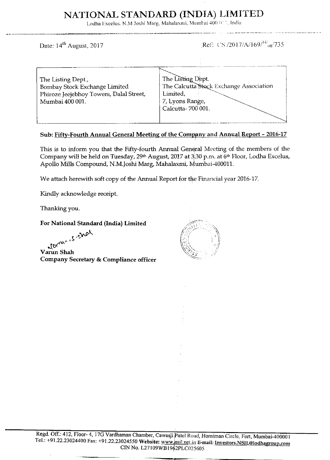# NATIONAL STANDARD (INDIA) LIMITED

Lodha Excelus, N.M Joshi Marg, Mahalaxmi, Mumbai 400 011, India

Date: 14<sup>th</sup> August, 2017

Ref: CS /2017/A/169/<sup>14/</sup><sub>08</sub>/735

| The Listing Dept.,<br>Bombay Stock Exchange Limited        | The Listing Dept.<br>The Calcutta Stock Exchange Association |
|------------------------------------------------------------|--------------------------------------------------------------|
| Phiroze Jeejebhoy Towers, Dalal Street,<br>Mumbai 400 001. | Limited,<br>7, Lyons Range,                                  |
|                                                            | Calcutta-700 001.                                            |
|                                                            |                                                              |

## Sub: Fifty-Fourth Annual General Meeting of the Company and Annual Report - 2016-17

This is to inform you that the Fifty-fourth Annual General Meeting of the members of the Company will be held on Tuesday, 29th August, 2017 at 3.30 p.m. at 6th Floor, Lodha Excelus, Apollo Mills Compound, N.M.Joshi Marg, Mahalaxmi, Mumbai-400011.

We attach herewith soft copy of the Annual Report for the Financial year 2016-17.

Kindly acknowledge receipt.

Thanking you.

## For National Standard (India) Limited

Maries, Shall

Varun Shah Company Secretary & Compliance officer

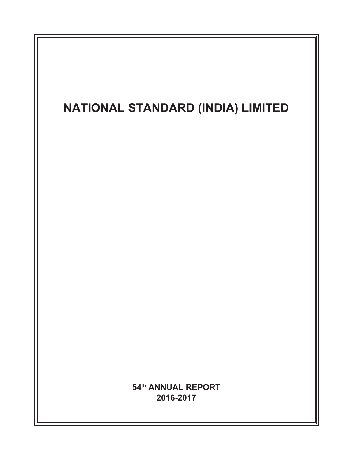# **NATIONAL STANDARD (INDIA) LIMITED 54th ANNUAL REPORT 2016-2017**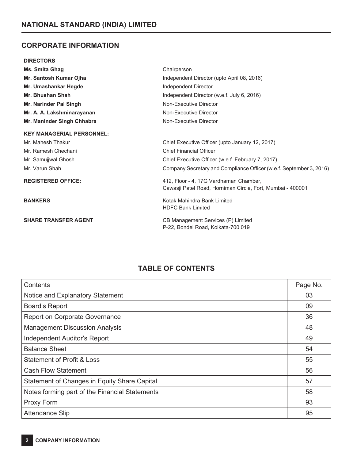# **CORPORATE INFORMATION**

## **DIRECTORS**

| Ms. Smita Ghag                   | Chairperson                                                                                          |
|----------------------------------|------------------------------------------------------------------------------------------------------|
| Mr. Santosh Kumar Ojha           | Independent Director (upto April 08, 2016)                                                           |
| Mr. Umashankar Hegde             | Independent Director                                                                                 |
| Mr. Bhushan Shah                 | Independent Director (w.e.f. July 6, 2016)                                                           |
| Mr. Narinder Pal Singh           | Non-Executive Director                                                                               |
| Mr. A. A. Lakshminarayanan       | Non-Executive Director                                                                               |
| Mr. Maninder Singh Chhabra       | Non-Executive Director                                                                               |
| <b>KEY MANAGERIAL PERSONNEL:</b> |                                                                                                      |
| Mr. Mahesh Thakur                | Chief Executive Officer (upto January 12, 2017)                                                      |
| Mr. Ramesh Chechani              | <b>Chief Financial Officer</b>                                                                       |
| Mr. Samujiwal Ghosh              | Chief Executive Officer (w.e.f. February 7, 2017)                                                    |
| Mr. Varun Shah                   | Company Secretary and Compliance Officer (w.e.f. September 3, 2016)                                  |
| <b>REGISTERED OFFICE:</b>        | 412, Floor - 4, 17G Vardhaman Chamber,<br>Cawasji Patel Road, Horniman Circle, Fort, Mumbai - 400001 |
| <b>BANKERS</b>                   | Kotak Mahindra Bank Limited<br><b>HDFC Bank Limited</b>                                              |
| <b>SHARE TRANSFER AGENT</b>      | CB Management Services (P) Limited<br>P-22, Bondel Road, Kolkata-700 019                             |

# **TABLE OF CONTENTS**

| Contents                                       | Page No. |
|------------------------------------------------|----------|
| Notice and Explanatory Statement               | 03       |
| <b>Board's Report</b>                          | 09       |
| Report on Corporate Governance                 | 36       |
| <b>Management Discussion Analysis</b>          | 48       |
| <b>Independent Auditor's Report</b>            | 49       |
| <b>Balance Sheet</b>                           | 54       |
| <b>Statement of Profit &amp; Loss</b>          | 55       |
| <b>Cash Flow Statement</b>                     | 56       |
| Statement of Changes in Equity Share Capital   | 57       |
| Notes forming part of the Financial Statements | 58       |
| Proxy Form                                     | 93       |
| <b>Attendance Slip</b>                         | 95       |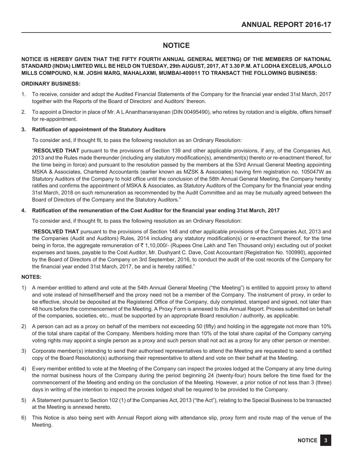# **NOTICE**

## **NOTICE IS HEREBY GIVEN THAT THE FIFTY FOURTH ANNUAL GENERAL MEETING) OF THE MEMBERS OF NATIONAL STANDARD (INDIA) LIMITED WILL BE HELD ON TUESDAY, 29th AUGUST, 2017, AT 3.30 P.M. AT LODHA EXCELUS, APOLLO MILLS COMPOUND, N.M. JOSHI MARG, MAHALAXMI, MUMBAI-400011 TO TRANSACT THE FOLLOWING BUSINESS:**

## **ORDINARY BUSINESS:**

- 1. To receive, consider and adopt the Audited Financial Statements of the Company for the financial year ended 31st March, 2017 together with the Reports of the Board of Directors' and Auditors' thereon.
- 2. To appoint a Director in place of Mr. A L Ananthanarayanan (DIN 00495490), who retires by rotation and is eligible, offers himself for re-appointment.

## **3. Ratification of appointment of the Statutory Auditors**

To consider and, if thought fit, to pass the following resolution as an Ordinary Resolution:

"**RESOLVED THAT** pursuant to the provisions of Section 139 and other applicable provisions, if any, of the Companies Act, 2013 and the Rules made thereunder (including any statutory modification(s), amendment(s) thereto or re-enactment thereof, for the time being in force) and pursuant to the resolution passed by the members at the 53rd Annual General Meeting appointing MSKA & Associates, Chartered Accountants (earlier known as MZSK & Associates) having firm registration no. 105047W as Statutory Auditors of the Company to hold office until the conclusion of the 58th Annual General Meeting, the Company hereby ratifies and confirms the appointment of MSKA & Associates, as Statutory Auditors of the Company for the financial year ending 31st March, 2018 on such remuneration as recommended by the Audit Committee and as may be mutually agreed between the Board of Directors of the Company and the Statutory Auditors."

## **4. Ratification of the remuneration of the Cost Auditor for the financial year ending 31st March, 2017**

To consider and, if thought fit, to pass the following resolution as an Ordinary Resolution:

"**RESOLVED THAT** pursuant to the provisions of Section 148 and other applicable provisions of the Companies Act, 2013 and the Companies (Audit and Auditors) Rules, 2014 including any statutory modification(s) or re-enactment thereof, for the time being in force, the aggregate remuneration of ₹1,10,000/- (Rupees One Lakh and Ten Thousand only) excluding out of pocket expenses and taxes, payable to the Cost Auditor, Mr. Dushyant C. Dave, Cost Accountant (Registration No. 100990), appointed by the Board of Directors of the Company on 3rd September, 2016, to conduct the audit of the cost records of the Company for the financial year ended 31st March, 2017, be and is hereby ratified."

## **NOTES:**

- 1) A member entitled to attend and vote at the 54th Annual General Meeting ("the Meeting") is entitled to appoint proxy to attend and vote instead of himself/herself and the proxy need not be a member of the Company. The instrument of proxy, in order to be effective, should be deposited at the Registered Office of the Company, duly completed, stamped and signed, not later than 48 hours before the commencement of the Meeting. A Proxy Form is annexed to this Annual Report. Proxies submitted on behalf of the companies, societies, etc., must be supported by an appropriate Board resolution / authority, as applicable.
- 2) A person can act as a proxy on behalf of the members not exceeding 50 (fifty) and holding in the aggregate not more than 10% of the total share capital of the Company. Members holding more than 10% of the total share capital of the Company carrying voting rights may appoint a single person as a proxy and such person shall not act as a proxy for any other person or member.
- 3) Corporate member(s) intending to send their authorised representatives to attend the Meeting are requested to send a certified copy of the Board Resolution(s) authorising their representative to attend and vote on their behalf at the Meeting.
- 4) Every member entitled to vote at the Meeting of the Company can inspect the proxies lodged at the Company at any time during the normal business hours of the Company during the period beginning 24 (twenty-four) hours before the time fixed for the commencement of the Meeting and ending on the conclusion of the Meeting. However, a prior notice of not less than 3 (three) days in writing of the intention to inspect the proxies lodged shall be required to be provided to the Company.
- 5) A Statement pursuant to Section 102 (1) of the Companies Act, 2013 ("the Act"), relating to the Special Business to be transacted at the Meeting is annexed hereto.
- 6) This Notice is also being sent with Annual Report along with attendance slip, proxy form and route map of the venue of the Meeting.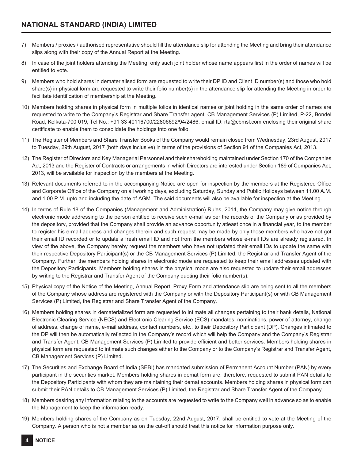- 7) Members / proxies / authorised representative should fill the attendance slip for attending the Meeting and bring their attendance slips along with their copy of the Annual Report at the Meeting.
- 8) In case of the joint holders attending the Meeting, only such joint holder whose name appears first in the order of names will be entitled to vote.
- 9) Members who hold shares in dematerialised form are requested to write their DP ID and Client ID number(s) and those who hold share(s) in physical form are requested to write their folio number(s) in the attendance slip for attending the Meeting in order to facilitate identification of membership at the Meeting.
- 10) Members holding shares in physical form in multiple folios in identical names or joint holding in the same order of names are requested to write to the Company's Registrar and Share Transfer agent, CB Management Services (P) Limited, P-22, Bondel Road, Kolkata-700 019, Tel No.: +91 33 40116700/22806692/94/2486, email ID: rta@cbmsl.com enclosing their original share certificate to enable them to consolidate the holdings into one folio.
- 11) The Register of Members and Share Transfer Books of the Company would remain closed from Wednesday, 23rd August, 2017 to Tuesday, 29th August, 2017 (both days inclusive) in terms of the provisions of Section 91 of the Companies Act, 2013.
- 12) The Register of Directors and Key Managerial Personnel and their shareholding maintained under Section 170 of the Companies Act, 2013 and the Register of Contracts or arrangements in which Directors are interested under Section 189 of Companies Act, 2013, will be available for inspection by the members at the Meeting.
- 13) Relevant documents referred to in the accompanying Notice are open for inspection by the members at the Registered Office and Corporate Office of the Company on all working days, excluding Saturday, Sunday and Public Holidays between 11.00 A.M. and 1.00 P.M. upto and including the date of AGM. The said documents will also be available for inspection at the Meeting.
- 14) In terms of Rule 18 of the Companies (Management and Administration) Rules, 2014, the Company may give notice through electronic mode addressing to the person entitled to receive such e-mail as per the records of the Company or as provided by the depository, provided that the Company shall provide an advance opportunity atleast once in a financial year, to the member to register his e-mail address and changes therein and such request may be made by only those members who have not got their email ID recorded or to update a fresh email ID and not from the members whose e-mail IDs are already registered. In view of the above, the Company hereby request the members who have not updated their email IDs to update the same with their respective Depository Participant(s) or the CB Management Services (P) Limited, the Registrar and Transfer Agent of the Company. Further, the members holding shares in electronic mode are requested to keep their email addresses updated with the Depository Participants. Members holding shares in the physical mode are also requested to update their email addresses by writing to the Registrar and Transfer Agent of the Company quoting their folio number(s).
- 15) Physical copy of the Notice of the Meeting, Annual Report, Proxy Form and attendance slip are being sent to all the members of the Company whose address are registered with the Company or with the Depository Participant(s) or with CB Management Services (P) Limited, the Registrar and Share Transfer Agent of the Company.
- 16) Members holding shares in dematerialized form are requested to intimate all changes pertaining to their bank details, National Electronic Clearing Service (NECS) and Electronic Clearing Service (ECS) mandates, nominations, power of attorney, change of address, change of name, e-mail address, contact numbers, etc., to their Depository Participant (DP). Changes intimated to the DP will then be automatically reflected in the Company's record which will help the Company and the Company's Registrar and Transfer Agent, CB Management Services (P) Limited to provide efficient and better services. Members holding shares in physical form are requested to intimate such changes either to the Company or to the Company's Registrar and Transfer Agent, CB Management Services (P) Limited.
- 17) The Securities and Exchange Board of India (SEBI) has mandated submission of Permanent Account Number (PAN) by every participant in the securities market. Members holding shares in demat form are, therefore, requested to submit PAN details to the Depository Participants with whom they are maintaining their demat accounts. Members holding shares in physical form can submit their PAN details to CB Management Services (P) Limited, the Registrar and Share Transfer Agent of the Company.
- 18) Members desiring any information relating to the accounts are requested to write to the Company well in advance so as to enable the Management to keep the information ready.
- 19) Members holding shares of the Company as on Tuesday, 22nd August, 2017, shall be entitled to vote at the Meeting of the Company. A person who is not a member as on the cut-off should treat this notice for information purpose only.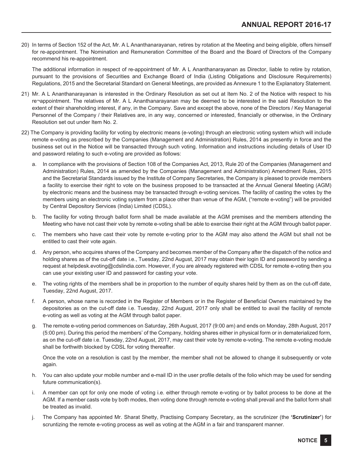20) In terms of Section 152 of the Act, Mr. A L Ananthanarayanan, retires by rotation at the Meeting and being eligible, offers himself for re-appointment. The Nomination and Remuneration Committee of the Board and the Board of Directors of the Company recommend his re-appointment.

The additional information in respect of re-appointment of Mr. A L Ananthanarayanan as Director, liable to retire by rotation, pursuant to the provisions of Securities and Exchange Board of India (Listing Obligations and Disclosure Requirements) Regulations, 2015 and the Secretarial Standard on General Meetings, are provided as Annexure 1 to the Explanatory Statement.

- 21) Mr. A L Ananthanarayanan is interested in the Ordinary Resolution as set out at Item No. 2 of the Notice with respect to his re¬appointment. The relatives of Mr. A L Ananthanarayanan may be deemed to be interested in the said Resolution to the extent of their shareholding interest, if any, in the Company. Save and except the above, none of the Directors / Key Managerial Personnel of the Company / their Relatives are, in any way, concerned or interested, financially or otherwise, in the Ordinary Resolution set out under Item No. 2.
- 22) The Company is providing facility for voting by electronic means (e-voting) through an electronic voting system which will include remote e-voting as prescribed by the Companies (Management and Administration) Rules, 2014 as presently in force and the business set out in the Notice will be transacted through such voting. Information and instructions including details of User ID and password relating to such e-voting are provided as follows:
	- a. In compliance with the provisions of Section 108 of the Companies Act, 2013, Rule 20 of the Companies (Management and Administration) Rules, 2014 as amended by the Companies (Management and Administration) Amendment Rules, 2015 and the Secretarial Standards issued by the Institute of Company Secretaries, the Company is pleased to provide members a facility to exercise their right to vote on the business proposed to be transacted at the Annual General Meeting (AGM) by electronic means and the business may be transacted through e-voting services. The facility of casting the votes by the members using an electronic voting system from a place other than venue of the AGM, ("remote e-voting") will be provided by Central Depository Services (India) Limited (CDSL).
	- b. The facility for voting through ballot form shall be made available at the AGM premises and the members attending the Meeting who have not cast their vote by remote e-voting shall be able to exercise their right at the AGM through ballot paper.
	- c. The members who have cast their vote by remote e-voting prior to the AGM may also attend the AGM but shall not be entitled to cast their vote again.
	- d. Any person, who acquires shares of the Company and becomes member of the Company after the dispatch of the notice and holding shares as of the cut-off date i.e., Tuesday, 22nd August, 2017 may obtain their login ID and password by sending a request at helpdesk.evoting@cdslindia.com. However, if you are already registered with CDSL for remote e-voting then you can use your existing user ID and password for casting your vote.
	- e. The voting rights of the members shall be in proportion to the number of equity shares held by them as on the cut-off date, Tuesday, 22nd August, 2017.
	- f. A person, whose name is recorded in the Register of Members or in the Register of Beneficial Owners maintained by the depositories as on the cut-off date i.e. Tuesday, 22nd August, 2017 only shall be entitled to avail the facility of remote e-voting as well as voting at the AGM through ballot paper.
	- g. The remote e-voting period commences on Saturday, 26th August, 2017 (9:00 am) and ends on Monday, 28th August, 2017 (5:00 pm). During this period the members' of the Company, holding shares either in physical form or in dematerialized form, as on the cut-off date i.e. Tuesday, 22nd August, 2017, may cast their vote by remote e-voting. The remote e-voting module shall be forthwith blocked by CDSL for voting thereafter.

Once the vote on a resolution is cast by the member, the member shall not be allowed to change it subsequently or vote again.

- h. You can also update your mobile number and e-mail ID in the user profile details of the folio which may be used for sending future communication(s).
- i. A member can opt for only one mode of voting i.e. either through remote e-voting or by ballot process to be done at the AGM. If a member casts vote by both modes, then voting done through remote e-voting shall prevail and the ballot form shall be treated as invalid.
- j. The Company has appointed Mr. Sharat Shetty, Practising Company Secretary, as the scrutinizer (the **'Scrutinizer'**) for scruntizing the remote e-voting process as well as voting at the AGM in a fair and transparent manner.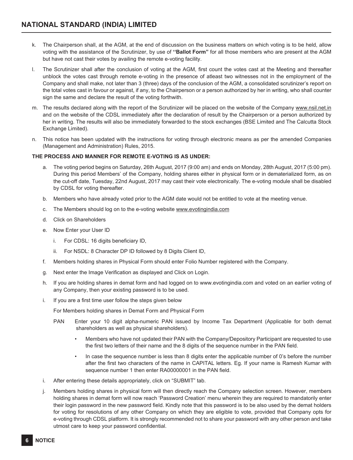- k. The Chairperson shall, at the AGM, at the end of discussion on the business matters on which voting is to be held, allow voting with the assistance of the Scrutinizer, by use of **''Ballot Form"** for all those members who are present at the AGM but have not cast their votes by availing the remote e-voting facility.
- l. The Scrutinizer shall after the conclusion of voting at the AGM, first count the votes cast at the Meeting and thereafter unblock the votes cast through remote e-voting in the presence of atleast two witnesses not in the employment of the Company and shall make, not later than 3 (three) days of the conclusion of the AGM, a consolidated scrutinizer's report on the total votes cast in favour or against, if any, to the Chairperson or a person authorized by her in writing, who shall counter sign the same and declare the result of the voting forthwith.
- m. The results declared along with the report of the Scrutinizer will be placed on the website of the Company www.nsil.net.in and on the website of the CDSL immediately after the declaration of result by the Chairperson or a person authorized by her in writing. The results will also be immediately forwarded to the stock exchanges (BSE Limited and The Calcutta Stock Exchange Limited).
- n. This notice has been updated with the instructions for voting through electronic means as per the amended Companies (Management and Administration) Rules, 2015.

## **THE PROCESS AND MANNER FOR REMOTE E-VOTING IS AS UNDER:**

- a. The voting period begins on Saturday, 26th August, 2017 (9:00 am) and ends on Monday, 28th August, 2017 (5:00 pm). During this period Members' of the Company, holding shares either in physical form or in dematerialized form, as on the cut-off date, Tuesday, 22nd August, 2017 may cast their vote electronically. The e-voting module shall be disabled by CDSL for voting thereafter.
- b. Members who have already voted prior to the AGM date would not be entitled to vote at the meeting venue.
- c. The Members should log on to the e-voting website www.evotingindia.com
- d. Click on Shareholders
- e. Now Enter your User ID
	- i. For CDSL: 16 digits beneficiary ID,
	- ii. For NSDL: 8 Character DP ID followed by 8 Digits Client ID,
- f. Members holding shares in Physical Form should enter Folio Number registered with the Company.
- g. Next enter the Image Verification as displayed and Click on Login.
- h. If you are holding shares in demat form and had logged on to www.evotingindia.com and voted on an earlier voting of any Company, then your existing password is to be used.
- i. If you are a first time user follow the steps given below

For Members holding shares in Demat Form and Physical Form

- PAN Enter your 10 digit alpha-numeric PAN issued by Income Tax Department (Applicable for both demat shareholders as well as physical shareholders).
	- Members who have not updated their PAN with the Company/Depository Participant are requested to use the first two letters of their name and the 8 digits of the sequence number in the PAN field.
	- In case the sequence number is less than 8 digits enter the applicable number of 0's before the number after the first two characters of the name in CAPITAL letters. Eg. If your name is Ramesh Kumar with sequence number 1 then enter RA00000001 in the PAN field.
- i. After entering these details appropriately, click on "SUBMIT" tab.
- j. Members holding shares in physical form will then directly reach the Company selection screen. However, members holding shares in demat form will now reach 'Password Creation' menu wherein they are required to mandatorily enter their login password in the new password field. Kindly note that this password is to be also used by the demat holders for voting for resolutions of any other Company on which they are eligible to vote, provided that Company opts for e-voting through CDSL platform. It is strongly recommended not to share your password with any other person and take utmost care to keep your password confidential.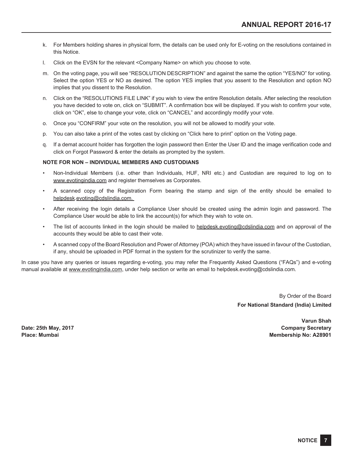- k. For Members holding shares in physical form, the details can be used only for E-voting on the resolutions contained in this Notice.
- l. Click on the EVSN for the relevant <Company Name> on which you choose to vote.
- m. On the voting page, you will see "RESOLUTION DESCRIPTION" and against the same the option "YES/NO" for voting. Select the option YES or NO as desired. The option YES implies that you assent to the Resolution and option NO implies that you dissent to the Resolution.
- n. Click on the "RESOLUTIONS FILE LINK" if you wish to view the entire Resolution details. After selecting the resolution you have decided to vote on, click on "SUBMIT". A confirmation box will be displayed. If you wish to confirm your vote, click on "OK", else to change your vote, click on "CANCEL" and accordingly modify your vote.
- o. Once you "CONFIRM" your vote on the resolution, you will not be allowed to modify your vote.
- p. You can also take a print of the votes cast by clicking on "Click here to print" option on the Voting page.
- q. If a demat account holder has forgotten the login password then Enter the User ID and the image verification code and click on Forgot Password & enter the details as prompted by the system.

## **NOTE FOR NON – INDIVIDUAL MEMBERS AND CUSTODIANS**

- Non-Individual Members (i.e. other than Individuals, HUF, NRI etc.) and Custodian are required to log on to www.evotingindia.com and register themselves as Corporates.
- A scanned copy of the Registration Form bearing the stamp and sign of the entity should be emailed to helpdesk.evoting@cdslindia.com.
- After receiving the login details a Compliance User should be created using the admin login and password. The Compliance User would be able to link the account(s) for which they wish to vote on.
- The list of accounts linked in the login should be mailed to helpdesk.evoting@cdslindia.com and on approval of the accounts they would be able to cast their vote.
- A scanned copy of the Board Resolution and Power of Attorney (POA) which they have issued in favour of the Custodian, if any, should be uploaded in PDF format in the system for the scrutinizer to verify the same.

In case you have any queries or issues regarding e-voting, you may refer the Frequently Asked Questions ("FAQs") and e-voting manual available at www.evotingindia.com, under help section or write an email to helpdesk.evoting@cdslindia.com.

> By Order of the Board **For National Standard (India) Limited**

**Varun Shah Date: 25th May, 2017 Company Secretary Place: Mumbai Membership No: A28901**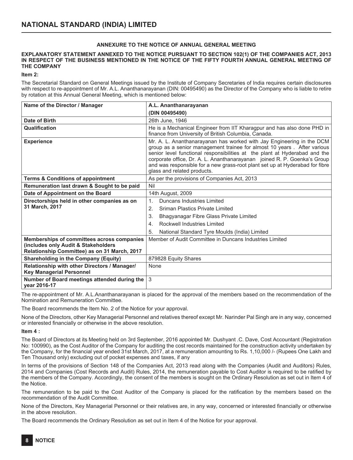## **ANNEXURE TO THE NOTICE OF ANNUAL GENERAL MEETING**

## **EXPLANATORY STATEMENT ANNEXED TO THE NOTICE PURSUANT TO SECTION 102(1) OF THE COMPANIES ACT, 2013 IN RESPECT OF THE BUSINESS MENTIONED IN THE NOTICE OF THE FIFTY FOURTH ANNUAL GENERAL MEETING OF THE COMPANY**

**Item 2:**

The Secretarial Standard on General Meetings issued by the Institute of Company Secretaries of India requires certain disclosures with respect to re-appointment of Mr. A.L. Ananthanarayanan (DIN: 00495490) as the Director of the Company who is liable to retire by rotation at this Annual General Meeting, which is mentioned below:

| Name of the Director / Manager                                                      | A.L. Ananthanarayanan                                                                                                                                                                                                                                                                                                                                                                                                     |  |  |  |
|-------------------------------------------------------------------------------------|---------------------------------------------------------------------------------------------------------------------------------------------------------------------------------------------------------------------------------------------------------------------------------------------------------------------------------------------------------------------------------------------------------------------------|--|--|--|
|                                                                                     | (DIN 00495490)                                                                                                                                                                                                                                                                                                                                                                                                            |  |  |  |
| Date of Birth                                                                       | 26th June, 1946                                                                                                                                                                                                                                                                                                                                                                                                           |  |  |  |
| Qualification                                                                       | He is a Mechanical Engineer from IIT Kharagpur and has also done PHD in<br>finance from University of British Columbia, Canada.                                                                                                                                                                                                                                                                                           |  |  |  |
| <b>Experience</b>                                                                   | Mr. A. L. Ananthanarayanan has worked with Jay Engineering in the DCM<br>group as a senior management trainee for almost 10 years. After various<br>senior level functional responsibilities at the plant at Hyderabad and the<br>corporate office, Dr. A. L. Ananthanarayanan joined R. P. Goenka's Group<br>and was responsible for a new grass-root plant set up at Hyderabad for fibre<br>glass and related products. |  |  |  |
| <b>Terms &amp; Conditions of appointment</b>                                        | As per the provisions of Companies Act, 2013                                                                                                                                                                                                                                                                                                                                                                              |  |  |  |
| Remuneration last drawn & Sought to be paid                                         | Nil                                                                                                                                                                                                                                                                                                                                                                                                                       |  |  |  |
| Date of Appointment on the Board                                                    | 14th August, 2009                                                                                                                                                                                                                                                                                                                                                                                                         |  |  |  |
| Directorships held in other companies as on                                         | Duncans Industries Limited<br>1 <sup>1</sup>                                                                                                                                                                                                                                                                                                                                                                              |  |  |  |
| 31 March, 2017                                                                      | Sriman Plastics Private Limited<br>2.                                                                                                                                                                                                                                                                                                                                                                                     |  |  |  |
|                                                                                     | Bhagyanagar Fibre Glass Private Limited<br>3.                                                                                                                                                                                                                                                                                                                                                                             |  |  |  |
|                                                                                     | Rockwell Industries Limited<br>4.                                                                                                                                                                                                                                                                                                                                                                                         |  |  |  |
|                                                                                     | National Standard Tyre Moulds (India) Limited<br>5.                                                                                                                                                                                                                                                                                                                                                                       |  |  |  |
| Memberships of committees across companies                                          | Member of Audit Committee in Duncans Industries Limited                                                                                                                                                                                                                                                                                                                                                                   |  |  |  |
| (includes only Audit & Stakeholders<br>Relationship Committee) as on 31 March, 2017 |                                                                                                                                                                                                                                                                                                                                                                                                                           |  |  |  |
| <b>Shareholding in the Company (Equity)</b>                                         | 879828 Equity Shares                                                                                                                                                                                                                                                                                                                                                                                                      |  |  |  |
| Relationship with other Directors / Manager/<br><b>Key Managerial Personnel</b>     | <b>None</b>                                                                                                                                                                                                                                                                                                                                                                                                               |  |  |  |
| Number of Board meetings attended during the<br>year 2016-17                        | 3                                                                                                                                                                                                                                                                                                                                                                                                                         |  |  |  |

The re-appointment of Mr. A.L.Ananthanarayanan is placed for the approval of the members based on the recommendation of the Nomination and Remuneration Committee.

The Board recommends the Item No. 2 of the Notice for your approval.

None of the Directors, other Key Managerial Personnel and relatives thereof except Mr. Narinder Pal Singh are in any way, concerned or interested financially or otherwise in the above resolution.

#### **Item 4 :**

The Board of Directors at its Meeting held on 3rd September, 2016 appointed Mr. Dushyant .C. Dave, Cost Accountant (Registration No: 100990), as the Cost Auditor of the Company for auditing the cost records maintained for the construction activity undertaken by the Company, for the financial year ended 31st March, 2017, at a remuneration amounting to Rs. 1,10,000 /- (Rupees One Lakh and Ten Thousand only) excluding out of pocket expenses and taxes, if any

In terms of the provisions of Section 148 of the Companies Act, 2013 read along with the Companies (Audit and Auditors) Rules, 2014 and Companies (Cost Records and Audit) Rules, 2014, the remuneration payable to Cost Auditor is required to be ratified by the members of the Company. Accordingly, the consent of the members is sought on the Ordinary Resolution as set out in Item 4 of the Notice.

The remuneration to be paid to the Cost Auditor of the Company is placed for the ratification by the members based on the recommendation of the Audit Committee.

None of the Directors, Key Managerial Personnel or their relatives are, in any way, concerned or interested financially or otherwise in the above resolution.

The Board recommends the Ordinary Resolution as set out in Item 4 of the Notice for your approval.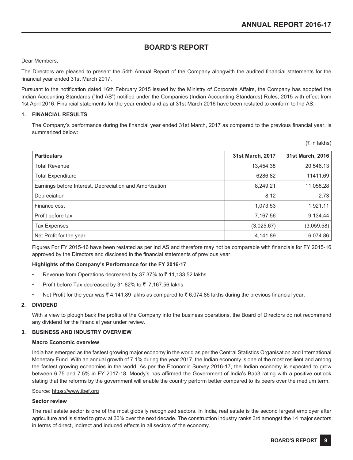# **BOARD'S REPORT**

## Dear Members,

The Directors are pleased to present the 54th Annual Report of the Company alongwith the audited financial statements for the financial year ended 31st March 2017.

Pursuant to the notification dated 16th February 2015 issued by the Ministry of Corporate Affairs, the Company has adopted the Indian Accounting Standards ("Ind AS") notified under the Companies (Indian Accounting Standards) Rules, 2015 with effect from 1st April 2016. Financial statements for the year ended and as at 31st March 2016 have been restated to conform to Ind AS.

## **1. FINANCIAL RESULTS**

The Company's performance during the financial year ended 31st March, 2017 as compared to the previous financial year, is summarized below:

|  |  | (₹ in lakhs) |  |
|--|--|--------------|--|
|--|--|--------------|--|

| <b>Particulars</b>                                      | 31st March, 2017 | 31st March, 2016 |
|---------------------------------------------------------|------------------|------------------|
| <b>Total Revenue</b>                                    | 13,454.38        | 20,546.13        |
| <b>Total Expenditure</b>                                | 6286.82          | 11411.69         |
| Earnings before Interest, Depreciation and Amortisation | 8,249.21         | 11,058.28        |
| Depreciation                                            | 8.12             | 2.73             |
| Finance cost                                            | 1,073.53         | 1.921.11         |
| Profit before tax                                       | 7,167.56         | 9,134.44         |
| <b>Tax Expenses</b>                                     | (3,025.67)       | (3,059.58)       |
| Net Profit for the year                                 | 4,141.89         | 6,074.86         |

Figures For FY 2015-16 have been restated as per Ind AS and therefore may not be comparable with financials for FY 2015-16 approved by the Directors and disclosed in the financial statements of previous year.

## **Highlights of the Company's Performance for the FY 2016-17**

- Revenue from Operations decreased by 37.37% to  $\bar{z}$  11,133.52 lakhs
- Profit before Tax decreased by 31.82% to  $\bar{z}$  7,167.56 lakhs
- Net Profit for the year was  $\bar{\tau}$  4,141.89 lakhs as compared to  $\bar{\tau}$  6,074.86 lakhs during the previous financial year.

## **2. DIVIDEND**

With a view to plough back the profits of the Company into the business operations, the Board of Directors do not recommend any dividend for the financial year under review.

## **3. BUSINESS AND INDUSTRY OVERVIEW**

#### **Macro Economic overview**

India has emerged as the fastest growing major economy in the world as per the Central Statistics Organisation and International Monetary Fund. With an annual growth of 7.1% during the year 2017, the Indian economy is one of the most resilient and among the fastest growing economies in the world. As per the Economic Survey 2016-17, the Indian economy is expected to grow between 6.75 and 7.5% in FY 2017-18. Moody's has affirmed the Government of India's Baa3 rating with a positive outlook stating that the reforms by the government will enable the country perform better compared to its peers over the medium term.

#### Source: https://www.ibef.org

## **Sector review**

The real estate sector is one of the most globally recognized sectors. In India, real estate is the second largest employer after agriculture and is slated to grow at 30% over the next decade. The construction industry ranks 3rd amongst the 14 major sectors in terms of direct, indirect and induced effects in all sectors of the economy.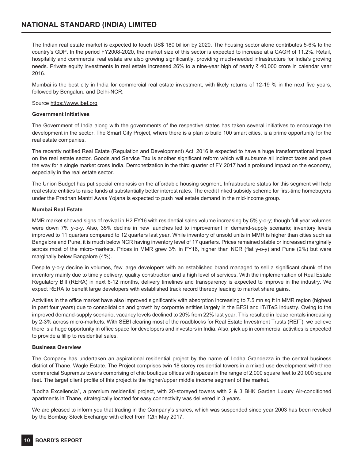# **NATIONAL STANDARD (INDIA) LIMITED**

The Indian real estate market is expected to touch US\$ 180 billion by 2020. The housing sector alone contributes 5-6% to the country's GDP. In the period FY2008-2020, the market size of this sector is expected to increase at a CAGR of 11.2%. Retail, hospitality and commercial real estate are also growing significantly, providing much-needed infrastructure for India's growing needs. Private equity investments in real estate increased 26% to a nine-year high of nearly  $\bar{\tau}$  40,000 crore in calendar year 2016.

Mumbai is the best city in India for commercial real estate investment, with likely returns of 12-19 % in the next five years, followed by Bengaluru and Delhi-NCR.

## Source https://www.ibef.org

## **Government Initiatives**

The Government of India along with the governments of the respective states has taken several initiatives to encourage the development in the sector. The Smart City Project, where there is a plan to build 100 smart cities, is a prime opportunity for the real estate companies.

The recently notified Real Estate (Regulation and Development) Act, 2016 is expected to have a huge transformational impact on the real estate sector. Goods and Service Tax is another significant reform which will subsume all indirect taxes and pave the way for a single market cross India. Demonetization in the third quarter of FY 2017 had a profound impact on the economy, especially in the real estate sector.

The Union Budget has put special emphasis on the affordable housing segment. Infrastructure status for this segment will help real estate entities to raise funds at substantially better interest rates. The credit linked subsidy scheme for first-time homebuyers under the Pradhan Mantri Awas Yojana is expected to push real estate demand in the mid-income group.

## **Mumbai Real Estate**

MMR market showed signs of revival in H2 FY16 with residential sales volume increasing by 5% y-o-y; though full year volumes were down 7% y-o-y. Also, 35% decline in new launches led to improvement in demand-supply scenario; inventory levels improved to 11 quarters compared to 12 quarters last year. While inventory of unsold units in MMR is higher than cities such as Bangalore and Pune, it is much below NCR having inventory level of 17 quarters. Prices remained stable or increased marginally across most of the micro-markets. Prices in MMR grew 3% in FY16, higher than NCR (flat y-o-y) and Pune (2%) but were marginally below Bangalore (4%).

Despite y-o-y decline in volumes, few large developers with an established brand managed to sell a significant chunk of the inventory mainly due to timely delivery, quality construction and a high level of services. With the implementation of Real Estate Regulatory Bill (RERA) in next 6-12 months, delivery timelines and transparency is expected to improve in the industry. We expect RERA to benefit large developers with established track record thereby leading to market share gains.

Activities in the office market have also improved significantly with absorption increasing to 7.5 mn sq ft in MMR region (highest in past four years) due to consolidation and growth by corporate entities largely in the BFSI and IT/ITeS industry. Owing to the improved demand-supply scenario, vacancy levels declined to 20% from 22% last year. This resulted in lease rentals increasing by 2-3% across micro-markets. With SEBI clearing most of the roadblocks for Real Estate Investment Trusts (REIT), we believe there is a huge opportunity in office space for developers and investors in India. Also, pick up in commercial activities is expected to provide a fillip to residential sales.

## **Business Overview**

The Company has undertaken an aspirational residential project by the name of Lodha Grandezza in the central business district of Thane, Wagle Estate. The Project comprises twin 18 storey residential towers in a mixed use development with three commercial Supremus towers comprising of chic boutique offices with spaces in the range of 2,000 square feet to 20,000 square feet. The target client profile of this project is the higher/upper middle income segment of the market.

"Lodha Excellencia", a premium residential project, with 20-storeyed towers with 2 & 3 BHK Garden Luxury Air-conditioned apartments in Thane, strategically located for easy connectivity was delivered in 3 years.

We are pleased to inform you that trading in the Company's shares, which was suspended since year 2003 has been revoked by the Bombay Stock Exchange with effect from 12th May 2017.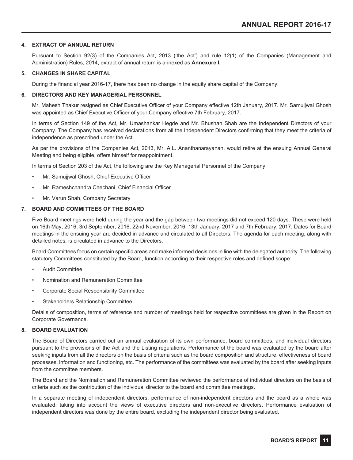## **4. EXTRACT OF ANNUAL RETURN**

Pursuant to Section 92(3) of the Companies Act, 2013 ('the Act') and rule 12(1) of the Companies (Management and Administration) Rules, 2014, extract of annual return is annexed as **Annexure I.**

#### **5. CHANGES IN SHARE CAPITAL**

During the financial year 2016-17, there has been no change in the equity share capital of the Company.

## **6. DIRECTORS AND KEY MANAGERIAL PERSONNEL**

Mr. Mahesh Thakur resigned as Chief Executive Officer of your Company effective 12th January, 2017. Mr. Samujjwal Ghosh was appointed as Chief Executive Officer of your Company effective 7th February, 2017.

In terms of Section 149 of the Act, Mr. Umashankar Hegde and Mr. Bhushan Shah are the Independent Directors of your Company. The Company has received declarations from all the Independent Directors confirming that they meet the criteria of independence as prescribed under the Act.

As per the provisions of the Companies Act, 2013, Mr. A.L. Ananthanarayanan, would retire at the ensuing Annual General Meeting and being eligible, offers himself for reappointment.

In terms of Section 203 of the Act, the following are the Key Managerial Personnel of the Company:

- Mr. Samujjwal Ghosh, Chief Executive Officer
- Mr. Rameshchandra Chechani, Chief Financial Officer
- Mr. Varun Shah, Company Secretary

## **7. BOARD AND COMMITTEES OF THE BOARD**

Five Board meetings were held during the year and the gap between two meetings did not exceed 120 days. These were held on 16th May, 2016, 3rd September, 2016, 22nd November, 2016, 13th January, 2017 and 7th February, 2017. Dates for Board meetings in the ensuing year are decided in advance and circulated to all Directors. The agenda for each meeting, along with detailed notes, is circulated in advance to the Directors.

Board Committees focus on certain specific areas and make informed decisions in line with the delegated authority. The following statutory Committees constituted by the Board, function according to their respective roles and defined scope:

- Audit Committee
- Nomination and Remuneration Committee
- Corporate Social Responsibility Committee
- Stakeholders Relationship Committee

Details of composition, terms of reference and number of meetings held for respective committees are given in the Report on Corporate Governance.

#### **8. BOARD EVALUATION**

The Board of Directors carried out an annual evaluation of its own performance, board committees, and individual directors pursuant to the provisions of the Act and the Listing regulations. Performance of the board was evaluated by the board after seeking inputs from all the directors on the basis of criteria such as the board composition and structure, effectiveness of board processes, information and functioning, etc. The performance of the committees was evaluated by the board after seeking inputs from the committee members.

The Board and the Nomination and Remuneration Committee reviewed the performance of individual directors on the basis of criteria such as the contribution of the individual director to the board and committee meetings.

In a separate meeting of independent directors, performance of non-independent directors and the board as a whole was evaluated, taking into account the views of executive directors and non-executive directors. Performance evaluation of independent directors was done by the entire board, excluding the independent director being evaluated.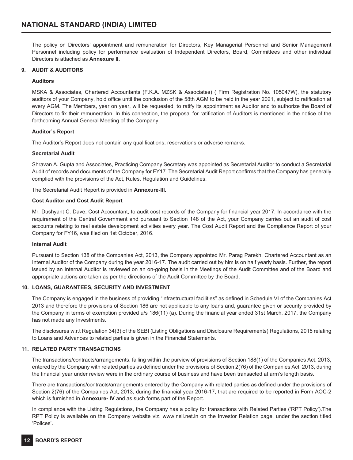The policy on Directors' appointment and remuneration for Directors, Key Managerial Personnel and Senior Management Personnel including policy for performance evaluation of Independent Directors, Board, Committees and other individual Directors is attached as **Annexure II.**

## **9. AUDIT & AUDITORS**

## **Auditors**

MSKA & Associates, Chartered Accountants (F.K.A. MZSK & Associates) ( Firm Registration No. 105047W), the statutory auditors of your Company, hold office until the conclusion of the 58th AGM to be held in the year 2021, subject to ratification at every AGM. The Members, year on year, will be requested, to ratify its appointment as Auditor and to authorize the Board of Directors to fix their remuneration. In this connection, the proposal for ratification of Auditors is mentioned in the notice of the forthcoming Annual General Meeting of the Company.

## **Auditor's Report**

The Auditor's Report does not contain any qualifications, reservations or adverse remarks.

## **Secretarial Audit**

Shravan A. Gupta and Associates, Practicing Company Secretary was appointed as Secretarial Auditor to conduct a Secretarial Audit of records and documents of the Company for FY17. The Secretarial Audit Report confirms that the Company has generally complied with the provisions of the Act, Rules, Regulation and Guidelines.

The Secretarial Audit Report is provided in **Annexure-III.**

## **Cost Auditor and Cost Audit Report**

Mr. Dushyant C. Dave, Cost Accountant, to audit cost records of the Company for financial year 2017. In accordance with the requirement of the Central Government and pursuant to Section 148 of the Act, your Company carries out an audit of cost accounts relating to real estate development activities every year. The Cost Audit Report and the Compliance Report of your Company for FY16, was filed on 1st October, 2016.

## **Internal Audit**

Pursuant to Section 138 of the Companies Act, 2013, the Company appointed Mr. Parag Parekh, Chartered Accountant as an Internal Auditor of the Company during the year 2016-17. The audit carried out by him is on half yearly basis. Further, the report issued by an Internal Auditor is reviewed on an on-going basis in the Meetings of the Audit Committee and of the Board and appropriate actions are taken as per the directions of the Audit Committee by the Board.

## **10. LOANS, GUARANTEES, SECURITY AND INVESTMENT**

The Company is engaged in the business of providing "infrastructural facilities" as defined in Schedule VI of the Companies Act 2013 and therefore the provisions of Section 186 are not applicable to any loans and, guarantee given or security provided by the Company in terms of exemption provided u/s 186(11) (a). During the financial year ended 31st March, 2017, the Company has not made any Investments.

The disclosures w.r.t Regulation 34(3) of the SEBI (Listing Obligations and Disclosure Requirements) Regulations, 2015 relating to Loans and Advances to related parties is given in the Financial Statements.

## **11. RELATED PARTY TRANSACTIONS**

The transactions/contracts/arrangements, falling within the purview of provisions of Section 188(1) of the Companies Act, 2013, entered by the Company with related parties as defined under the provisions of Section 2(76) of the Companies Act, 2013, during the financial year under review were in the ordinary course of business and have been transacted at arm's length basis.

There are transactions/contracts/arrangements entered by the Company with related parties as defined under the provisions of Section 2(76) of the Companies Act, 2013, during the financial year 2016-17, that are required to be reported in Form AOC-2 which is furnished in **Annexure- IV** and as such forms part of the Report.

In compliance with the Listing Regulations, the Company has a policy for transactions with Related Parties ('RPT Policy').The RPT Policy is available on the Company website viz. www.nsil.net.in on the Investor Relation page, under the section titled 'Polices'.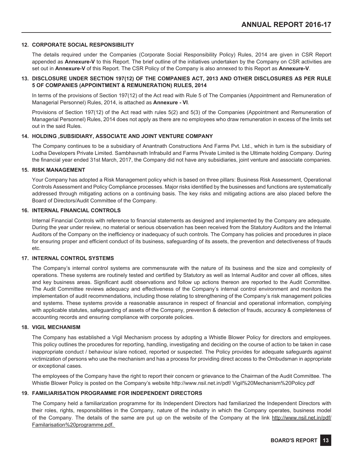## **12. CORPORATE SOCIAL RESPONSIBILITY**

The details required under the Companies (Corporate Social Responsibility Policy) Rules, 2014 are given in CSR Report appended as **Annexure-V** to this Report. The brief outline of the initiatives undertaken by the Company on CSR activities are set out in **Annexure-V** of this Report. The CSR Policy of the Company is also annexed to this Report as **Annexure-V**.

## **13. DISCLOSURE UNDER SECTION 197(12) OF THE COMPANIES ACT, 2013 AND OTHER DISCLOSURES AS PER RULE 5 OF COMPANIES (APPOINTMENT & REMUNERATION) RULES, 2014**

In terms of the provisions of Section 197(12) of the Act read with Rule 5 of The Companies (Appointment and Remuneration of Managerial Personnel) Rules, 2014, is attached as **Annexure - VI**.

Provisions of Section 197(12) of the Act read with rules 5(2) and 5(3) of the Companies (Appointment and Remuneration of Managerial Personnel) Rules, 2014 does not apply as there are no employees who draw remuneration in excess of the limits set out in the said Rules.

#### **14. HOLDING ,SUBSIDIARY, ASSOCIATE AND JOINT VENTURE COMPANY**

The Company continues to be a subsidiary of Anantnath Constructions And Farms Pvt. Ltd., which in turn is the subsidiary of Lodha Developers Private Limited. Sambhavnath Infrabuild and Farms Private Limited is the Ultimate holding Company. During the financial year ended 31st March, 2017, the Company did not have any subsidiaries, joint venture and associate companies.

#### **15. RISK MANAGEMENT**

Your Company has adopted a Risk Management policy which is based on three pillars: Business Risk Assessment, Operational Controls Assessment and Policy Compliance processes. Major risks identified by the businesses and functions are systematically addressed through mitigating actions on a continuing basis. The key risks and mitigating actions are also placed before the Board of Directors/Audit Committee of the Company.

## **16. INTERNAL FINANCIAL CONTROLS**

Internal Financial Controls with reference to financial statements as designed and implemented by the Company are adequate. During the year under review, no material or serious observation has been received from the Statutory Auditors and the Internal Auditors of the Company on the inefficiency or inadequacy of such controls. The Company has policies and procedures in place for ensuring proper and efficient conduct of its business, safeguarding of its assets, the prevention and detectiveness of frauds etc.

## **17. INTERNAL CONTROL SYSTEMS**

The Company's internal control systems are commensurate with the nature of its business and the size and complexity of operations. These systems are routinely tested and certified by Statutory as well as Internal Auditor and cover all offices, sites and key business areas. Significant audit observations and follow up actions thereon are reported to the Audit Committee. The Audit Committee reviews adequacy and effectiveness of the Company's internal control environment and monitors the implementation of audit recommendations, including those relating to strengthening of the Company's risk management policies and systems. These systems provide a reasonable assurance in respect of financial and operational information, complying with applicable statutes, safeguarding of assets of the Company, prevention & detection of frauds, accuracy & completeness of accounting records and ensuring compliance with corporate policies.

## **18. VIGIL MECHANISM**

The Company has established a Vigil Mechanism process by adopting a Whistle Blower Policy for directors and employees. This policy outlines the procedures for reporting, handling, investigating and deciding on the course of action to be taken in case inappropriate conduct / behaviour is/are noticed, reported or suspected. The Policy provides for adequate safeguards against victimization of persons who use the mechanism and has a process for providing direct access to the Ombudsman in appropriate or exceptional cases.

The employees of the Company have the right to report their concern or grievance to the Chairman of the Audit Committee. The Whistle Blower Policy is posted on the Company's website http://www.nsil.net.in/pdf/ Vigil%20Mechanism%20Policy.pdf

## **19. FAMILIARISATION PROGRAMME FOR INDEPENDENT DIRECTORS**

The Company held a familiarization programme for its Independent Directors had familiarized the Independent Directors with their roles, rights, responsibilities in the Company, nature of the industry in which the Company operates, business model of the Company. The details of the same are put up on the website of the Company at the link http://www.nsil.net.in/pdf/ Familarisation%20programme.pdf.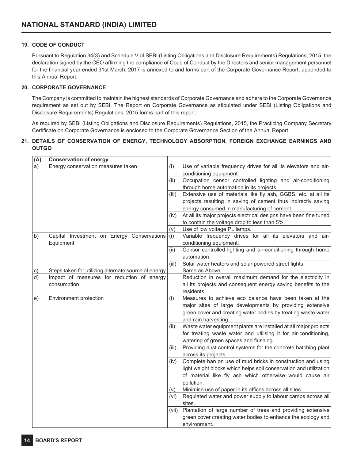## **19. CODE OF CONDUCT**

Pursuant to Regulation 34(3) and Schedule V of SEBI (Listing Obligations and Disclosure Requirements) Regulations, 2015, the declaration signed by the CEO affirming the compliance of Code of Conduct by the Directors and senior management personnel for the financial year ended 31st March, 2017 is annexed to and forms part of the Corporate Governance Report, appended to this Annual Report.

## **20. CORPORATE GOVERNANCE**

The Company is committed to maintain the highest standards of Corporate Governance and adhere to the Corporate Governance requirement as set out by SEBI. The Report on Corporate Governance as stipulated under SEBI (Listing Obligations and Disclosure Requirements) Regulations, 2015 forms part of this report.

As required by SEBI (Listing Obligations and Disclosure Requirements) Regulations, 2015, the Practicing Company Secretary Certificate on Corporate Governance is enclosed to the Corporate Governance Section of the Annual Report.

## **21. DETAILS OF CONSERVATION OF ENERGY, TECHNOLOGY ABSORPTION, FOREIGN EXCHANGE EARNINGS AND OUTGO**

| (A) | <b>Conservation of energy</b>                        |       |                                                                   |
|-----|------------------------------------------------------|-------|-------------------------------------------------------------------|
| a)  | Energy conservation measures taken                   | (i)   | Use of variable frequency drives for all its elevators and air-   |
|     |                                                      |       | conditioning equipment.                                           |
|     |                                                      | (ii)  | Occupation censor controlled lighting and air-conditioning        |
|     |                                                      |       | through home automation in its projects.                          |
|     |                                                      | (iii) | Extensive use of materials like fly ash, GGBS, etc. at all its    |
|     |                                                      |       | projects resulting in saving of cement thus indirectly saving     |
|     |                                                      |       | energy consumed in manufacturing of cement.                       |
|     |                                                      | (iv)  | At all its major projects electrical designs have been fine tuned |
|     |                                                      |       | to contain the voltage drop to less than 5%.                      |
|     |                                                      | (v)   | Use of low voltage PL lamps.                                      |
| b)  | Capital Investment on Energy Conservations           | (i)   | Variable frequency drives for all its elevators and air-          |
|     | Equipment                                            |       | conditioning equipment.                                           |
|     |                                                      | (ii)  | Censor controlled lighting and air-conditioning through home      |
|     |                                                      |       | automation.                                                       |
|     |                                                      | (iii) | Solar water heaters and solar powered street lights.              |
| c)  | Steps taken for utilizing alternate source of energy |       | Same as Above                                                     |
| d)  | Impact of measures for reduction of energy           |       | Reduction in overall maximum demand for the electricity in        |
|     | consumption                                          |       | all its projects and consequent energy saving benefits to the     |
|     |                                                      |       | residents.                                                        |
| e)  | Environment protection                               | (i)   | Measures to achieve eco balance have been taken at the            |
|     |                                                      |       | major sites of large developments by providing extensive          |
|     |                                                      |       | green cover and creating water bodies by treating waste water     |
|     |                                                      |       | and rain harvesting.                                              |
|     |                                                      | (ii)  | Waste water equipment plants are installed at all major projects  |
|     |                                                      |       | for treating waste water and utilising it for air-conditioning,   |
|     |                                                      |       | watering of green spaces and flushing.                            |
|     |                                                      | (iii) | Providing dust control systems for the concrete batching plant    |
|     |                                                      |       | across its projects.                                              |
|     |                                                      | (iv)  | Complete ban on use of mud bricks in construction and using       |
|     |                                                      |       | light weight blocks which helps soil conservation and utilization |
|     |                                                      |       | of material like fly ash which otherwise would cause air          |
|     |                                                      |       | pollution.                                                        |
|     |                                                      | (v)   | Minimise use of paper in its offices across all sites.            |
|     |                                                      | (vi)  | Regulated water and power supply to labour camps across all       |
|     |                                                      |       | sites.                                                            |
|     |                                                      | (vii) | Plantation of large number of trees and providing extensive       |
|     |                                                      |       | green cover creating water bodies to enhance the ecology and      |
|     |                                                      |       | environment.                                                      |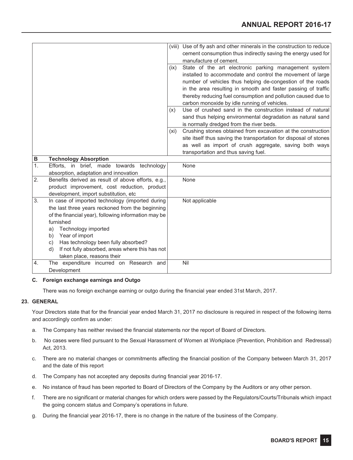|    |                                                       |      | (viii) Use of fly ash and other minerals in the construction to reduce |
|----|-------------------------------------------------------|------|------------------------------------------------------------------------|
|    |                                                       |      | cement consumption thus indirectly saving the energy used for          |
|    |                                                       |      | manufacture of cement.                                                 |
|    |                                                       | (ix) | State of the art electronic parking management system                  |
|    |                                                       |      | installed to accommodate and control the movement of large             |
|    |                                                       |      | number of vehicles thus helping de-congestion of the roads             |
|    |                                                       |      | in the area resulting in smooth and faster passing of traffic          |
|    |                                                       |      | thereby reducing fuel consumption and pollution caused due to          |
|    |                                                       |      | carbon monoxide by idle running of vehicles.                           |
|    |                                                       | (x)  | Use of crushed sand in the construction instead of natural             |
|    |                                                       |      | sand thus helping environmental degradation as natural sand            |
|    |                                                       |      | is normally dredged from the river beds.                               |
|    |                                                       | (xi) | Crushing stones obtained from excavation at the construction           |
|    |                                                       |      | site itself thus saving the transportation for disposal of stones      |
|    |                                                       |      | as well as import of crush aggregate, saving both ways                 |
|    |                                                       |      | transportation and thus saving fuel.                                   |
| B  | <b>Technology Absorption</b>                          |      |                                                                        |
| 1. | Efforts, in brief, made towards technology            |      | None                                                                   |
|    | absorption, adaptation and innovation                 |      |                                                                        |
| 2. | Benefits derived as result of above efforts, e.g.,    |      | None                                                                   |
|    | product improvement, cost reduction, product          |      |                                                                        |
|    | development, import substitution, etc                 |      |                                                                        |
| 3. | In case of imported technology (imported during       |      | Not applicable                                                         |
|    | the last three years reckoned from the beginning      |      |                                                                        |
|    | of the financial year), following information may be  |      |                                                                        |
|    | furnished                                             |      |                                                                        |
|    | Technology imported<br>a)                             |      |                                                                        |
|    | Year of import<br>b)                                  |      |                                                                        |
|    | Has technology been fully absorbed?<br>C)             |      |                                                                        |
|    | If not fully absorbed, areas where this has not<br>d) |      |                                                                        |
|    | taken place, reasons their                            |      |                                                                        |
| 4. | The expenditure incurred on Research and              |      | Nil                                                                    |
|    | Development                                           |      |                                                                        |

## **C. Foreign exchange earnings and Outgo**

There was no foreign exchange earning or outgo during the financial year ended 31st March, 2017.

## **23. GENERAL**

Your Directors state that for the financial year ended March 31, 2017 no disclosure is required in respect of the following items and accordingly confirm as under:

- a. The Company has neither revised the financial statements nor the report of Board of Directors.
- b. No cases were filed pursuant to the Sexual Harassment of Women at Workplace (Prevention, Prohibition and Redressal) Act, 2013.
- c. There are no material changes or commitments affecting the financial position of the Company between March 31, 2017 and the date of this report
- d. The Company has not accepted any deposits during financial year 2016-17.
- e. No instance of fraud has been reported to Board of Directors of the Company by the Auditors or any other person.
- f. There are no significant or material changes for which orders were passed by the Regulators/Courts/Tribunals which impact the going concern status and Company's operations in future.
- g. During the financial year 2016-17, there is no change in the nature of the business of the Company.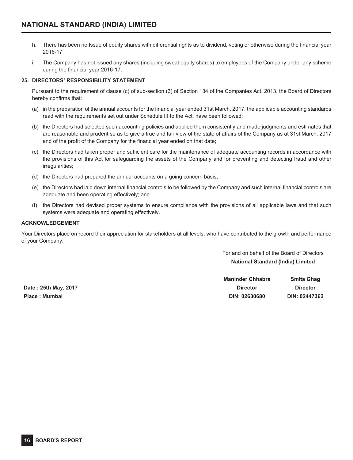- h. There has been no Issue of equity shares with differential rights as to dividend, voting or otherwise during the financial year 2016-17
- i. The Company has not issued any shares (including sweat equity shares) to employees of the Company under any scheme during the financial year 2016-17.

## **25. DIRECTORS' RESPONSIBILITY STATEMENT**

Pursuant to the requirement of clause (c) of sub-section (3) of Section 134 of the Companies Act, 2013, the Board of Directors hereby confirms that:

- (a) in the preparation of the annual accounts for the financial year ended 31st March, 2017, the applicable accounting standards read with the requirements set out under Schedule III to the Act, have been followed;
- (b) the Directors had selected such accounting policies and applied them consistently and made judgments and estimates that are reasonable and prudent so as to give a true and fair view of the state of affairs of the Company as at 31st March, 2017 and of the profit of the Company for the financial year ended on that date;
- (c) the Directors had taken proper and sufficient care for the maintenance of adequate accounting records in accordance with the provisions of this Act for safeguarding the assets of the Company and for preventing and detecting fraud and other irregularities;
- (d) the Directors had prepared the annual accounts on a going concern basis;
- (e) the Directors had laid down internal financial controls to be followed by the Company and such internal financial controls are adequate and been operating effectively; and
- (f) the Directors had devised proper systems to ensure compliance with the provisions of all applicable laws and that such systems were adequate and operating effectively.

## **ACKNOWLEDGEMENT**

Your Directors place on record their appreciation for stakeholders at all levels, who have contributed to the growth and performance of your Company.

> For and on behalf of the Board of Directors **National Standard (India) Limited**

**Maninder Chhabra Smita Ghag Date : 25th May, 2017 Director Director Place : Mumbai DIN: 02630680 DIN: 02447362**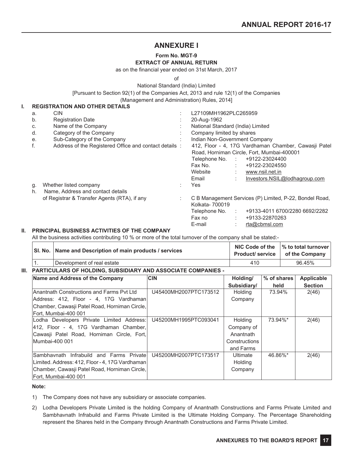# **ANNEXURE I**

# **Form No. MGT-9**

## **EXTRACT OF ANNUAL RETURN**

as on the financial year ended on 31st March, 2017

of

National Standard (India) Limited

[Pursuant to Section 92(1) of the Companies Act, 2013 and rule 12(1) of the Companies

(Management and Administration) Rules, 2014]

## **I. REGISTRATION AND OTHER DETAILS**

| a.       | <b>CIN</b>                                                                       | L27109MH1962PLC265959                                                                                                                                                                                                                                 |
|----------|----------------------------------------------------------------------------------|-------------------------------------------------------------------------------------------------------------------------------------------------------------------------------------------------------------------------------------------------------|
| b.       | <b>Registration Date</b>                                                         | 20-Aug-1962                                                                                                                                                                                                                                           |
| C.       | Name of the Company                                                              | National Standard (India) Limited                                                                                                                                                                                                                     |
| d.       | Category of the Company                                                          | Company limited by shares                                                                                                                                                                                                                             |
| e.       | Sub-Category of the Company                                                      | Indian Non-Government Company                                                                                                                                                                                                                         |
| f.<br>g. | Address of the Registered Office and contact details :<br>Whether listed company | 412, Floor - 4, 17G Vardhaman Chamber, Cawasji Patel<br>Road, Horniman Circle, Fort, Mumbai-400001<br>Telephone No. : +9122-23024400<br>Fax No.<br>+9122-23024550<br>÷<br>Website<br>www.nsil.net.in<br>Email<br>Investors.NSIL@lodhagroup.com<br>Yes |
| h.       | Name, Address and contact details                                                |                                                                                                                                                                                                                                                       |
|          | of Registrar & Transfer Agents (RTA), if any                                     | C B Management Services (P) Limited, P-22, Bondel Road,<br>Kolkata- 700019                                                                                                                                                                            |
|          |                                                                                  | +9133-4011 6700/2280 6692/2282<br>Telephone No.                                                                                                                                                                                                       |
|          |                                                                                  | +9133-22870263<br>Fax no<br>÷                                                                                                                                                                                                                         |
|          |                                                                                  | E-mail<br>rta@cbmsl.com                                                                                                                                                                                                                               |

## **II. PRINCIPAL BUSINESS ACTIVITIES OF THE COMPANY**

All the business activities contributing 10 % or more of the total turnover of the company shall be stated:-

| SI. No.   Name and Description of main products / services |     | NIC Code of the $\,$ $\,$ % to total turnover<br><b>Product/ service</b>   of the Company |
|------------------------------------------------------------|-----|-------------------------------------------------------------------------------------------|
| Development of real estate                                 | 410 | 96.45%                                                                                    |

## **III. PARTICULARS OF HOLDING, SUBSIDIARY AND ASSOCIATE COMPANIES -**

| Name and Address of the Company                 | <b>CIN</b>            | Holding/      | % of shares | Applicable     |
|-------------------------------------------------|-----------------------|---------------|-------------|----------------|
|                                                 |                       | Subsidiary/   | held        | <b>Section</b> |
| Anantnath Constructions and Farms Pvt Ltd       | U45400MH2007PTC173512 | Holding       | 73.94%      | 2(46)          |
| Address: 412. Floor - 4. 17G Vardhaman          |                       | Company       |             |                |
| Chamber, Cawasji Patel Road, Horniman Circle,   |                       |               |             |                |
| Fort. Mumbai-400 001                            |                       |               |             |                |
| Lodha Developers Private Limited Address:       | U45200MH1995PTC093041 | Holding       | 73.94%*     | 2(46)          |
| 412, Floor - 4, 17G Vardhaman Chamber,          |                       | Company of    |             |                |
| Cawasji Patel Road, Horniman Circle, Fort,      |                       | Anantnath     |             |                |
| Mumbai-400 001                                  |                       | Constructions |             |                |
|                                                 |                       | and Farms     |             |                |
| Sambhavnath Infrabuild and Farms Private        | U45200MH2007PTC173517 | Ultimate      | 46.86%*     | 2(46)          |
| Limited. Address: 412, Floor - 4, 17G Vardhaman |                       | Holding       |             |                |
| Chamber, Cawasji Patel Road, Horniman Circle,   |                       | Company       |             |                |
| Fort, Mumbai-400 001                            |                       |               |             |                |

## **Note:**

- 1) The Company does not have any subsidiary or associate companies.
- 2) Lodha Developers Private Limited is the holding Company of Anantnath Constructions and Farms Private Limited and Sambhavnath Infrabuild and Farms Private Limited is the Ultimate Holding Company. The Percentage Shareholding represent the Shares held in the Company through Anantnath Constructions and Farms Private Limited.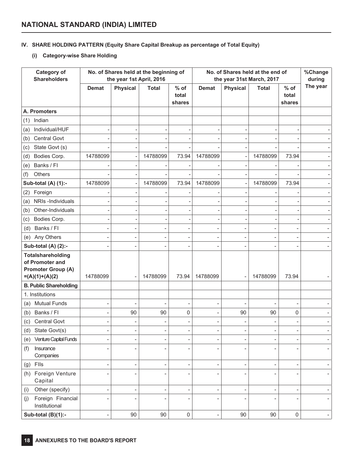## **IV. SHARE HOLDING PATTERN (Equity Share Capital Breakup as percentage of Total Equity)**

## **(i) Category-wise Share Holding**

| <b>Category of</b><br><b>Shareholders</b>                                                    | No. of Shares held at the beginning of<br>the year 1st April, 2016 |                          |                          | No. of Shares held at the end of<br>the year 31st March, 2017 |                   |                 |              | %Change<br>during         |          |
|----------------------------------------------------------------------------------------------|--------------------------------------------------------------------|--------------------------|--------------------------|---------------------------------------------------------------|-------------------|-----------------|--------------|---------------------------|----------|
|                                                                                              | <b>Demat</b>                                                       | <b>Physical</b>          | <b>Total</b>             | $%$ of<br>total<br>shares                                     | <b>Demat</b>      | <b>Physical</b> | <b>Total</b> | $%$ of<br>total<br>shares | The year |
| A. Promoters                                                                                 |                                                                    |                          |                          |                                                               |                   |                 |              |                           |          |
| Indian<br>(1)                                                                                |                                                                    |                          |                          |                                                               |                   |                 |              |                           |          |
| Individual/HUF<br>(a)                                                                        |                                                                    |                          |                          |                                                               |                   |                 |              |                           |          |
| Central Govt<br>(b)                                                                          |                                                                    |                          |                          |                                                               |                   |                 |              |                           |          |
| State Govt (s)<br>(c)                                                                        |                                                                    |                          |                          |                                                               |                   |                 |              |                           |          |
| Bodies Corp.<br>(d)                                                                          | 14788099                                                           |                          | 14788099                 | 73.94                                                         | 14788099          |                 | 14788099     | 73.94                     |          |
| Banks / Fl<br>(e)                                                                            |                                                                    |                          |                          |                                                               |                   |                 |              |                           |          |
| (f)<br>Others                                                                                |                                                                    |                          |                          |                                                               |                   |                 |              |                           |          |
| Sub-total (A) (1):-                                                                          | 14788099                                                           |                          | 14788099                 | 73.94                                                         | 14788099          |                 | 14788099     | 73.94                     |          |
| Foreign<br>(2)                                                                               |                                                                    |                          |                          |                                                               |                   |                 |              |                           |          |
| NRIs-Individuals<br>(a)                                                                      |                                                                    |                          |                          |                                                               |                   |                 |              |                           |          |
| Other-Individuals<br>(b)                                                                     |                                                                    |                          |                          |                                                               |                   |                 |              |                           |          |
| Bodies Corp.<br>(c)                                                                          |                                                                    |                          |                          | ٠                                                             |                   |                 |              |                           |          |
| Banks / Fl<br>(d)                                                                            |                                                                    |                          |                          |                                                               |                   |                 |              |                           |          |
| Any Others<br>(e)                                                                            |                                                                    |                          |                          | $\overline{a}$                                                |                   |                 |              | $\overline{\phantom{0}}$  |          |
| Sub-total (A) (2):-                                                                          |                                                                    | $\overline{\phantom{a}}$ |                          |                                                               |                   |                 |              |                           |          |
| <b>Totalshareholding</b><br>of Promoter and<br><b>Promoter Group (A)</b><br>$=(A)(1)+(A)(2)$ | 14788099                                                           |                          | 14788099                 | 73.94                                                         | 14788099          |                 | 14788099     | 73.94                     |          |
| <b>B. Public Shareholding</b>                                                                |                                                                    |                          |                          |                                                               |                   |                 |              |                           |          |
| 1. Institutions                                                                              |                                                                    |                          |                          |                                                               |                   |                 |              |                           |          |
| <b>Mutual Funds</b><br>(a)                                                                   |                                                                    | $\overline{\phantom{a}}$ |                          | $\overline{a}$                                                | $\overline{a}$    |                 |              | $\overline{\phantom{a}}$  |          |
| Banks / Fl<br>(b)                                                                            |                                                                    | 90                       | 90                       | 0                                                             | $\overline{a}$    | 90              | 90           | 0                         |          |
| <b>Central Govt</b><br>(c)                                                                   |                                                                    |                          |                          | ۰                                                             |                   |                 |              |                           |          |
| State Govt(s)<br>(d)                                                                         |                                                                    |                          |                          | ۰                                                             |                   |                 |              |                           |          |
| Venture Capital Funds<br>(e)                                                                 |                                                                    |                          | $\overline{a}$           | $\overline{a}$                                                |                   |                 |              | $\overline{a}$            |          |
| Insurance<br>(f)<br>Companies                                                                |                                                                    |                          |                          | ÷                                                             |                   |                 |              |                           |          |
| $(g)$ Flls                                                                                   | ÷                                                                  | $\overline{a}$           | -                        | $\qquad \qquad -$                                             | $\overline{a}$    | ÷               |              | $\overline{a}$            |          |
| Foreign Venture<br>(h)<br>Capital                                                            | -                                                                  |                          |                          | ÷,                                                            |                   |                 |              | -                         |          |
| Other (specify)<br>(i)                                                                       | L,                                                                 |                          | $\overline{\phantom{a}}$ | $\overline{\phantom{a}}$                                      |                   |                 |              | $\overline{a}$            |          |
| Foreign Financial<br>(j)<br>Institutional                                                    |                                                                    |                          |                          | ÷,                                                            |                   |                 |              | $\overline{\phantom{0}}$  |          |
| Sub-total (B)(1):-                                                                           | $\overline{a}$                                                     | 90                       | 90                       | $\mathsf 0$                                                   | $\qquad \qquad -$ | 90              | 90           | $\mathsf 0$               |          |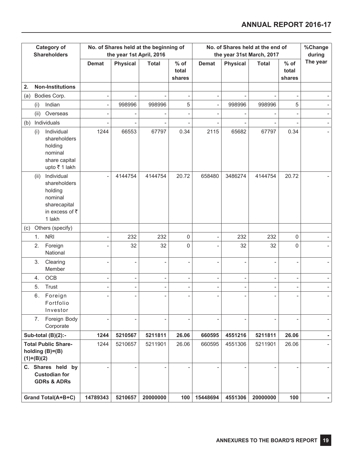| <b>Category of</b><br><b>Shareholders</b> |              |                                                                                              | the year 1st April, 2016 | No. of Shares held at the beginning of |                          | No. of Shares held at the end of<br>the year 31st March, 2017 |                          |                 |              | %Change<br>during         |          |
|-------------------------------------------|--------------|----------------------------------------------------------------------------------------------|--------------------------|----------------------------------------|--------------------------|---------------------------------------------------------------|--------------------------|-----------------|--------------|---------------------------|----------|
|                                           |              |                                                                                              | <b>Demat</b>             | <b>Physical</b>                        | <b>Total</b>             | $%$ of<br>total<br>shares                                     | <b>Demat</b>             | <b>Physical</b> | <b>Total</b> | $%$ of<br>total<br>shares | The year |
| 2.                                        |              | <b>Non-Institutions</b>                                                                      |                          |                                        |                          |                                                               |                          |                 |              |                           |          |
| (a)                                       |              | Bodies Corp.                                                                                 |                          |                                        |                          | $\overline{\phantom{a}}$                                      | $\overline{\phantom{a}}$ |                 |              |                           |          |
|                                           | (i)          | Indian                                                                                       | $\overline{a}$           | 998996                                 | 998996                   | 5                                                             | $\overline{\phantom{a}}$ | 998996          | 998996       | 5                         |          |
|                                           | (ii)         | Overseas                                                                                     |                          |                                        |                          | ÷                                                             |                          |                 |              |                           |          |
| (b)                                       |              | Individuals                                                                                  |                          |                                        |                          |                                                               |                          |                 |              |                           |          |
|                                           | (i)          | Individual<br>shareholders<br>holding<br>nominal<br>share capital<br>upto ₹1 lakh            | 1244                     | 66553                                  | 67797                    | 0.34                                                          | 2115                     | 65682           | 67797        | 0.34                      |          |
|                                           | (ii)         | Individual<br>shareholders<br>holding<br>nominal<br>sharecapital<br>in excess of ₹<br>1 lakh |                          | 4144754                                | 4144754                  | 20.72                                                         | 658480                   | 3486274         | 4144754      | 20.72                     |          |
| (c)                                       |              | Others (specify)                                                                             |                          |                                        |                          |                                                               |                          |                 |              |                           |          |
|                                           | 1.           | <b>NRI</b>                                                                                   |                          | 232                                    | 232                      | 0                                                             |                          | 232             | 232          | 0                         |          |
|                                           | 2.           | Foreign<br>National                                                                          |                          | 32                                     | 32                       | $\mathbf 0$                                                   |                          | 32              | 32           | 0                         |          |
|                                           | 3.           | Clearing<br>Member                                                                           |                          |                                        |                          | ÷                                                             |                          |                 |              |                           |          |
|                                           | 4.           | OCB                                                                                          |                          | ÷                                      | $\overline{\phantom{0}}$ | $\qquad \qquad \blacksquare$                                  | $\overline{\phantom{0}}$ | $\overline{a}$  |              | $\overline{\phantom{0}}$  |          |
|                                           | 5.           | Trust                                                                                        |                          |                                        |                          | $\qquad \qquad \blacksquare$                                  |                          |                 |              | ۰                         |          |
|                                           | 6.           | Foreign<br>Fortfolio<br>Investor                                                             |                          |                                        |                          | $\overline{a}$                                                |                          |                 |              |                           |          |
|                                           | 7.           | Foreign Body<br>Corporate                                                                    |                          |                                        |                          |                                                               |                          |                 |              |                           |          |
|                                           |              | Sub-total (B)(2):-                                                                           | 1244                     | 5210567                                | 5211811                  | 26.06                                                         | 660595                   | 4551216         | 5211811      | 26.06                     |          |
|                                           | $(1)+(B)(2)$ | <b>Total Public Share-</b><br>holding $(B)= (B)$                                             | 1244                     | 5210657                                | 5211901                  | 26.06                                                         | 660595                   | 4551306         | 5211901      | 26.06                     |          |
|                                           |              | C. Shares held by<br><b>Custodian for</b><br><b>GDRs &amp; ADRs</b>                          |                          |                                        |                          | $\overline{\phantom{a}}$                                      |                          |                 |              | 100                       |          |
|                                           |              | Grand Total(A+B+C)                                                                           | 14789343                 | 5210657                                | 20000000                 | 100                                                           | 15448694                 | 4551306         | 20000000     |                           |          |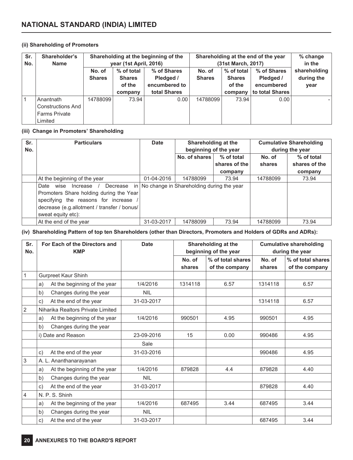## **(ii) Shareholding of Promoters**

| Sr.<br>No. | Shareholder's<br>Name                                                    | Shareholding at the beginning of the<br>year (1st April, 2016) |                                       |                                           |                         | Shareholding at the end of the year<br>(31st March, 2017) | % change<br>in the                     |                                    |
|------------|--------------------------------------------------------------------------|----------------------------------------------------------------|---------------------------------------|-------------------------------------------|-------------------------|-----------------------------------------------------------|----------------------------------------|------------------------------------|
|            |                                                                          | No. of<br><b>Shares</b>                                        | % of total<br><b>Shares</b><br>of the | % of Shares<br>Pledged /<br>encumbered to | No. of<br><b>Shares</b> | % of total<br><b>Shares</b><br>of the                     | % of Shares<br>Pledged /<br>encumbered | shareholding<br>during the<br>year |
|            |                                                                          |                                                                | company                               | total Shares                              |                         | company                                                   | to total Shares                        |                                    |
|            | Anantnath<br><b>Constructions And</b><br><b>Farms Private</b><br>Limited | 14788099                                                       | 73.94                                 | 0.00                                      | 14788099                | 73.94                                                     | 0.00                                   |                                    |

## **(iii) Change in Promoters' Shareholding**

| Sr.<br>No. | <b>Particulars</b>                                   | <b>Cumulative Shareholding</b><br>Shareholding at the<br><b>Date</b><br>beginning of the year<br>during the year |                                           |               |          |               |
|------------|------------------------------------------------------|------------------------------------------------------------------------------------------------------------------|-------------------------------------------|---------------|----------|---------------|
|            |                                                      |                                                                                                                  | No. of shares<br>% of total               |               | No. of   | % of total    |
|            |                                                      |                                                                                                                  |                                           | shares of the | shares   | shares of the |
|            |                                                      |                                                                                                                  |                                           | company       |          | company       |
|            | At the beginning of the year                         | 01-04-2016                                                                                                       | 14788099                                  | 73.94         | 14788099 | 73.94         |
|            | Date wise<br>Decrease<br>in <sub>1</sub><br>Increase |                                                                                                                  | No change in Shareholding during the year |               |          |               |
|            | Promoters Share holding during the Year              |                                                                                                                  |                                           |               |          |               |
|            | specifying the reasons for increase                  |                                                                                                                  |                                           |               |          |               |
|            | decrease (e.g.allotment / transfer / bonus/          |                                                                                                                  |                                           |               |          |               |
|            | sweat equity etc):                                   |                                                                                                                  |                                           |               |          |               |
|            | At the end of the year                               | 31-03-2017                                                                                                       | 14788099                                  | 73.94         | 14788099 | 73.94         |

(iv) Shareholding Pattern of top ten Shareholders (other than Directors, Promoters and Holders of GDRs and ADRs):

| Sr.<br>No.     | For Each of the Directors and<br><b>KMP</b> | <b>Date</b> | Shareholding at the<br>beginning of the year |                                     | <b>Cumulative shareholding</b><br>during the year |                                     |
|----------------|---------------------------------------------|-------------|----------------------------------------------|-------------------------------------|---------------------------------------------------|-------------------------------------|
|                |                                             |             | No. of<br>shares                             | % of total shares<br>of the company | No. of<br>shares                                  | % of total shares<br>of the company |
| $\mathbf{1}$   | Gurpreet Kaur Shinh                         |             |                                              |                                     |                                                   |                                     |
|                | At the beginning of the year<br>a)          | 1/4/2016    | 1314118                                      | 6.57                                | 1314118                                           | 6.57                                |
|                | Changes during the year<br>b)               | <b>NIL</b>  |                                              |                                     |                                                   |                                     |
|                | At the end of the year<br>$\mathsf{C}$ )    | 31-03-2017  |                                              |                                     | 1314118                                           | 6.57                                |
| $\overline{2}$ | Niharika Realtors Private Limited           |             |                                              |                                     |                                                   |                                     |
|                | At the beginning of the year<br>a)          | 1/4/2016    | 990501                                       | 4.95                                | 990501                                            | 4.95                                |
|                | Changes during the year<br>b)               |             |                                              |                                     |                                                   |                                     |
|                | i) Date and Reason                          | 23-09-2016  | 15                                           | 0.00                                | 990486                                            | 4.95                                |
|                |                                             | Sale        |                                              |                                     |                                                   |                                     |
|                | At the end of the year<br>$\mathsf{c})$     | 31-03-2016  |                                              |                                     | 990486                                            | 4.95                                |
| $\overline{3}$ | A. L. Ananthanarayanan                      |             |                                              |                                     |                                                   |                                     |
|                | At the beginning of the year<br>a)          | 1/4/2016    | 879828                                       | 4.4                                 | 879828                                            | 4.40                                |
|                | Changes during the year<br>b)               | <b>NIL</b>  |                                              |                                     |                                                   |                                     |
|                | At the end of the year<br>$\mathsf{C}$      | 31-03-2017  |                                              |                                     | 879828                                            | 4.40                                |
| $\overline{4}$ | N. P. S. Shinh                              |             |                                              |                                     |                                                   |                                     |
|                | At the beginning of the year<br>a)          | 1/4/2016    | 687495                                       | 3.44                                | 687495                                            | 3.44                                |
|                | Changes during the year<br>b)               | <b>NIL</b>  |                                              |                                     |                                                   |                                     |
|                | At the end of the year<br>$\mathsf{c})$     | 31-03-2017  |                                              |                                     | 687495                                            | 3.44                                |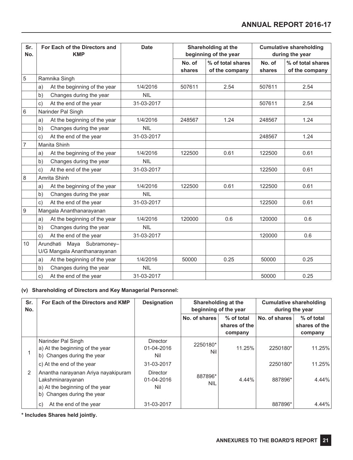| Sr.<br>No.       | For Each of the Directors and<br><b>Date</b><br>Shareholding at the<br>beginning of the year<br><b>KMP</b> |            |                  |                                     | <b>Cumulative shareholding</b><br>during the year |                                     |
|------------------|------------------------------------------------------------------------------------------------------------|------------|------------------|-------------------------------------|---------------------------------------------------|-------------------------------------|
|                  |                                                                                                            |            | No. of<br>shares | % of total shares<br>of the company | No. of<br>shares                                  | % of total shares<br>of the company |
| 5                | Ramnika Singh                                                                                              |            |                  |                                     |                                                   |                                     |
|                  | At the beginning of the year<br>a)                                                                         | 1/4/2016   | 507611           | 2.54                                | 507611                                            | 2.54                                |
|                  | Changes during the year<br>b)                                                                              | <b>NIL</b> |                  |                                     |                                                   |                                     |
|                  | At the end of the year<br>$\mathsf{C}$ )                                                                   | 31-03-2017 |                  |                                     | 507611                                            | 2.54                                |
| $6\phantom{a}$   | Narinder Pal Singh                                                                                         |            |                  |                                     |                                                   |                                     |
|                  | At the beginning of the year<br>a)                                                                         | 1/4/2016   | 248567           | 1.24                                | 248567                                            | 1.24                                |
|                  | b)<br>Changes during the year                                                                              | <b>NIL</b> |                  |                                     |                                                   |                                     |
|                  | At the end of the year<br>$\mathsf{C}$                                                                     | 31-03-2017 |                  |                                     | 248567                                            | 1.24                                |
| $\overline{7}$   | Manita Shinh                                                                                               |            |                  |                                     |                                                   |                                     |
|                  | At the beginning of the year<br>a)                                                                         | 1/4/2016   | 122500           | 0.61                                | 122500                                            | 0.61                                |
|                  | Changes during the year<br>b)                                                                              | <b>NIL</b> |                  |                                     |                                                   |                                     |
|                  | At the end of the year<br>$\mathsf{c})$                                                                    | 31-03-2017 |                  |                                     | 122500                                            | 0.61                                |
| $\,8\,$          | Amrita Shinh                                                                                               |            |                  |                                     |                                                   |                                     |
|                  | At the beginning of the year<br>a)                                                                         | 1/4/2016   | 122500           | 0.61                                | 122500                                            | 0.61                                |
|                  | b)<br>Changes during the year                                                                              | <b>NIL</b> |                  |                                     |                                                   |                                     |
|                  | At the end of the year<br>$\mathsf{c})$                                                                    | 31-03-2017 |                  |                                     | 122500                                            | 0.61                                |
| $\boldsymbol{9}$ | Mangala Ananthanarayanan                                                                                   |            |                  |                                     |                                                   |                                     |
|                  | At the beginning of the year<br>a)                                                                         | 1/4/2016   | 120000           | 0.6                                 | 120000                                            | 0.6                                 |
|                  | Changes during the year<br>b)                                                                              | <b>NIL</b> |                  |                                     |                                                   |                                     |
|                  | At the end of the year<br>$\mathsf{C}$ )                                                                   | 31-03-2017 |                  |                                     | 120000                                            | 0.6                                 |
| 10               | Maya Subramoney-<br>Arundhati<br>U/G Mangala Ananthanarayanan                                              |            |                  |                                     |                                                   |                                     |
|                  | At the beginning of the year<br>a)                                                                         | 1/4/2016   | 50000            | 0.25                                | 50000                                             | 0.25                                |
|                  | Changes during the year<br>b)                                                                              | <b>NIL</b> |                  |                                     |                                                   |                                     |
|                  | At the end of the year<br>c)                                                                               | 31-03-2017 |                  |                                     | 50000                                             | 0.25                                |

## **(v) Shareholding of Directors and Key Managerial Personnel:**

| Sr.<br>No. | For Each of the Directors and KMP                                                                                        | <b>Designation</b><br><b>Cumulative shareholding</b><br>Shareholding at the<br>beginning of the year<br>during the year |                       |                                        |               |                                        |
|------------|--------------------------------------------------------------------------------------------------------------------------|-------------------------------------------------------------------------------------------------------------------------|-----------------------|----------------------------------------|---------------|----------------------------------------|
|            |                                                                                                                          |                                                                                                                         | No. of shares         | % of total<br>shares of the<br>company | No. of shares | % of total<br>shares of the<br>company |
|            | Narinder Pal Singh<br>a) At the beginning of the year<br>b) Changes during the year                                      | Director<br>01-04-2016<br>Nil                                                                                           | 2250180*<br>Nil       | 11.25%                                 | 2250180*      | 11.25%                                 |
|            | c) At the end of the year                                                                                                | 31-03-2017                                                                                                              |                       |                                        | 2250180*      | 11.25%                                 |
| 2          | Anantha narayanan Ariya nayakipuram<br>Lakshminarayanan<br>a) At the beginning of the year<br>b) Changes during the year | <b>Director</b><br>01-04-2016<br>Nil                                                                                    | 887896*<br><b>NIL</b> | 4.44%                                  | 887896*       | 4.44%                                  |
|            | At the end of the year<br>$\mathsf{C}$                                                                                   | 31-03-2017                                                                                                              |                       |                                        | 887896*       | 4.44%                                  |

**\* Includes Shares held jointly.**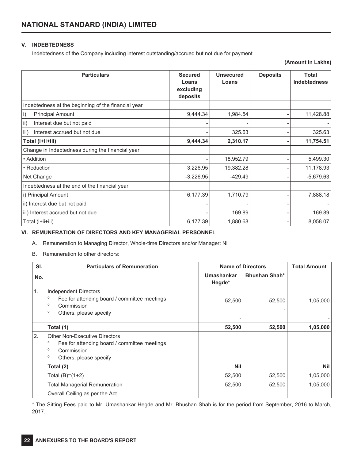## **V. INDEBTEDNESS**

Indebtedness of the Company including interest outstanding/accrued but not due for payment

**(Amount in Lakhs)**

| <b>Particulars</b>                                  | <b>Secured</b><br>Loans<br>excluding<br>deposits | <b>Unsecured</b><br>Loans | <b>Deposits</b> | <b>Total</b><br><b>Indebtedness</b> |
|-----------------------------------------------------|--------------------------------------------------|---------------------------|-----------------|-------------------------------------|
| Indebtedness at the beginning of the financial year |                                                  |                           |                 |                                     |
| <b>Principal Amount</b><br>$\vert i \rangle$        | 9,444.34                                         | 1,984.54                  |                 | 11,428.88                           |
| $\vert$ ii)<br>Interest due but not paid            |                                                  |                           |                 |                                     |
| iii)<br>Interest accrued but not due                |                                                  | 325.63                    |                 | 325.63                              |
| Total (i+ii+iii)                                    | 9,444.34                                         | 2,310.17                  | ۰               | 11,754.51                           |
| Change in Indebtedness during the financial year    |                                                  |                           |                 |                                     |
| • Addition                                          |                                                  | 18,952.79                 |                 | 5,499.30                            |
| • Reduction                                         | 3,226.95                                         | 19,382.28                 |                 | 11,178.93                           |
| Net Change                                          | $-3,226.95$                                      | $-429.49$                 |                 | $-5,679.63$                         |
| Indebtedness at the end of the financial year       |                                                  |                           |                 |                                     |
| i) Principal Amount                                 | 6,177.39                                         | 1,710.79                  |                 | 7,888.18                            |
| ii) Interest due but not paid                       |                                                  |                           |                 |                                     |
| iii) Interest accrued but not due                   |                                                  | 169.89                    |                 | 169.89                              |
| Total (i+ii+iii)                                    | 6,177.39                                         | 1,880.68                  |                 | 8,058.07                            |

## **VI. REMUNERATION OF DIRECTORS AND KEY MANAGERIAL PERSONNEL**

A. Remuneration to Managing Director, Whole-time Directors and/or Manager: Nil

B. Remuneration to other directors:

| SI. | <b>Particulars of Remuneration</b>                                                                                                                            |                      | <b>Name of Directors</b> | <b>Total Amount</b> |
|-----|---------------------------------------------------------------------------------------------------------------------------------------------------------------|----------------------|--------------------------|---------------------|
| No. |                                                                                                                                                               | Umashankar<br>Hegde* | <b>Bhushan Shah*</b>     |                     |
| 1.  | Independent Directors                                                                                                                                         |                      |                          |                     |
|     | $\circ$<br>Fee for attending board / committee meetings                                                                                                       | 52,500               | 52,500                   | 1,05,000            |
|     | $\circ$<br>Commission<br>$\circ$                                                                                                                              |                      |                          |                     |
|     | Others, please specify                                                                                                                                        |                      |                          |                     |
|     | Total (1)                                                                                                                                                     | 52,500               | 52,500                   | 1,05,000            |
| 2.  | <b>Other Non-Executive Directors</b><br>$\circ$<br>Fee for attending board / committee meetings<br>$\circ$<br>Commission<br>$\circ$<br>Others, please specify |                      |                          |                     |
|     | Total (2)                                                                                                                                                     | <b>Nil</b>           |                          | <b>Nil</b>          |
|     | Total $(B)=(1+2)$                                                                                                                                             | 52,500               | 52,500                   | 1,05,000            |
|     | <b>Total Managerial Remuneration</b>                                                                                                                          | 52,500               | 52,500                   | 1,05,000            |
|     | Overall Ceiling as per the Act                                                                                                                                |                      |                          |                     |

\* The Sitting Fees paid to Mr. Umashankar Hegde and Mr. Bhushan Shah is for the period from September, 2016 to March, 2017.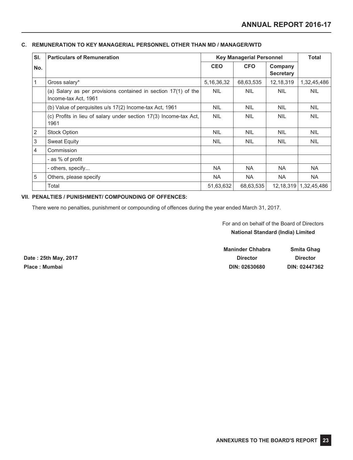## **C. REMUNERATION TO KEY MANAGERIAL PERSONNEL OTHER THAN MD / MANAGER/WTD**

| SI. | <b>Particulars of Remuneration</b>                                                     |               | <b>Key Managerial Personnel</b> |                             | <b>Total</b> |
|-----|----------------------------------------------------------------------------------------|---------------|---------------------------------|-----------------------------|--------------|
| No. |                                                                                        | <b>CEO</b>    | <b>CFO</b>                      | Company<br><b>Secretary</b> |              |
|     | Gross salary*                                                                          | 5, 16, 36, 32 | 68,63,535                       | 12, 18, 319                 | 1,32,45,486  |
|     | (a) Salary as per provisions contained in section 17(1) of the<br>Income-tax Act, 1961 | <b>NIL</b>    | <b>NIL</b>                      | <b>NIL</b>                  | <b>NIL</b>   |
|     | (b) Value of perquisites u/s 17(2) Income-tax Act, 1961                                | <b>NIL</b>    | <b>NIL</b>                      | <b>NIL</b>                  | <b>NIL</b>   |
|     | (c) Profits in lieu of salary under section 17(3) Income-tax Act,<br>1961              | <b>NIL</b>    | <b>NIL</b>                      | <b>NIL</b>                  | <b>NIL</b>   |
| 2   | <b>Stock Option</b>                                                                    | <b>NIL</b>    | <b>NIL</b>                      | <b>NIL</b>                  | <b>NIL</b>   |
| 3   | <b>Sweat Equity</b>                                                                    | <b>NIL</b>    | <b>NIL</b>                      | <b>NIL</b>                  | <b>NIL</b>   |
| 4   | Commission                                                                             |               |                                 |                             |              |
|     | - as % of profit                                                                       |               |                                 |                             |              |
|     | - others, specify                                                                      | <b>NA</b>     | NA.                             | NA.                         | <b>NA</b>    |
| 5   | Others, please specify                                                                 | <b>NA</b>     | <b>NA</b>                       | NA.                         | NA.          |
|     | Total                                                                                  | 51,63,632     | 68,63,535                       | 12, 18, 319                 | 1,32,45,486  |

## **VII. PENALTIES / PUNISHMENT/ COMPOUNDING OF OFFENCES:**

There were no penalties, punishment or compounding of offences during the year ended March 31, 2017.

For and on behalf of the Board of Directors **National Standard (India) Limited**

|                      | <b>Maninder Chhabra</b> | Smita Ghag      |
|----------------------|-------------------------|-----------------|
| Date: 25th May, 2017 | <b>Director</b>         | <b>Director</b> |
| Place : Mumbai       | DIN: 02630680           | DIN: 02447362   |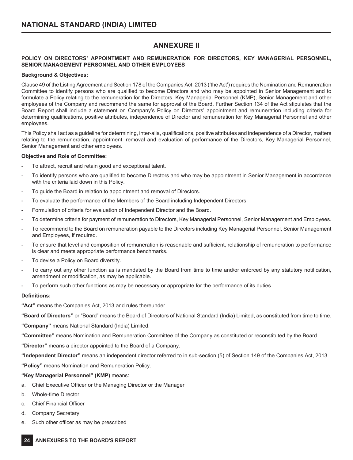# **ANNEXURE II**

## **POLICY ON DIRECTORS' APPOINTMENT AND REMUNERATION FOR DIRECTORS, KEY MANAGERIAL PERSONNEL, SENIOR MANAGEMENT PERSONNEL AND OTHER EMPLOYEES**

## **Background & Objectives:**

Clause 49 of the Listing Agreement and Section 178 of the Companies Act, 2013 ('the Act') requires the Nomination and Remuneration Committee to identify persons who are qualified to become Directors and who may be appointed in Senior Management and to formulate a Policy relating to the remuneration for the Directors, Key Managerial Personnel (KMP), Senior Management and other employees of the Company and recommend the same for approval of the Board. Further Section 134 of the Act stipulates that the Board Report shall include a statement on Company's Policy on Directors' appointment and remuneration including criteria for determining qualifications, positive attributes, independence of Director and remuneration for Key Managerial Personnel and other employees.

This Policy shall act as a guideline for determining, inter-alia, qualifications, positive attributes and independence of a Director, matters relating to the remuneration, appointment, removal and evaluation of performance of the Directors, Key Managerial Personnel, Senior Management and other employees.

## **Objective and Role of Committee:**

- To attract, recruit and retain good and exceptional talent.
- To identify persons who are qualified to become Directors and who may be appointment in Senior Management in accordance with the criteria laid down in this Policy.
- To guide the Board in relation to appointment and removal of Directors.
- To evaluate the performance of the Members of the Board including Independent Directors.
- Formulation of criteria for evaluation of Independent Director and the Board.
- To determine criteria for payment of remuneration to Directors, Key Managerial Personnel, Senior Management and Employees.
- To recommend to the Board on remuneration payable to the Directors including Key Managerial Personnel, Senior Management and Employees, if required.
- To ensure that level and composition of remuneration is reasonable and sufficient, relationship of remuneration to performance is clear and meets appropriate performance benchmarks.
- To devise a Policy on Board diversity.
- To carry out any other function as is mandated by the Board from time to time and/or enforced by any statutory notification, amendment or modification, as may be applicable.
- To perform such other functions as may be necessary or appropriate for the performance of its duties.

#### **Definitions:**

**"Act"** means the Companies Act, 2013 and rules thereunder.

**"Board of Directors"** or "Board" means the Board of Directors of National Standard (India) Limited, as constituted from time to time.

**"Company"** means National Standard (India) Limited.

**"Committee"** means Nomination and Remuneration Committee of the Company as constituted or reconstituted by the Board.

**"Director"** means a director appointed to the Board of a Company.

**"Independent Director"** means an independent director referred to in sub-section (5) of Section 149 of the Companies Act, 2013.

**"Policy"** means Nomination and Remuneration Policy.

## **"Key Managerial Personnel" (KMP)** means:

- a. Chief Executive Officer or the Managing Director or the Manager
- b. Whole-time Director
- c. Chief Financial Officer
- d. Company Secretary
- e. Such other officer as may be prescribed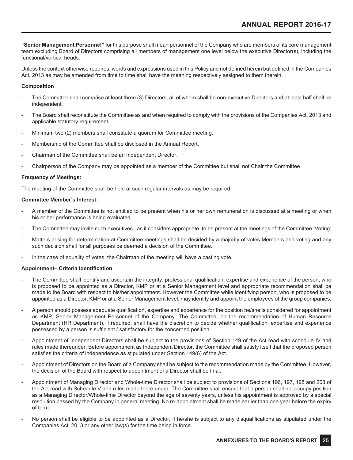**"Senior Management Personnel"** for this purpose shall mean personnel of the Company who are members of its core management team excluding Board of Directors comprising all members of management one level below the executive Director(s), including the functional/vertical heads.

Unless the context otherwise requires, words and expressions used in this Policy and not defined herein but defined in the Companies Act, 2013 as may be amended from time to time shall have the meaning respectively assigned to them therein.

#### **Composition**

- The Committee shall comprise at least three (3) Directors, all of whom shall be non-executive Directors and at least half shall be independent.
- The Board shall reconstitute the Committee as and when required to comply with the provisions of the Companies Act, 2013 and applicable statutory requirement.
- Minimum two (2) members shall constitute a quorum for Committee meeting.
- Membership of the Committee shall be disclosed in the Annual Report.
- Chairman of the Committee shall be an Independent Director.
- Chairperson of the Company may be appointed as a member of the Committee but shall not Chair the Committee

## **Frequency of Meetings:**

The meeting of the Committee shall be held at such regular intervals as may be required.

#### **Committee Member's Interest:**

- A member of the Committee is not entitled to be present when his or her own remuneration is discussed at a meeting or when his or her performance is being evaluated.
- The Committee may invite such executives, as it considers appropriate, to be present at the meetings of the Committee. Voting:
- Matters arising for determination at Committee meetings shall be decided by a majority of votes Members and voting and any such decision shall for all purposes be deemed a decision of the Committee.
- In the case of equality of votes, the Chairman of the meeting will have a casting vote.

## **Appointment– Criteria Identification**

- The Committee shall identify and ascertain the integrity, professional qualification, expertise and experience of the person, who is proposed to be appointed as a Director, KMP or at a Senior Management level and appropriate recommendation shall be made to the Board with respect to his/her appointment. However the Committee while identifying person, who is proposed to be appointed as a Director, KMP or at a Senior Management level, may identify and appoint the employees of the group companies.
- A person should possess adequate qualification, expertise and experience for the position he/she is considered for appointment as KMP, Senior Management Personnel of the Company. The Committee, on the recommendation of Human Resource Department (HR Department), if required, shall have the discretion to decide whether qualification, expertise and experience possessed by a person is sufficient / satisfactory for the concerned position.
- Appointment of Independent Directors shall be subject to the provisions of Section 149 of the Act read with schedule IV and rules made thereunder. Before appointment as Independent Director, the Committee shall satisfy itself that the proposed person satisfies the criteria of independence as stipulated under Section 149(6) of the Act.
- Appointment of Directors on the Board of a Company shall be subject to the recommendation made by the Committee. However, the decision of the Board with respect to appointment of a Director shall be final.
- Appointment of Managing Director and Whole-time Director shall be subject to provisions of Sections 196, 197, 198 and 203 of the Act read with Schedule V and rules made there under. The Committee shall ensure that a person shall not occupy position as a Managing Director/Whole-time Director beyond the age of seventy years, unless his appointment is approved by a special resolution passed by the Company in general meeting. No re-appointment shall be made earlier than one year before the expiry of term.
- No person shall be eligible to be appointed as a Director, if he/she is subject to any disqualifications as stipulated under the Companies Act, 2013 or any other law(s) for the time being in force.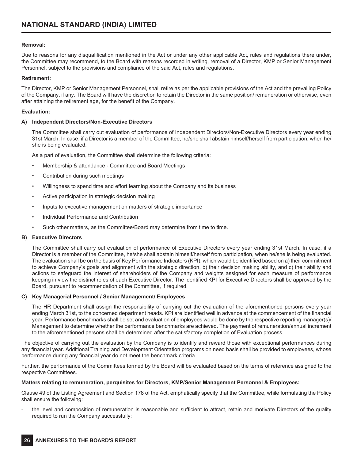## **Removal:**

Due to reasons for any disqualification mentioned in the Act or under any other applicable Act, rules and regulations there under, the Committee may recommend, to the Board with reasons recorded in writing, removal of a Director, KMP or Senior Management Personnel, subject to the provisions and compliance of the said Act, rules and regulations.

#### **Retirement:**

The Director, KMP or Senior Management Personnel, shall retire as per the applicable provisions of the Act and the prevailing Policy of the Company, if any. The Board will have the discretion to retain the Director in the same position/ remuneration or otherwise, even after attaining the retirement age, for the benefit of the Company.

## **Evaluation:**

## **A) Independent Directors/Non-Executive Directors**

The Committee shall carry out evaluation of performance of Independent Directors/Non-Executive Directors every year ending 31st March. In case, if a Director is a member of the Committee, he/she shall abstain himself/herself from participation, when he/ she is being evaluated.

As a part of evaluation, the Committee shall determine the following criteria:

- Membership & attendance Committee and Board Meetings
- Contribution during such meetings
- Willingness to spend time and effort learning about the Company and its business
- Active participation in strategic decision making
- Inputs to executive management on matters of strategic importance
- Individual Performance and Contribution
- Such other matters, as the Committee/Board may determine from time to time.

#### **B) Executive Directors**

The Committee shall carry out evaluation of performance of Executive Directors every year ending 31st March. In case, if a Director is a member of the Committee, he/she shall abstain himself/herself from participation, when he/she is being evaluated. The evaluation shall be on the basis of Key Performance Indicators (KPI), which would be identified based on a) their commitment to achieve Company's goals and alignment with the strategic direction, b) their decision making ability, and c) their ability and actions to safeguard the interest of shareholders of the Company and weights assigned for each measure of performance keeping in view the distinct roles of each Executive Director. The identified KPI for Executive Directors shall be approved by the Board, pursuant to recommendation of the Committee, if required.

#### **C) Key Managerial Personnel / Senior Management/ Employees**

The HR Department shall assign the responsibility of carrying out the evaluation of the aforementioned persons every year ending March 31st, to the concerned department heads. KPI are identified well in advance at the commencement of the financial year. Performance benchmarks shall be set and evaluation of employees would be done by the respective reporting manager(s)/ Management to determine whether the performance benchmarks are achieved. The payment of remuneration/annual increment to the aforementioned persons shall be determined after the satisfactory completion of Evaluation process.

The objective of carrying out the evaluation by the Company is to identify and reward those with exceptional performances during any financial year. Additional Training and Development Orientation programs on need basis shall be provided to employees, whose performance during any financial year do not meet the benchmark criteria.

Further, the performance of the Committees formed by the Board will be evaluated based on the terms of reference assigned to the respective Committees.

#### **Matters relating to remuneration, perquisites for Directors, KMP/Senior Management Personnel & Employees:**

Clause 49 of the Listing Agreement and Section 178 of the Act, emphatically specify that the Committee, while formulating the Policy shall ensure the following:

- the level and composition of remuneration is reasonable and sufficient to attract, retain and motivate Directors of the quality required to run the Company successfully;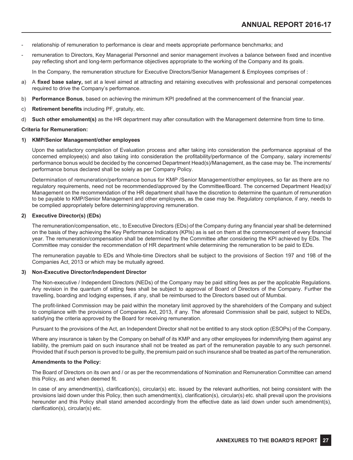- relationship of remuneration to performance is clear and meets appropriate performance benchmarks; and
- remuneration to Directors, Key Managerial Personnel and senior management involves a balance between fixed and incentive pay reflecting short and long-term performance objectives appropriate to the working of the Company and its goals.

In the Company, the remuneration structure for Executive Directors/Senior Management & Employees comprises of :

- a) A **fixed base salary,** set at a level aimed at attracting and retaining executives with professional and personal competences required to drive the Company's performance.
- b) **Performance Bonus**, based on achieving the minimum KPI predefined at the commencement of the financial year.
- c) **Retirement benefits** including PF, gratuity, etc.
- d) **Such other emolument(s)** as the HR department may after consultation with the Management determine from time to time.

#### **Criteria for Remuneration:**

#### **1) KMP/Senior Management/other employees**

Upon the satisfactory completion of Evaluation process and after taking into consideration the performance appraisal of the concerned employee(s) and also taking into consideration the profitability/performance of the Company, salary increments/ performance bonus would be decided by the concerned Department Head(s)/Management, as the case may be. The increments/ performance bonus declared shall be solely as per Company Policy.

Determination of remuneration/performance bonus for KMP /Senior Management/other employees, so far as there are no regulatory requirements, need not be recommended/approved by the Committee/Board. The concerned Department Head(s)/ Management on the recommendation of the HR department shall have the discretion to determine the quantum of remuneration to be payable to KMP/Senior Management and other employees, as the case may be. Regulatory compliance, if any, needs to be complied appropriately before determining/approving remuneration.

#### **2) Executive Director(s) (EDs)**

The remuneration/compensation, etc., to Executive Directors (EDs) of the Company during any financial year shall be determined on the basis of they achieving the Key Performance Indicators (KPIs) as is set on them at the commencement of every financial year. The remuneration/compensation shall be determined by the Committee after considering the KPI achieved by EDs. The Committee may consider the recommendation of HR department while determining the remuneration to be paid to EDs.

The remuneration payable to EDs and Whole-time Directors shall be subject to the provisions of Section 197 and 198 of the Companies Act, 2013 or which may be mutually agreed.

#### **3) Non-Executive Director/Independent Director**

The Non-executive / Independent Directors (NEDs) of the Company may be paid sitting fees as per the applicable Regulations. Any revision in the quantum of sitting fees shall be subject to approval of Board of Directors of the Company. Further the travelling, boarding and lodging expenses, if any, shall be reimbursed to the Directors based out of Mumbai.

The profit-linked Commission may be paid within the monetary limit approved by the shareholders of the Company and subject to compliance with the provisions of Companies Act, 2013, if any. The aforesaid Commission shall be paid, subject to NEDs, satisfying the criteria approved by the Board for receiving remuneration.

Pursuant to the provisions of the Act, an Independent Director shall not be entitled to any stock option (ESOPs) of the Company.

Where any insurance is taken by the Company on behalf of its KMP and any other employees for indemnifying them against any liability, the premium paid on such insurance shall not be treated as part of the remuneration payable to any such personnel. Provided that if such person is proved to be guilty, the premium paid on such insurance shall be treated as part of the remuneration.

#### **Amendments to the Policy:**

The Board of Directors on its own and / or as per the recommendations of Nomination and Remuneration Committee can amend this Policy, as and when deemed fit.

In case of any amendment(s), clarification(s), circular(s) etc. issued by the relevant authorities, not being consistent with the provisions laid down under this Policy, then such amendment(s), clarification(s), circular(s) etc. shall prevail upon the provisions hereunder and this Policy shall stand amended accordingly from the effective date as laid down under such amendment(s), clarification(s), circular(s) etc.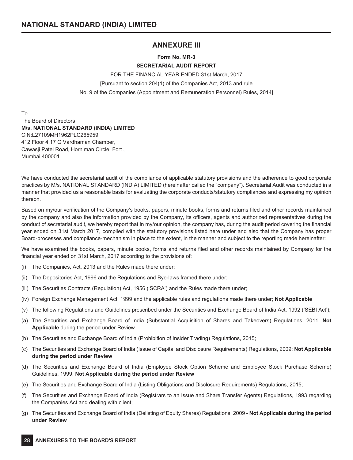# **ANNEXURE III**

## **Form No. MR-3**

## **SECRETARIAL AUDIT REPORT**

FOR THE FINANCIAL YEAR ENDED 31st March, 2017 [Pursuant to section 204(1) of the Companies Act, 2013 and rule No. 9 of the Companies (Appointment and Remuneration Personnel) Rules, 2014]

To The Board of Directors **M/s. NATIONAL STANDARD (INDIA) LIMITED** CIN:L27109MH1962PLC265959 412 Floor 4,17 G Vardhaman Chamber, Cawasji Patel Road, Horniman Circle, Fort , Mumbai 400001

We have conducted the secretarial audit of the compliance of applicable statutory provisions and the adherence to good corporate practices by M/s. NATIONAL STANDARD (INDIA) LIMITED (hereinafter called the "company"). Secretarial Audit was conducted in a manner that provided us a reasonable basis for evaluating the corporate conducts/statutory compliances and expressing my opinion thereon.

Based on my/our verification of the Company's books, papers, minute books, forms and returns filed and other records maintained by the company and also the information provided by the Company, its officers, agents and authorized representatives during the conduct of secretarial audit, we hereby report that in my/our opinion, the company has, during the audit period covering the financial year ended on 31st March 2017, complied with the statutory provisions listed here under and also that the Company has proper Board-processes and compliance-mechanism in place to the extent, in the manner and subject to the reporting made hereinafter:

We have examined the books, papers, minute books, forms and returns filed and other records maintained by Company for the financial year ended on 31st March, 2017 according to the provisions of:

- (i) The Companies, Act, 2013 and the Rules made there under;
- (ii) The Depositories Act, 1996 and the Regulations and Bye-laws framed there under;
- (iii) The Securities Contracts (Regulation) Act, 1956 ('SCRA') and the Rules made there under;
- (iv) Foreign Exchange Management Act, 1999 and the applicable rules and regulations made there under; **Not Applicable**
- (v) The following Regulations and Guidelines prescribed under the Securities and Exchange Board of India Act, 1992 ('SEBI Act');
- (a) The Securities and Exchange Board of India (Substantial Acquisition of Shares and Takeovers) Regulations, 2011; **Not Applicable** during the period under Review
- (b) The Securities and Exchange Board of India (Prohibition of Insider Trading) Regulations, 2015;
- (c) The Securities and Exchange Board of India (Issue of Capital and Disclosure Requirements) Regulations, 2009; **Not Applicable during the period under Review**
- (d) The Securities and Exchange Board of India (Employee Stock Option Scheme and Employee Stock Purchase Scheme) Guidelines, 1999; **Not Applicable during the period under Review**
- (e) The Securities and Exchange Board of India (Listing Obligations and Disclosure Requirements) Regulations, 2015;
- (f) The Securities and Exchange Board of India (Registrars to an Issue and Share Transfer Agents) Regulations, 1993 regarding the Companies Act and dealing with client;
- (g) The Securities and Exchange Board of India (Delisting of Equity Shares) Regulations, 2009 **Not Applicable during the period under Review**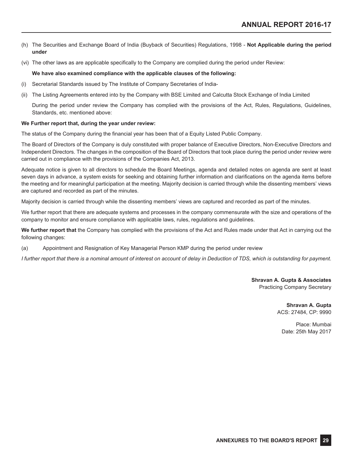- (h) The Securities and Exchange Board of India (Buyback of Securities) Regulations, 1998 **Not Applicable during the period under**
- (vi) The other laws as are applicable specifically to the Company are complied during the period under Review:

## **We have also examined compliance with the applicable clauses of the following:**

- (i) Secretarial Standards issued by The Institute of Company Secretaries of India-
- (ii) The Listing Agreements entered into by the Company with BSE Limited and Calcutta Stock Exchange of India Limited

During the period under review the Company has complied with the provisions of the Act, Rules, Regulations, Guidelines, Standards, etc. mentioned above:

## **We Further report that, during the year under review:**

The status of the Company during the financial year has been that of a Equity Listed Public Company.

The Board of Directors of the Company is duly constituted with proper balance of Executive Directors, Non-Executive Directors and Independent Directors. The changes in the composition of the Board of Directors that took place during the period under review were carried out in compliance with the provisions of the Companies Act, 2013.

Adequate notice is given to all directors to schedule the Board Meetings, agenda and detailed notes on agenda are sent at least seven days in advance, a system exists for seeking and obtaining further information and clarifications on the agenda items before the meeting and for meaningful participation at the meeting. Majority decision is carried through while the dissenting members' views are captured and recorded as part of the minutes.

Majority decision is carried through while the dissenting members' views are captured and recorded as part of the minutes.

We further report that there are adequate systems and processes in the company commensurate with the size and operations of the company to monitor and ensure compliance with applicable laws, rules, regulations and guidelines.

**We further report that** the Company has complied with the provisions of the Act and Rules made under that Act in carrying out the following changes:

(a) Appointment and Resignation of Key Managerial Person KMP during the period under review

*I further report that there is a nominal amount of interest on account of delay in Deduction of TDS, which is outstanding for payment.*

**Shravan A. Gupta & Associates** Practicing Company Secretary

> **Shravan A. Gupta** ACS: 27484, CP: 9990

Place: Mumbai Date: 25th May 2017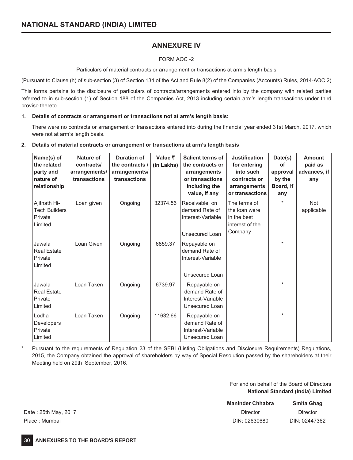# **ANNEXURE IV**

## FORM AOC -2

Particulars of material contracts or arrangement or transactions at arm's length basis

(Pursuant to Clause (h) of sub-section (3) of Section 134 of the Act and Rule 8(2) of the Companies (Accounts) Rules, 2014-AOC 2)

This forms pertains to the disclosure of particulars of contracts/arrangements entered into by the company with related parties referred to in sub-section (1) of Section 188 of the Companies Act, 2013 including certain arm's length transactions under third proviso thereto.

## **1. Details of contracts or arrangement or transactions not at arm's length basis:**

There were no contracts or arrangement or transactions entered into during the financial year ended 31st March, 2017, which were not at arm's length basis.

## **2. Details of material contracts or arrangement or transactions at arm's length basis**

| Name(s) of<br>the related<br>party and<br>nature of<br>relationship | Nature of<br>contracts/<br>arrangements/<br>transactions | <b>Duration of</b><br>the contracts /<br>arrangements/<br>transactions | Value $\bar{z}$<br>(in Lakhs) | Salient terms of<br>the contracts or<br>arrangements<br>or transactions<br>including the<br>value, if any | <b>Justification</b><br>for entering<br>into such<br>contracts or<br>arrangements<br>or transactions | Date(s)<br>οf<br>approval<br>by the<br>Board, if<br>any | <b>Amount</b><br>paid as<br>advances, if<br>any |
|---------------------------------------------------------------------|----------------------------------------------------------|------------------------------------------------------------------------|-------------------------------|-----------------------------------------------------------------------------------------------------------|------------------------------------------------------------------------------------------------------|---------------------------------------------------------|-------------------------------------------------|
| Ajitnath Hi-<br>Tech Builders<br>Private<br>Limited.                | Loan given                                               | Ongoing                                                                | 32374.56                      | Receivable on<br>demand Rate of<br>Interest-Variable<br>Unsecured Loan                                    | The terms of<br>the loan were<br>in the best<br>interest of the<br>Company                           | $\star$                                                 | <b>Not</b><br>applicable                        |
| Jawala<br><b>Real Estate</b><br>Private<br>Limited                  | Loan Given                                               | Ongoing                                                                | 6859.37                       | Repayable on<br>demand Rate of<br>Interest-Variable<br>Unsecured Loan                                     |                                                                                                      | $\star$                                                 |                                                 |
| Jawala<br><b>Real Estate</b><br>Private<br>Limited                  | Loan Taken                                               | Ongoing                                                                | 6739.97                       | Repayable on<br>demand Rate of<br>Interest-Variable<br>Unsecured Loan                                     |                                                                                                      | $\star$                                                 |                                                 |
| Lodha<br><b>Developers</b><br>Private<br>Limited                    | Loan Taken                                               | Ongoing                                                                | 11632.66                      | Repayable on<br>demand Rate of<br>Interest-Variable<br>Unsecured Loan                                     |                                                                                                      | $\star$                                                 |                                                 |

\* Pursuant to the requirements of Regulation 23 of the SEBI (Listing Obligations and Disclosure Requirements) Regulations, 2015, the Company obtained the approval of shareholders by way of Special Resolution passed by the shareholders at their Meeting held on 29th September, 2016.

> For and on behalf of the Board of Directors **National Standard (India) Limited**

|                      | <b>Maninder Chhabra</b> | Smita Ghag    |
|----------------------|-------------------------|---------------|
| Date: 25th May, 2017 | Director                | Director      |
| Place : Mumbai       | DIN: 02630680           | DIN: 02447362 |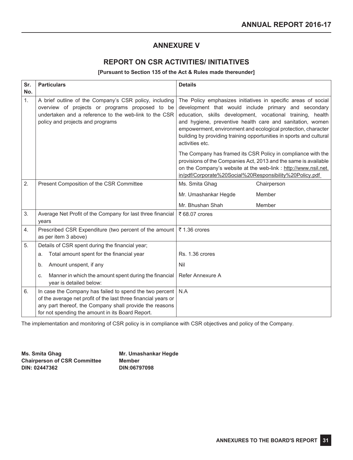# **ANNEXURE V**

# **REPORT ON CSR ACTIVITIES/ INITIATIVES**

## **[Pursuant to Section 135 of the Act & Rules made thereunder]**

| Sr. | <b>Particulars</b>                                                                                                                                                                                                                       | <b>Details</b>                                                                                                                                                                                                                                                                                                                                                                                              |  |  |
|-----|------------------------------------------------------------------------------------------------------------------------------------------------------------------------------------------------------------------------------------------|-------------------------------------------------------------------------------------------------------------------------------------------------------------------------------------------------------------------------------------------------------------------------------------------------------------------------------------------------------------------------------------------------------------|--|--|
| No. |                                                                                                                                                                                                                                          |                                                                                                                                                                                                                                                                                                                                                                                                             |  |  |
| 1.  | A brief outline of the Company's CSR policy, including<br>overview of projects or programs proposed to be<br>undertaken and a reference to the web-link to the CSR<br>policy and projects and programs                                   | The Policy emphasizes initiatives in specific areas of social<br>development that would include primary and secondary<br>education, skills development, vocational training, health<br>and hygiene, preventive health care and sanitation, women<br>empowerment, environment and ecological protection, character<br>building by providing training opportunities in sports and cultural<br>activities etc. |  |  |
|     |                                                                                                                                                                                                                                          | The Company has framed its CSR Policy in compliance with the<br>provisions of the Companies Act, 2013 and the same is available<br>on the Company's website at the web-link : http://www.nsil.net.<br>in/pdf/Corporate%20Social%20Responsibility%20Policy.pdf                                                                                                                                               |  |  |
| 2.  | Present Composition of the CSR Committee                                                                                                                                                                                                 | Ms. Smita Ghag<br>Chairperson                                                                                                                                                                                                                                                                                                                                                                               |  |  |
|     |                                                                                                                                                                                                                                          | Member<br>Mr. Umashankar Hegde                                                                                                                                                                                                                                                                                                                                                                              |  |  |
|     |                                                                                                                                                                                                                                          | Mr. Bhushan Shah<br>Member                                                                                                                                                                                                                                                                                                                                                                                  |  |  |
| 3.  | Average Net Profit of the Company for last three financial<br>years                                                                                                                                                                      | ₹ 68.07 crores                                                                                                                                                                                                                                                                                                                                                                                              |  |  |
| 4.  | Prescribed CSR Expenditure (two percent of the amount<br>as per item 3 above)                                                                                                                                                            | ₹ 1.36 crores                                                                                                                                                                                                                                                                                                                                                                                               |  |  |
| 5.  | Details of CSR spent during the financial year;                                                                                                                                                                                          |                                                                                                                                                                                                                                                                                                                                                                                                             |  |  |
|     | Total amount spent for the financial year<br>a.                                                                                                                                                                                          | Rs. 1.36 crores                                                                                                                                                                                                                                                                                                                                                                                             |  |  |
|     | Amount unspent, if any<br>b.                                                                                                                                                                                                             | Nil                                                                                                                                                                                                                                                                                                                                                                                                         |  |  |
|     | Manner in which the amount spent during the financial<br>C.<br>year is detailed below:                                                                                                                                                   | Refer Annexure A                                                                                                                                                                                                                                                                                                                                                                                            |  |  |
| 6.  | In case the Company has failed to spend the two percent<br>of the average net profit of the last three financial years or<br>any part thereof, the Company shall provide the reasons<br>for not spending the amount in its Board Report. | N.A                                                                                                                                                                                                                                                                                                                                                                                                         |  |  |

The implementation and monitoring of CSR policy is in compliance with CSR objectives and policy of the Company.

**Ms. Smita Ghag Chairperson of CSR Committee DIN: 02447362**

**Mr. Umashankar Hegde Member DIN:06797098**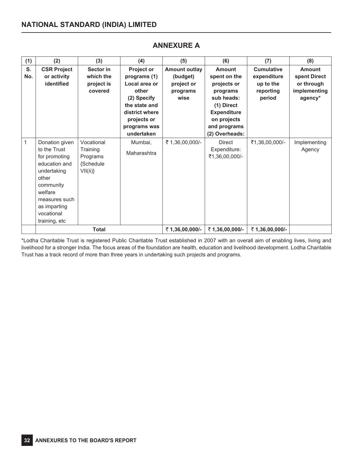| (1)       | (2)                                                                                                                                                                              | (3)                                                        | (4)                                                                                                                                                 | (5)                                                                | (6)                                                                                                                                                         | (7)                                                                  | (8)                                                                    |
|-----------|----------------------------------------------------------------------------------------------------------------------------------------------------------------------------------|------------------------------------------------------------|-----------------------------------------------------------------------------------------------------------------------------------------------------|--------------------------------------------------------------------|-------------------------------------------------------------------------------------------------------------------------------------------------------------|----------------------------------------------------------------------|------------------------------------------------------------------------|
| S.<br>No. | <b>CSR Project</b><br>or activity<br>identified                                                                                                                                  | Sector in<br>which the<br>project is<br>covered            | Project or<br>programs (1)<br>Local area or<br>other<br>(2) Specify<br>the state and<br>district where<br>projects or<br>programs was<br>undertaken | <b>Amount outlay</b><br>(budget)<br>project or<br>programs<br>wise | <b>Amount</b><br>spent on the<br>projects or<br>programs<br>sub heads:<br>(1) Direct<br><b>Expenditure</b><br>on projects<br>and programs<br>(2) Overheads: | <b>Cumulative</b><br>expenditure<br>up to the<br>reporting<br>period | <b>Amount</b><br>spent Direct<br>or through<br>implementing<br>agency* |
| 1         | Donation given<br>to the Trust<br>for promoting<br>education and<br>undertaking<br>other<br>community<br>welfare<br>measures such<br>as imparting<br>vocational<br>training, etc | Vocational<br>Training<br>Programs<br>{Schedule<br>VII(ii) | Mumbai,<br>Maharashtra                                                                                                                              | ₹ 1,36,00,000/-                                                    | <b>Direct</b><br>Expenditure:<br>₹1,36,00,000/-                                                                                                             | ₹1,36,00,000/-                                                       | Implementing<br>Agency                                                 |
|           | <b>Total</b>                                                                                                                                                                     |                                                            | ₹1,36,00,000/-                                                                                                                                      | ₹1,36,00,000/-                                                     | ₹1,36,00,000/-                                                                                                                                              |                                                                      |                                                                        |

# **ANNEXURE A**

\*Lodha Charitable Trust is registered Public Charitable Trust established in 2007 with an overall aim of enabling lives, living and livelihood for a stronger India. The focus areas of the foundation are health, education and livelihood development. Lodha Charitable Trust has a track record of more than three years in undertaking such projects and programs.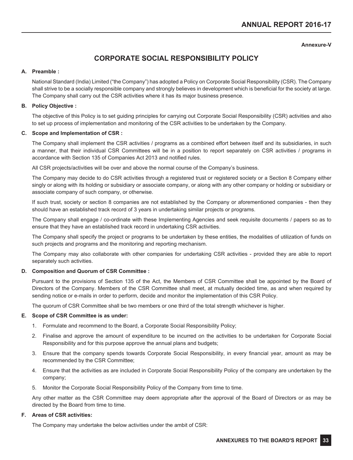## **Annexure-V**

# **CORPORATE SOCIAL RESPONSIBILITY POLICY**

## **A. Preamble :**

National Standard (India) Limited ("the Company") has adopted a Policy on Corporate Social Responsibility (CSR). The Company shall strive to be a socially responsible company and strongly believes in development which is beneficial for the society at large. The Company shall carry out the CSR activities where it has its major business presence.

## **B. Policy Objective :**

The objective of this Policy is to set guiding principles for carrying out Corporate Social Responsibility (CSR) activities and also to set up process of implementation and monitoring of the CSR activities to be undertaken by the Company.

## **C. Scope and Implementation of CSR :**

The Company shall implement the CSR activities / programs as a combined effort between itself and its subsidiaries, in such a manner, that their individual CSR Committees will be in a position to report separately on CSR activities / programs in accordance with Section 135 of Companies Act 2013 and notified rules.

All CSR projects/activities will be over and above the normal course of the Company's business.

The Company may decide to do CSR activities through a registered trust or registered society or a Section 8 Company either singly or along with its holding or subsidiary or associate company, or along with any other company or holding or subsidiary or associate company of such company, or otherwise.

If such trust, society or section 8 companies are not established by the Company or aforementioned companies - then they should have an established track record of 3 years in undertaking similar projects or programs.

The Company shall engage / co-ordinate with these Implementing Agencies and seek requisite documents / papers so as to ensure that they have an established track record in undertaking CSR activities.

The Company shall specify the project or programs to be undertaken by these entities, the modalities of utilization of funds on such projects and programs and the monitoring and reporting mechanism.

The Company may also collaborate with other companies for undertaking CSR activities - provided they are able to report separately such activities.

## **D. Composition and Quorum of CSR Committee :**

Pursuant to the provisions of Section 135 of the Act, the Members of CSR Committee shall be appointed by the Board of Directors of the Company. Members of the CSR Committee shall meet, at mutually decided time, as and when required by sending notice or e-mails in order to perform, decide and monitor the implementation of this CSR Policy.

The quorum of CSR Committee shall be two members or one third of the total strength whichever is higher.

## **E. Scope of CSR Committee is as under:**

- 1. Formulate and recommend to the Board, a Corporate Social Responsibility Policy;
- 2. Finalise and approve the amount of expenditure to be incurred on the activities to be undertaken for Corporate Social Responsibility and for this purpose approve the annual plans and budgets;
- 3. Ensure that the company spends towards Corporate Social Responsibility, in every financial year, amount as may be recommended by the CSR Committee;
- 4. Ensure that the activities as are included in Corporate Social Responsibility Policy of the company are undertaken by the company;
- 5. Monitor the Corporate Social Responsibility Policy of the Company from time to time.

Any other matter as the CSR Committee may deem appropriate after the approval of the Board of Directors or as may be directed by the Board from time to time.

## **F. Areas of CSR activities:**

The Company may undertake the below activities under the ambit of CSR: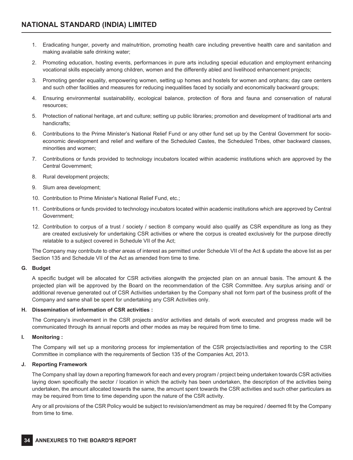- 1. Eradicating hunger, poverty and malnutrition, promoting health care including preventive health care and sanitation and making available safe drinking water;
- 2. Promoting education, hosting events, performances in pure arts including special education and employment enhancing vocational skills especially among children, women and the differently abled and livelihood enhancement projects;
- 3. Promoting gender equality, empowering women, setting up homes and hostels for women and orphans; day care centers and such other facilities and measures for reducing inequalities faced by socially and economically backward groups;
- 4. Ensuring environmental sustainability, ecological balance, protection of flora and fauna and conservation of natural resources;
- 5. Protection of national heritage, art and culture; setting up public libraries; promotion and development of traditional arts and handicrafts;
- 6. Contributions to the Prime Minister's National Relief Fund or any other fund set up by the Central Government for socioeconomic development and relief and welfare of the Scheduled Castes, the Scheduled Tribes, other backward classes, minorities and women;
- 7. Contributions or funds provided to technology incubators located within academic institutions which are approved by the Central Government;
- 8. Rural development projects;
- 9. Slum area development;
- 10. Contribution to Prime Minister's National Relief Fund, etc.;
- 11. Contributions or funds provided to technology incubators located within academic institutions which are approved by Central Government;
- 12. Contribution to corpus of a trust / society / section 8 company would also qualify as CSR expenditure as long as they are created exclusively for undertaking CSR activities or where the corpus is created exclusively for the purpose directly relatable to a subject covered in Schedule VII of the Act;

The Company may contribute to other areas of interest as permitted under Schedule VII of the Act & update the above list as per Section 135 and Schedule VII of the Act as amended from time to time.

## **G. Budget**

A specific budget will be allocated for CSR activities alongwith the projected plan on an annual basis. The amount & the projected plan will be approved by the Board on the recommendation of the CSR Committee. Any surplus arising and/ or additional revenue generated out of CSR Activities undertaken by the Company shall not form part of the business profit of the Company and same shall be spent for undertaking any CSR Activities only.

## **H. Dissemination of information of CSR activities :**

The Company's involvement in the CSR projects and/or activities and details of work executed and progress made will be communicated through its annual reports and other modes as may be required from time to time.

## **I. Monitoring :**

The Company will set up a monitoring process for implementation of the CSR projects/activities and reporting to the CSR Committee in compliance with the requirements of Section 135 of the Companies Act, 2013.

## **J. Reporting Framework**

The Company shall lay down a reporting framework for each and every program / project being undertaken towards CSR activities laying down specifically the sector / location in which the activity has been undertaken, the description of the activities being undertaken, the amount allocated towards the same, the amount spent towards the CSR activities and such other particulars as may be required from time to time depending upon the nature of the CSR activity.

Any or all provisions of the CSR Policy would be subject to revision/amendment as may be required / deemed fit by the Company from time to time.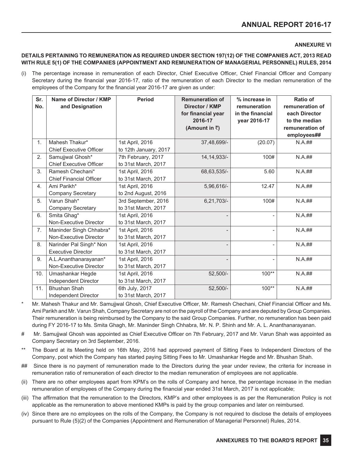## **ANNEXURE VI**

## **DETAILS PERTAINING TO REMUNERATION AS REQUIRED UNDER SECTION 197(12) OF THE COMPANIES ACT, 2013 READ WITH RULE 5(1) OF THE COMPANIES (APPOINTMENT AND REMUNERATION OF MANAGERIAL PERSONNEL) RULES, 2014**

(i) The percentage increase in remuneration of each Director, Chief Executive Officer, Chief Financial Officer and Company Secretary during the financial year 2016-17, ratio of the remuneration of each Director to the median remuneration of the employees of the Company for the financial year 2016-17 are given as under:

| Sr.<br>No.     | Name of Director / KMP<br>and Designation            | <b>Period</b>                              | <b>Remuneration of</b><br>Director / KMP<br>for financial year<br>2016-17<br>(Amount in $\bar{z}$ ) | % increase in<br>remuneration<br>in the financial<br>year 2016-17 | <b>Ratio of</b><br>remuneration of<br>each Director<br>to the median<br>remuneration of<br>employees## |
|----------------|------------------------------------------------------|--------------------------------------------|-----------------------------------------------------------------------------------------------------|-------------------------------------------------------------------|--------------------------------------------------------------------------------------------------------|
| 1.             | Mahesh Thakur*<br><b>Chief Executive Officer</b>     | 1st April, 2016<br>to 12th January, 2017   | 37,48,699/-                                                                                         | (20.07)                                                           | N.A. ##                                                                                                |
| 2.             | Samujiwal Ghosh*<br><b>Chief Executive Officer</b>   | 7th February, 2017<br>to 31st March, 2017  | 14, 14, 933/-                                                                                       | 100#                                                              | $N.A.$ ##                                                                                              |
| 3.             | Ramesh Chechani*<br><b>Chief Financial Officer</b>   | 1st April, 2016<br>to 31st March, 2017     | 68,63,535/-                                                                                         | 5.60                                                              | $N.A.$ ##                                                                                              |
| 4 <sub>1</sub> | Ami Parikh*<br>Company Secretary                     | 1st April, 2016<br>to 2nd August, 2016     | 5,96,616/-                                                                                          | 12.47                                                             | N.A. ##                                                                                                |
| 5.             | Varun Shah*<br><b>Company Secretary</b>              | 3rd September, 2016<br>to 31st March, 2017 | 6,21,703/-                                                                                          | 100#                                                              | N.A. ##                                                                                                |
| 6.             | Smita Ghag*<br>Non-Executive Director                | 1st April, 2016<br>to 31st March, 2017     |                                                                                                     | $\overline{\phantom{a}}$                                          | N.A. ##                                                                                                |
| 7.             | Maninder Singh Chhabra*<br>Non-Executive Director    | 1st April, 2016<br>to 31st March, 2017     |                                                                                                     | $\overline{a}$                                                    | N.A. ##                                                                                                |
| 8.             | Narinder Pal Singh* Non<br><b>Executive Director</b> | 1st April, 2016<br>to 31st March, 2017     |                                                                                                     | $\overline{\phantom{a}}$                                          | N.A. ##                                                                                                |
| 9.             | A.L.Ananthanarayanan*<br>Non-Executive Director      | 1st April, 2016<br>to 31st March, 2017     |                                                                                                     | $\overline{\phantom{a}}$                                          | N.A. ##                                                                                                |
| 10.            | Umashankar Hegde<br>Independent Director             | 1st April, 2016<br>to 31st March, 2017     | 52,500/-                                                                                            | $100**$                                                           | N.A. ##                                                                                                |
| 11.            | <b>Bhushan Shah</b><br>Independent Director          | 6th July, 2017<br>to 31st March, 2017      | 52,500/-                                                                                            | $100**$                                                           | N.A. ##                                                                                                |

- Mr. Mahesh Thakur and Mr. Samujjwal Ghosh, Chief Executive Officer, Mr. Ramesh Chechani, Chief Financial Officer and Ms. Ami Parikh and Mr. Varun Shah, Company Secretary are not on the payroll of the Company and are deputed by Group Companies. Their remuneration is being reimbursed by the Company to the said Group Companies. Further, no remuneration has been paid during FY 2016-17 to Ms. Smita Ghagh, Mr. Maninder Singh Chhabra, Mr. N. P. Shinh and Mr. A. L. Ananthanarayanan.
- # Mr. Samujjwal Ghosh was appointed as Chief Executive Officer on 7th February, 2017 and Mr. Varun Shah was appointed as Company Secretary on 3rd September, 2016.
- The Board at its Meeting held on 16th May, 2016 had approved payment of Sitting Fees to Independent Directors of the Company, post which the Company has started paying Sitting Fees to Mr. Umashankar Hegde and Mr. Bhushan Shah.
- ## Since there is no payment of remuneration made to the Directors during the year under review, the criteria for increase in remuneration ratio of remuneration of each director to the median remuneration of employees are not applicable.
- (ii) There are no other employees apart from KPM's on the rolls of Company and hence, the percentage increase in the median remuneration of employees of the Company during the financial year ended 31st March, 2017 is not applicable;
- (iii) The affirmation that the remuneration to the Directors, KMP's and other employees is as per the Remuneration Policy is not applicable as the remuneration to above mentioned KMPs is paid by the group companies and later on reimbursed.
- (iv) Since there are no employees on the rolls of the Company, the Company is not required to disclose the details of employees pursuant to Rule (5)(2) of the Companies (Appointment and Remuneration of Managerial Personnel) Rules, 2014.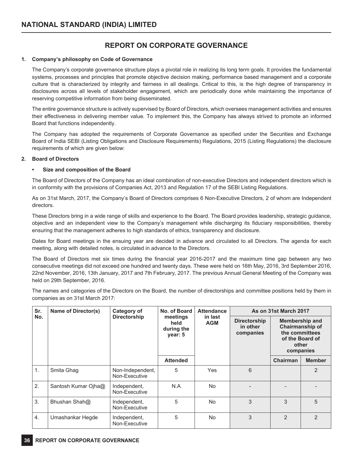### **REPORT ON CORPORATE GOVERNANCE**

### **1. Company's philosophy on Code of Governance**

The Company's corporate governance structure plays a pivotal role in realizing its long term goals. It provides the fundamental systems, processes and principles that promote objective decision making, performance based management and a corporate culture that is characterized by integrity and fairness in all dealings. Critical to this, is the high degree of transparency in disclosures across all levels of stakeholder engagement, which are periodically done while maintaining the importance of reserving competitive information from being disseminated.

The entire governance structure is actively supervised by Board of Directors, which oversees management activities and ensures their effectiveness in delivering member value. To implement this, the Company has always strived to promote an informed Board that functions independently.

The Company has adopted the requirements of Corporate Governance as specified under the Securities and Exchange Board of India SEBI (Listing Obligations and Disclosure Requirements) Regulations, 2015 (Listing Regulations) the disclosure requirements of which are given below:

### **2. Board of Directors**

### **• Size and composition of the Board**

The Board of Directors of the Company has an ideal combination of non-executive Directors and independent directors which is in conformity with the provisions of Companies Act, 2013 and Regulation 17 of the SEBI Listing Regulations.

As on 31st March, 2017, the Company's Board of Directors comprises 6 Non-Executive Directors, 2 of whom are Independent directors.

These Directors bring in a wide range of skills and experience to the Board. The Board provides leadership, strategic guidance, objective and an independent view to the Company's management while discharging its fiduciary responsibilities, thereby ensuring that the management adheres to high standards of ethics, transparency and disclosure.

Dates for Board meetings in the ensuing year are decided in advance and circulated to all Directors. The agenda for each meeting, along with detailed notes, is circulated in advance to the Directors.

The Board of Directors met six times during the financial year 2016-2017 and the maximum time gap between any two consecutive meetings did not exceed one hundred and twenty days. These were held on 16th May, 2016, 3rd September 2016, 22nd November, 2016, 13th January, 2017 and 7th February, 2017. The previous Annual General Meeting of the Company was held on 29th September, 2016.

The names and categories of the Directors on the Board, the number of directorships and committee positions held by them in companies as on 31st March 2017:

| Sr. | Name of Director(s) | Category of                       | No. of Board                              | <b>Attendance</b>     |                                              | As on 31st March 2017                                                                               |               |
|-----|---------------------|-----------------------------------|-------------------------------------------|-----------------------|----------------------------------------------|-----------------------------------------------------------------------------------------------------|---------------|
| No. |                     | <b>Directorship</b>               | meetings<br>held<br>during the<br>year: 5 | in last<br><b>AGM</b> | <b>Directorship</b><br>in other<br>companies | <b>Membership and</b><br>Chairmanship of<br>the committees<br>of the Board of<br>other<br>companies |               |
|     |                     |                                   | <b>Attended</b>                           |                       |                                              | Chairman                                                                                            | <b>Member</b> |
| 1.  | Smita Ghag          | Non-Independent,<br>Non-Executive | 5                                         | Yes                   | 6                                            |                                                                                                     | 2             |
| 2.  | Santosh Kumar Ojha@ | Independent,<br>Non-Executive     | N.A                                       | No.                   |                                              |                                                                                                     |               |
| 3.  | Bhushan Shah@       | Independent,<br>Non-Executive     | 5                                         | No.                   | 3                                            | 3                                                                                                   | 5             |
| 4.  | Umashankar Hegde    | Independent,<br>Non-Executive     | 5                                         | No.                   | 3                                            | $\overline{2}$                                                                                      | 2             |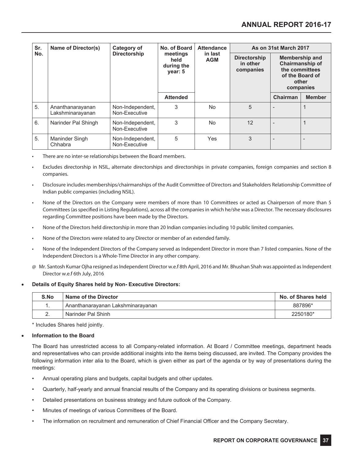| Sr. | Name of Director(s)                  | Category of                       | No. of Board                              | <b>Attendance</b>     | As on 31st March 2017                        |                          |                                                                                                            |
|-----|--------------------------------------|-----------------------------------|-------------------------------------------|-----------------------|----------------------------------------------|--------------------------|------------------------------------------------------------------------------------------------------------|
| No. |                                      | <b>Directorship</b>               | meetings<br>held<br>during the<br>year: 5 | in last<br><b>AGM</b> | <b>Directorship</b><br>in other<br>companies |                          | <b>Membership and</b><br><b>Chairmanship of</b><br>the committees<br>of the Board of<br>other<br>companies |
|     |                                      |                                   | <b>Attended</b>                           |                       |                                              | Chairman                 | <b>Member</b>                                                                                              |
| 5.  | Ananthanarayanan<br>Lakshminarayanan | Non-Independent,<br>Non-Executive | 3                                         | <b>No</b>             | 5                                            |                          |                                                                                                            |
| 6.  | Narinder Pal Shingh                  | Non-Independent,<br>Non-Executive | 3                                         | <b>No</b>             | 12                                           | $\overline{a}$           | 1                                                                                                          |
| 5.  | Maninder Singh<br>Chhabra            | Non-Independent,<br>Non-Executive | 5                                         | <b>Yes</b>            | 3                                            | $\overline{\phantom{0}}$ |                                                                                                            |

There are no inter-se relationships between the Board members.

- Excludes directorship in NSIL, alternate directorships and directorships in private companies, foreign companies and section 8 companies.
- Disclosure includes memberships/chairmanships of the Audit Committee of Directors and Stakeholders Relationship Committee of Indian public companies (including NSIL).
- None of the Directors on the Company were members of more than 10 Committees or acted as Chairperson of more than 5 Committees (as specified in Listing Regulations), across all the companies in which he/she was a Director. The necessary disclosures regarding Committee positions have been made by the Directors.
- None of the Directors held directorship in more than 20 Indian companies including 10 public limited companies.
- None of the Directors were related to any Director or member of an extended family.
- None of the Independent Directors of the Company served as Independent Director in more than 7 listed companies. None of the Independent Directors is a Whole-Time Director in any other company.
- @ Mr. Santosh Kumar Ojha resigned as Independent Director w.e.f 8th April, 2016 and Mr. Bhushan Shah was appointed as Independent Director w.e.f 6th July, 2016

### • **Details of Equity Shares held by Non- Executive Directors:**

| S.No     | Name of the Director              | No. of Shares held |
|----------|-----------------------------------|--------------------|
|          | Ananthanarayanan Lakshminarayanan | 887896*            |
| <u>.</u> | Narinder Pal Shinh                | 2250180*           |

\* Includes Shares held jointly.

### • **Information to the Board**

The Board has unrestricted access to all Company-related information. At Board / Committee meetings, department heads and representatives who can provide additional insights into the items being discussed, are invited. The Company provides the following information inter alia to the Board, which is given either as part of the agenda or by way of presentations during the meetings:

- Annual operating plans and budgets, capital budgets and other updates.
- Quarterly, half-yearly and annual financial results of the Company and its operating divisions or business segments.
- Detailed presentations on business strategy and future outlook of the Company.
- Minutes of meetings of various Committees of the Board.
- The information on recruitment and remuneration of Chief Financial Officer and the Company Secretary.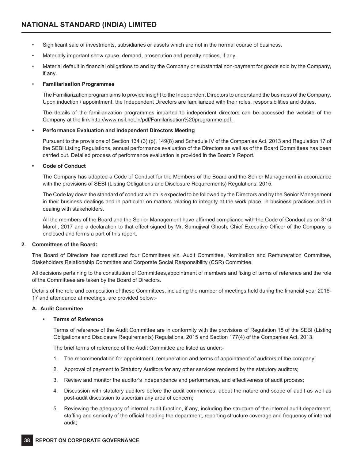- Significant sale of investments, subsidiaries or assets which are not in the normal course of business.
- Materially important show cause, demand, prosecution and penalty notices, if any.
- Material default in financial obligations to and by the Company or substantial non-payment for goods sold by the Company, if any.

### • **Familiarisation Programmes**

The Familiarization program aims to provide insight to the Independent Directors to understand the business of the Company. Upon induction / appointment, the Independent Directors are familiarized with their roles, responsibilities and duties.

The details of the familiarization programmes imparted to independent directors can be accessed the website of the Company at the link http://www.nsil.net.in/pdf/Familarisation%20programme.pdf.

### **• Performance Evaluation and Independent Directors Meeting**

 Pursuant to the provisions of Section 134 (3) (p), 149(8) and Schedule IV of the Companies Act, 2013 and Regulation 17 of the SEBI Listing Regulations, annual performance evaluation of the Directors as well as of the Board Committees has been carried out. Detailed process of performance evaluation is provided in the Board's Report.

### **• Code of Conduct**

The Company has adopted a Code of Conduct for the Members of the Board and the Senior Management in accordance with the provisions of SEBI (Listing Obligations and Disclosure Requirements) Regulations, 2015.

The Code lay down the standard of conduct which is expected to be followed by the Directors and by the Senior Management in their business dealings and in particular on matters relating to integrity at the work place, in business practices and in dealing with stakeholders.

All the members of the Board and the Senior Management have affirmed compliance with the Code of Conduct as on 31st March, 2017 and a declaration to that effect signed by Mr. Samujjwal Ghosh, Chief Executive Officer of the Company is enclosed and forms a part of this report.

### **2. Committees of the Board:**

The Board of Directors has constituted four Committees viz. Audit Committee, Nomination and Remuneration Committee, Stakeholders Relationship Committee and Corporate Social Responsibility (CSR) Committee.

All decisions pertaining to the constitution of Committees,appointment of members and fixing of terms of reference and the role of the Committees are taken by the Board of Directors.

Details of the role and composition of these Committees, including the number of meetings held during the financial year 2016- 17 and attendance at meetings, are provided below:-

### **A. Audit Committee**

### **• Terms of Reference**

Terms of reference of the Audit Committee are in conformity with the provisions of Regulation 18 of the SEBI (Listing Obligations and Disclosure Requirements) Regulations, 2015 and Section 177(4) of the Companies Act, 2013.

The brief terms of reference of the Audit Committee are listed as under:-

- 1. The recommendation for appointment, remuneration and terms of appointment of auditors of the company;
- 2. Approval of payment to Statutory Auditors for any other services rendered by the statutory auditors;
- 3. Review and monitor the auditor's independence and performance, and effectiveness of audit process;
- 4. Discussion with statutory auditors before the audit commences, about the nature and scope of audit as well as post-audit discussion to ascertain any area of concern;
- 5. Reviewing the adequacy of internal audit function, if any, including the structure of the internal audit department, staffing and seniority of the official heading the department, reporting structure coverage and frequency of internal audit;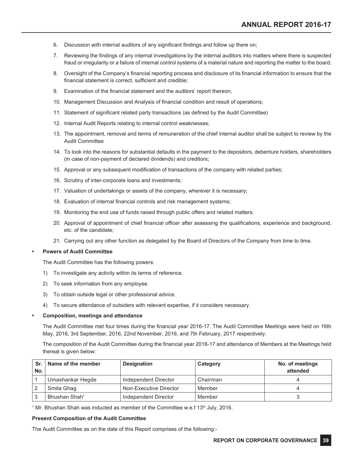- 6. Discussion with internal auditors of any significant findings and follow up there on;
- 7. Reviewing the findings of any internal investigations by the internal auditors into matters where there is suspected fraud or irregularity or a failure of internal control systems of a material nature and reporting the matter to the board;
- 8. Oversight of the Company's financial reporting process and disclosure of its financial information to ensure that the financial statement is correct, sufficient and credible;
- 9. Examination of the financial statement and the auditors' report thereon;
- 10. Management Discussion and Analysis of financial condition and result of operations;
- 11. Statement of significant related party transactions (as defined by the Audit Committee)
- 12. Internal Audit Reports relating to internal control weaknesses;
- 13. The appointment, removal and terms of remuneration of the chief internal auditor shall be subject to review by the Audit Committee
- 14. To look into the reasons for substantial defaults in the payment to the depositors, debenture holders, shareholders (in case of non-payment of declared dividends) and creditors;
- 15. Approval or any subsequent modification of transactions of the company with related parties;
- 16. Scrutiny of inter-corporate loans and investments;
- 17. Valuation of undertakings or assets of the company, wherever it is necessary;
- 18. Evaluation of internal financial controls and risk management systems;
- 19. Monitoring the end use of funds raised through public offers and related matters.
- 20. Approval of appointment of chief financial officer after assessing the qualifications, experience and background, etc. of the candidate;
- 21. Carrying out any other function as delegated by the Board of Directors of the Company from time to time.

### **Powers of Audit Committee**

The Audit Committee has the following powers:

- 1) To investigate any activity within its terms of reference.
- 2) To seek information from any employee.
- 3) To obtain outside legal or other professional advice.
- 4) To secure attendance of outsiders with relevant expertise, if it considers necessary.

### **• Composition, meetings and attendance**

The Audit Committee met four times during the financial year 2016-17. The Audit Committee Meetings were held on 16th May, 2016, 3rd September, 2016, 22nd November, 2016, and 7th February, 2017 respectively.

The composition of the Audit Committee during the financial year 2016-17 and attendance of Members at the Meetings held thereat is given below:

| Sr.<br>No. | Name of the member        | <b>Designation</b>     | Category | No. of meetings<br>attended |
|------------|---------------------------|------------------------|----------|-----------------------------|
|            | Umashankar Hegde          | Independent Director   | Chairman |                             |
|            | Smita Ghag                | Non-Executive Director | Member   |                             |
|            | Bhushan Shah <sup>1</sup> | Independent Director   | Member   |                             |

 $^1$  Mr. Bhushan Shah was inducted as member of the Committee w.e.f 13<sup>th</sup> July, 2016.

### **Present Composition of the Audit Committee**

The Audit Committee as on the date of this Report comprises of the following:-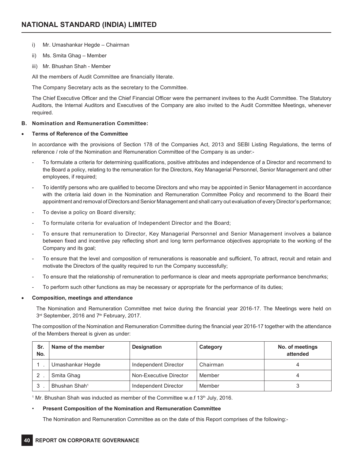- i) Mr. Umashankar Hegde Chairman
- ii) Ms. Smita Ghag Member
- iii) Mr. Bhushan Shah Member

All the members of Audit Committee are financially literate.

The Company Secretary acts as the secretary to the Committee.

The Chief Executive Officer and the Chief Financial Officer were the permanent invitees to the Audit Committee. The Statutory Auditors, the Internal Auditors and Executives of the Company are also invited to the Audit Committee Meetings, whenever required.

### **B. Nomination and Remuneration Committee:**

### **Terms of Reference of the Committee**

In accordance with the provisions of Section 178 of the Companies Act, 2013 and SEBI Listing Regulations, the terms of reference / role of the Nomination and Remuneration Committee of the Company is as under:-

- To formulate a criteria for determining qualifications, positive attributes and independence of a Director and recommend to the Board a policy, relating to the remuneration for the Directors, Key Managerial Personnel, Senior Management and other employees, if required;
- To identify persons who are qualified to become Directors and who may be appointed in Senior Management in accordance with the criteria laid down in the Nomination and Remuneration Committee Policy and recommend to the Board their appointment and removal of Directors and Senior Management and shall carry out evaluation of every Director's performance;
- To devise a policy on Board diversity;
- To formulate criteria for evaluation of Independent Director and the Board;
- To ensure that remuneration to Director, Key Managerial Personnel and Senior Management involves a balance between fixed and incentive pay reflecting short and long term performance objectives appropriate to the working of the Company and its goal;
- To ensure that the level and composition of remunerations is reasonable and sufficient, To attract, recruit and retain and motivate the Directors of the quality required to run the Company successfully;
- To ensure that the relationship of remuneration to performance is clear and meets appropriate performance benchmarks;
- To perform such other functions as may be necessary or appropriate for the performance of its duties;

### • **Composition, meetings and attendance**

The Nomination and Remuneration Committee met twice during the financial year 2016-17. The Meetings were held on 3rd September, 2016 and 7<sup>th</sup> February, 2017.

The composition of the Nomination and Remuneration Committee during the financial year 2016-17 together with the attendance of the Members thereat is given as under:

| Sr.<br>No. | Name of the member        | <b>Designation</b>     | Category | No. of meetings<br>attended |
|------------|---------------------------|------------------------|----------|-----------------------------|
|            | Umashankar Hegde          | Independent Director   | Chairman |                             |
|            | Smita Ghag                | Non-Executive Director | Member   |                             |
| 3          | Bhushan Shah <sup>1</sup> | Independent Director   | Member   |                             |

 $^1$  Mr. Bhushan Shah was inducted as member of the Committee w.e.f 13<sup>th</sup> July, 2016.

### • **Present Composition of the Nomination and Remuneration Committee**

The Nomination and Remuneration Committee as on the date of this Report comprises of the following:-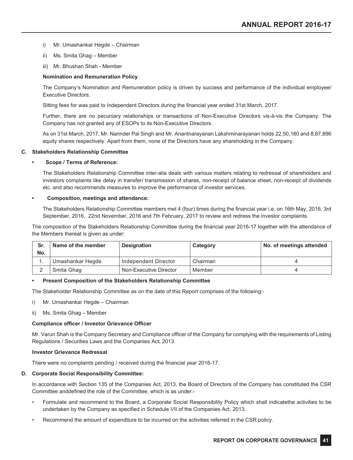- i) Mr. Umashankar Hegde Chairman
- ii) Ms. Smita Ghag Member
- iii) Mr. Bhushan Shah Member

### **Nomination and Remuneration Policy**

The Company's Nomination and Remuneration policy is driven by success and performance of the individual employee/ Executive Directors.

Sitting fees for was paid to Independent Directors during the financial year ended 31st March, 2017.

 Further, there are no pecuniary relationships or transactions of Non-Executive Directors vis-à-vis the Company. The Company has not granted any of ESOPs to its Non-Executive Directors.

As on 31st March, 2017, Mr. Narinder Pal Singh and Mr. Anantnarayanan Lakshminarayanan holds 22,50,180 and 8,87,896 equity shares respectively. Apart from them, none of the Directors have any shareholding in the Company.

### **C. Stakeholders Relationship Committee**

#### **• Scope / Terms of Reference:**

 The Stakeholders Relationship Committee inter-alia deals with various matters relating to redressal of shareholders and investors complaints like delay in transfer/ transmission of shares, non-receipt of balance sheet, non-receipt of dividends etc. and also recommends measures to improve the performance of investor services.

#### **Composition, meetings and attendance:**

The Stakeholders Relationship Committee members met 4 (four) times during the financial year i.e. on 16th May, 2016, 3rd September, 2016, 22nd November, 2016 and 7th February, 2017 to review and redress the investor complaints.

The composition of the Stakeholders Relationship Committee during the financial year 2016-17 together with the attendance of the Members thereat is given as under:

| Sr.<br>No. | Name of the member | <b>Designation</b>     | Category | No. of meetings attended |
|------------|--------------------|------------------------|----------|--------------------------|
|            | Umashankar Hegde   | Independent Director   | Chairman |                          |
|            | Smita Ghag         | Non-Executive Director | Member   |                          |

### **Present Composition of the Stakeholders Relationship Committee**

The Stakeholder Relationship Committee as on the date of this Report comprises of the following:-

- i) Mr. Umashankar Hegde Chairman
- ii) Ms. Smita Ghag Member

### **Compliance officer / Investor Grievance Officer**

Mr. Varun Shah is the Company Secretary and Compliance officer of the Company for complying with the requirements of Listing Regulations / Securities Laws and the Companies Act, 2013.

#### **Investor Grievance Redressal**

There were no complaints pending / received during the financial year 2016-17.

### **D. Corporate Social Responsibility Committee:**

In accordance with Section 135 of the Companies Act, 2013, the Board of Directors of the Company has constituted the CSR Committee anddefined the role of the Committee, which is as under:-

- Formulate and recommend to the Board, a Corporate Social Responsibility Policy which shall indicatethe activities to be undertaken by the Company as specified in Schedule VII of the Companies Act, 2013.
- Recommend the amount of expenditure to be incurred on the activities referred in the CSR policy.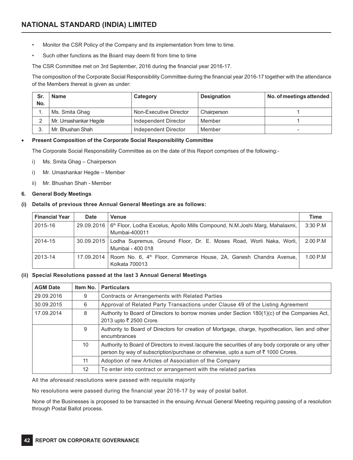- Monitor the CSR Policy of the Company and its implementation from time to time.
- Such other functions as the Board may deem fit from time to time

The CSR Committee met on 3rd September, 2016 during the financial year 2016-17.

The composition of the Corporate Social Responsibility Committee during the financial year 2016-17 together with the attendance of the Members thereat is given as under:

| Sr.<br>No. | <b>Name</b>          | Category               | <b>Designation</b> | No. of meetings attended |
|------------|----------------------|------------------------|--------------------|--------------------------|
|            | Ms. Smita Ghag       | Non-Executive Director | Chairperson        |                          |
|            | Mr. Umashankar Hegde | Independent Director   | Member             |                          |
|            | Mr. Bhushan Shah     | Independent Director   | Member             | $\overline{\phantom{a}}$ |

### • **Present Composition of the Corporate Social Responsibility Committee**

The Corporate Social Responsibility Committee as on the date of this Report comprises of the following:-

- i) Ms. Smita Ghag Chairperson
- i) Mr. Umashankar Hegde Member
- ii) Mr. Bhushan Shah Member

### **6. General Body Meetings**

### **(i) Details of previous three Annual General Meetings are as follows:**

| <b>Financial Year</b> | <b>Date</b> | <b>Venue</b>                                                                                                            | Time       |
|-----------------------|-------------|-------------------------------------------------------------------------------------------------------------------------|------------|
| 2015-16               |             | $29.09.2016$   6 <sup>th</sup> Floor, Lodha Excelus, Apollo Mills Compound, N.M.Joshi Marg, Mahalaxmi,<br>Mumbai-400011 | $3:30$ P.M |
| 2014-15               |             | 30.09.2015   Lodha Supremus, Ground Floor, Dr. E. Moses Road, Worli Naka, Worli,  <br>Mumbai - 400 018                  | $2.00$ P.M |
| 2013-14               |             | 17.09.2014   Room No. 6, 4 <sup>th</sup> Floor, Commerce House, 2A, Ganesh Chandra Avenue,<br>Kolkata 700013            | 1.00 P.M   |

### **(ii) Special Resolutions passed at the last 3 Annual General Meetings**

| <b>AGM Date</b> | Item No.        | <b>Particulars</b>                                                                                                                                                                       |
|-----------------|-----------------|------------------------------------------------------------------------------------------------------------------------------------------------------------------------------------------|
| 29.09.2016      | 9               | Contracts or Arrangements with Related Parties                                                                                                                                           |
| 30.09.2015      | 6               | Approval of Related Party Transactions under Clause 49 of the Listing Agreement                                                                                                          |
| 17.09.2014      | 8               | Authority to Board of Directors to borrow monies under Section 180(1)(c) of the Companies Act,<br>2013 upto ₹ 2500 Crore.                                                                |
|                 | 9               | Authority to Board of Directors for creation of Mortgage, charge, hypothecation, lien and other<br>encumbrances                                                                          |
|                 | 10 <sup>°</sup> | Authority to Board of Directors to invest /acquire the securities of any body corporate or any other<br>person by way of subscription/purchase or otherwise, upto a sum of ₹1000 Crores. |
|                 | 11              | Adoption of new Articles of Association of the Company                                                                                                                                   |
|                 | 12              | To enter into contract or arrangement with the related parties                                                                                                                           |

All the aforesaid resolutions were passed with requisite majority

No resolutions were passed during the financial year 2016-17 by way of postal ballot.

None of the Businesses is proposed to be transacted in the ensuing Annual General Meeting requiring passing of a resolution through Postal Ballot process.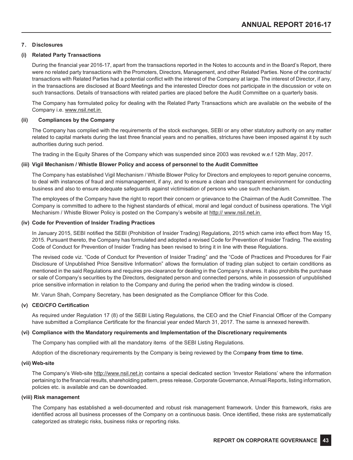### **7. Disclosures**

### **(i) Related Party Transactions**

During the financial year 2016-17, apart from the transactions reported in the Notes to accounts and in the Board's Report, there were no related party transactions with the Promoters, Directors, Management, and other Related Parties. None of the contracts/ transactions with Related Parties had a potential conflict with the interest of the Company at large. The interest of Director, if any, in the transactions are disclosed at Board Meetings and the interested Director does not participate in the discussion or vote on such transactions. Details of transactions with related parties are placed before the Audit Committee on a quarterly basis.

The Company has formulated policy for dealing with the Related Party Transactions which are available on the website of the Company i.e. www.nsil.net.in

### **(ii) Compliances by the Company**

The Company has complied with the requirements of the stock exchanges, SEBI or any other statutory authority on any matter related to capital markets during the last three financial years and no penalties, strictures have been imposed against it by such authorities during such period.

The trading in the Equity Shares of the Company which was suspended since 2003 was revoked w.e.f 12th May, 2017.

### **(iii) Vigil Mechanism / Whistle Blower Policy and access of personnel to the Audit Committee**

The Company has established Vigil Mechanism / Whistle Blower Policy for Directors and employees to report genuine concerns, to deal with instances of fraud and mismanagement, if any, and to ensure a clean and transparent environment for conducting business and also to ensure adequate safeguards against victimisation of persons who use such mechanism.

The employees of the Company have the right to report their concern or grievance to the Chairman of the Audit Committee. The Company is committed to adhere to the highest standards of ethical, moral and legal conduct of business operations. The Vigil Mechanism / Whistle Blower Policy is posted on the Company's website at http:// www.nsil.net.in

### **(iv) Code for Prevention of Insider Trading Practices**

In January 2015, SEBI notified the SEBI (Prohibition of Insider Trading) Regulations, 2015 which came into effect from May 15, 2015. Pursuant thereto, the Company has formulated and adopted a revised Code for Prevention of Insider Trading. The existing Code of Conduct for Prevention of Insider Trading has been revised to bring it in line with these Regulations.

The revised code viz. "Code of Conduct for Prevention of Insider Trading" and the "Code of Practices and Procedures for Fair Disclosure of Unpublished Price Sensitive Information" allows the formulation of trading plan subject to certain conditions as mentioned in the said Regulations and requires pre-clearance for dealing in the Company's shares. It also prohibits the purchase or sale of Company's securities by the Directors, designated person and connected persons, while in possession of unpublished price sensitive information in relation to the Company and during the period when the trading window is closed.

Mr. Varun Shah, Company Secretary, has been designated as the Compliance Officer for this Code.

### **(v) CEO/CFO Certification**

As required under Regulation 17 (8) of the SEBI Listing Regulations, the CEO and the Chief Financial Officer of the Company have submitted a Compliance Certificate for the financial year ended March 31, 2017. The same is annexed herewith.

### **(vi) Compliance with the Mandatory requirements and Implementation of the Discretionary requirements**

The Company has complied with all the mandatory items of the SEBI Listing Regulations.

Adoption of the discretionary requirements by the Company is being reviewed by the Com**pany from time to time.**

#### **(vii) Web-site**

The Company's Web-site http://www.nsil.net.in contains a special dedicated section 'Investor Relations' where the information pertaining to the financial results, shareholding pattern, press release, Corporate Governance, Annual Reports, listing information, policies etc. is available and can be downloaded.

### **(viii) Risk management**

The Company has established a well-documented and robust risk management framework. Under this framework, risks are identified across all business processes of the Company on a continuous basis. Once identified, these risks are systematically categorized as strategic risks, business risks or reporting risks.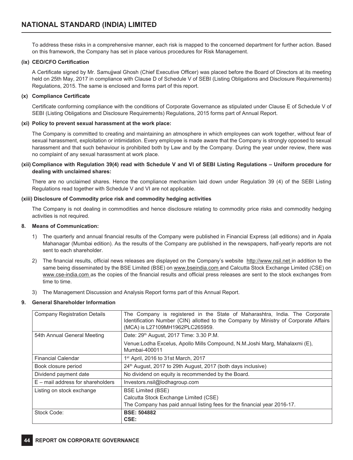To address these risks in a comprehensive manner, each risk is mapped to the concerned department for further action. Based on this framework, the Company has set in place various procedures for Risk Management.

### **(ix) CEO/CFO Certification**

A Certificate signed by Mr. Samujjwal Ghosh (Chief Executive Officer) was placed before the Board of Directors at its meeting held on 25th May, 2017 in compliance with Clause D of Schedule V of SEBI (Listing Obligations and Disclosure Requirements) Regulations, 2015. The same is enclosed and forms part of this report.

### **(x) Compliance Certificate**

Certificate conforming compliance with the conditions of Corporate Governance as stipulated under Clause E of Schedule V of SEBI (Listing Obligations and Disclosure Requirements) Regulations, 2015 forms part of Annual Report.

### **(xi) Policy to prevent sexual harassment at the work place:**

The Company is committed to creating and maintaining an atmosphere in which employees can work together, without fear of sexual harassment, exploitation or intimidation. Every employee is made aware that the Company is strongly opposed to sexual harassment and that such behaviour is prohibited both by Law and by the Company. During the year under review, there was no complaint of any sexual harassment at work place.

### (xii) Compliance with Regulation 39(4) read with Schedule V and VI of SEBI Listing Regulations – Uniform procedure for **dealing with unclaimed shares:**

There are no unclaimed shares. Hence the compliance mechanism laid down under Regulation 39 (4) of the SEBI Listing Regulations read together with Schedule V and VI are not applicable.

### **(xiii) Disclosure of Commodity price risk and commodity hedging activities**

The Company is not dealing in commodities and hence disclosure relating to commodity price risks and commodity hedging activities is not required.

### **8. Means of Communication:**

- 1) The quarterly and annual financial results of the Company were published in Financial Express (all editions) and in Apala Mahanagar (Mumbai edition). As the results of the Company are published in the newspapers, half-yearly reports are not sent to each shareholder.
- 2) The financial results, official news releases are displayed on the Company's website http://www.nsil.net in addition to the same being disseminated by the BSE Limited (BSE) on www.bseindia.com and Calcutta Stock Exchange Limited (CSE) on www.cse-india.com as the copies of the financial results and official press releases are sent to the stock exchanges from time to time.
- 3) The Management Discussion and Analysis Report forms part of this Annual Report.

### **9. General Shareholder Information**

| <b>Company Registration Details</b> | The Company is registered in the State of Maharashtra, India. The Corporate<br>Identification Number (CIN) allotted to the Company by Ministry of Corporate Affairs<br>(MCA) is L27109MH1962PLC265959. |  |  |  |  |
|-------------------------------------|--------------------------------------------------------------------------------------------------------------------------------------------------------------------------------------------------------|--|--|--|--|
| 54th Annual General Meeting         | Date: 29th August, 2017 Time: 3.30 P.M.                                                                                                                                                                |  |  |  |  |
|                                     | Venue:Lodha Excelus, Apollo Mills Compound, N.M.Joshi Marg, Mahalaxmi (E),<br>Mumbai-400011                                                                                                            |  |  |  |  |
| <b>Financial Calendar</b>           | $1st$ April, 2016 to 31st March, 2017                                                                                                                                                                  |  |  |  |  |
| Book closure period                 | 24 <sup>th</sup> August, 2017 to 29th August, 2017 (both days inclusive)                                                                                                                               |  |  |  |  |
| Dividend payment date               | No dividend on equity is recommended by the Board.                                                                                                                                                     |  |  |  |  |
| $E$ – mail address for shareholders | Investors.nsil@lodhagroup.com                                                                                                                                                                          |  |  |  |  |
| Listing on stock exchange           | <b>BSE Limited (BSE)</b>                                                                                                                                                                               |  |  |  |  |
|                                     | Calcutta Stock Exchange Limited (CSE)                                                                                                                                                                  |  |  |  |  |
|                                     | The Company has paid annual listing fees for the financial year 2016-17.                                                                                                                               |  |  |  |  |
| Stock Code:                         | <b>BSE: 504882</b><br>CSE:                                                                                                                                                                             |  |  |  |  |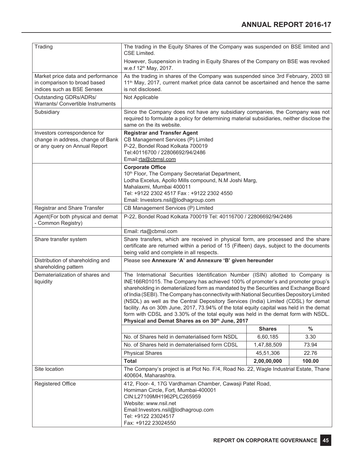| Trading                                                                                            | The trading in the Equity Shares of the Company was suspended on BSE limited and<br>CSE Limited.                                                                                                                                                                                                                                                                                                                                                                                                                                                                                                                                                                                    |               |               |  |  |
|----------------------------------------------------------------------------------------------------|-------------------------------------------------------------------------------------------------------------------------------------------------------------------------------------------------------------------------------------------------------------------------------------------------------------------------------------------------------------------------------------------------------------------------------------------------------------------------------------------------------------------------------------------------------------------------------------------------------------------------------------------------------------------------------------|---------------|---------------|--|--|
|                                                                                                    | However, Suspension in trading in Equity Shares of the Company on BSE was revoked<br>w.e.f 12 <sup>th</sup> May, 2017.                                                                                                                                                                                                                                                                                                                                                                                                                                                                                                                                                              |               |               |  |  |
| Market price data and performance<br>in comparison to broad based<br>indices such as BSE Sensex    | As the trading in shares of the Company was suspended since 3rd February, 2003 till<br>11 <sup>th</sup> May, 2017, current market price data cannot be ascertained and hence the same<br>is not disclosed.                                                                                                                                                                                                                                                                                                                                                                                                                                                                          |               |               |  |  |
| Outstanding GDRs/ADRs/<br>Warrants/ Convertible Instruments                                        | Not Applicable                                                                                                                                                                                                                                                                                                                                                                                                                                                                                                                                                                                                                                                                      |               |               |  |  |
| Subsidiary                                                                                         | Since the Company does not have any subsidiary companies, the Company was not<br>required to formulate a policy for determining material subsidiaries, neither disclose the<br>same on the its website.                                                                                                                                                                                                                                                                                                                                                                                                                                                                             |               |               |  |  |
| Investors correspondence for<br>change in address, change of Bank<br>or any query on Annual Report | <b>Registrar and Transfer Agent</b><br>CB Management Services (P) Limited<br>P-22, Bondel Road Kolkata 700019<br>Tel:40116700 / 22806692/94/2486<br>Email:rta@cbmsl.com                                                                                                                                                                                                                                                                                                                                                                                                                                                                                                             |               |               |  |  |
|                                                                                                    | <b>Corporate Office</b><br>10 <sup>th</sup> Floor, The Company Secretariat Department,<br>Lodha Excelus, Apollo Mills compound, N.M Joshi Marg,<br>Mahalaxmi, Mumbai 400011<br>Tel: +9122 2302 4517 Fax: +9122 2302 4550<br>Email: Investors.nsil@lodhagroup.com                                                                                                                                                                                                                                                                                                                                                                                                                    |               |               |  |  |
| Registrar and Share Transfer                                                                       | CB Management Services (P) Limited                                                                                                                                                                                                                                                                                                                                                                                                                                                                                                                                                                                                                                                  |               |               |  |  |
| Agent(For both physical and demat<br>- Common Registry)                                            | P-22, Bondel Road Kolkata 700019 Tel: 40116700 / 22806692/94/2486                                                                                                                                                                                                                                                                                                                                                                                                                                                                                                                                                                                                                   |               |               |  |  |
|                                                                                                    | Email: rta@cbmsl.com                                                                                                                                                                                                                                                                                                                                                                                                                                                                                                                                                                                                                                                                |               |               |  |  |
| Share transfer system                                                                              | Share transfers, which are received in physical form, are processed and the share<br>certificate are returned within a period of 15 (Fifteen) days, subject to the documents<br>being valid and complete in all respects.                                                                                                                                                                                                                                                                                                                                                                                                                                                           |               |               |  |  |
| Distribution of shareholding and<br>shareholding pattern                                           | Please see Annexure 'A' and Annexure 'B' given hereunder                                                                                                                                                                                                                                                                                                                                                                                                                                                                                                                                                                                                                            |               |               |  |  |
| Dematerialization of shares and<br>liquidity                                                       | The International Securities Identification Number (ISIN) allotted to Company is<br>INE166R01015. The Company has achieved 100% of promoter's and promoter group's<br>shareholding in dematerialized form as mandated by the Securities and Exchange Board<br>of India (SEBI). The Company has connectivity with National Securities Depository Limited<br>(NSDL) as well as the Central Depository Services (India) Limited (CDSL) for demat<br>facility. As on 30th June, 2017, 73.94% of the total equity capital was held in the demat<br>form with CDSL and 3.30% of the total equity was held in the demat form with NSDL.<br>Physical and Demat Shares as on 30th June, 2017 |               |               |  |  |
|                                                                                                    |                                                                                                                                                                                                                                                                                                                                                                                                                                                                                                                                                                                                                                                                                     | <b>Shares</b> | $\frac{0}{0}$ |  |  |
|                                                                                                    | No. of Shares held in dematerialised form NSDL                                                                                                                                                                                                                                                                                                                                                                                                                                                                                                                                                                                                                                      | 6,60,185      | 3.30          |  |  |
|                                                                                                    | No. of Shares held in dematerialised form CDSL                                                                                                                                                                                                                                                                                                                                                                                                                                                                                                                                                                                                                                      | 1,47,88,509   | 73.94         |  |  |
|                                                                                                    | <b>Physical Shares</b>                                                                                                                                                                                                                                                                                                                                                                                                                                                                                                                                                                                                                                                              | 45,51,306     | 22.76         |  |  |
|                                                                                                    | <b>Total</b><br>2,00,00,000<br>100.00                                                                                                                                                                                                                                                                                                                                                                                                                                                                                                                                                                                                                                               |               |               |  |  |
| Site location                                                                                      | The Company's project is at Plot No. F/4, Road No. 22, Wagle Industrial Estate, Thane<br>400604, Maharashtra.                                                                                                                                                                                                                                                                                                                                                                                                                                                                                                                                                                       |               |               |  |  |
| Registered Office                                                                                  | 412, Floor- 4, 17G Vardhaman Chamber, Cawasji Patel Road,<br>Horniman Circle, Fort, Mumbai-400001<br>CIN:L27109MH1962PLC265959<br>Website: www.nsil.net<br>Email: Investors.nsil@lodhagroup.com<br>Tel: +9122 23024517<br>Fax: +9122 23024550                                                                                                                                                                                                                                                                                                                                                                                                                                       |               |               |  |  |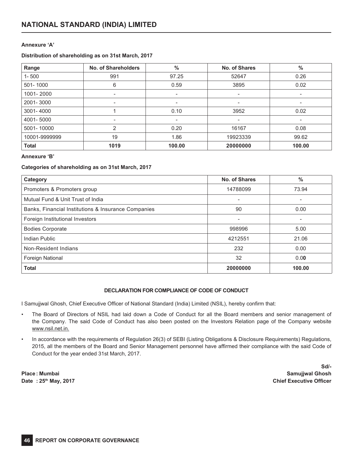### **Annexure 'A'**

### **Distribution of shareholding as on 31st March, 2017**

| Range         | No. of Shareholders | $\%$                     | No. of Shares            | $\frac{0}{0}$ |
|---------------|---------------------|--------------------------|--------------------------|---------------|
| $1 - 500$     | 991                 | 97.25                    | 52647                    | 0.26          |
| 501-1000      | 6                   | 0.59                     | 3895                     | 0.02          |
| 1001-2000     | ۰                   | $\overline{\phantom{0}}$ | $\overline{\phantom{0}}$ |               |
| 2001-3000     | -                   | $\overline{\phantom{a}}$ | $\overline{\phantom{0}}$ |               |
| 3001-4000     |                     | 0.10                     | 3952                     | 0.02          |
| 4001-5000     | ۰                   |                          | $\overline{\phantom{0}}$ |               |
| 5001-10000    | 2                   | 0.20                     | 16167                    | 0.08          |
| 10001-9999999 | 19                  | 1.86                     | 19923339                 | 99.62         |
| <b>Total</b>  | 1019                | 100.00                   | 20000000                 | 100.00        |

### **Annexure 'B'**

### **Categories of shareholding as on 31st March, 2017**

| Category                                            | No. of Shares            | $\%$   |
|-----------------------------------------------------|--------------------------|--------|
| Promoters & Promoters group                         | 14788099                 | 73.94  |
| Mutual Fund & Unit Trust of India                   |                          |        |
| Banks, Financial Institutions & Insurance Companies | 90                       | 0.00   |
| Foreign Institutional Investors                     | $\overline{\phantom{a}}$ |        |
| <b>Bodies Corporate</b>                             | 998996                   | 5.00   |
| Indian Public                                       | 4212551                  | 21.06  |
| Non-Resident Indians                                | 232                      | 0.00   |
| <b>Foreign National</b>                             | 32                       | 0.00   |
| <b>Total</b>                                        | 20000000                 | 100.00 |

### **DECLARATION FOR COMPLIANCE OF CODE OF CONDUCT**

I Samujjwal Ghosh, Chief Executive Officer of National Standard (India) Limited (NSIL), hereby confirm that:

- The Board of Directors of NSIL had laid down a Code of Conduct for all the Board members and senior management of the Company. The said Code of Conduct has also been posted on the Investors Relation page of the Company website www.nsil.net.in.
- In accordance with the requirements of Regulation 26(3) of SEBI (Listing Obligations & Disclosure Requirements) Regulations, 2015, all the members of the Board and Senior Management personnel have affirmed their compliance with the said Code of Conduct for the year ended 31st March, 2017.

**Date** : 25<sup>th</sup> May, 2017

**Sd/- Place : Mumbai Samujjwal Ghosh**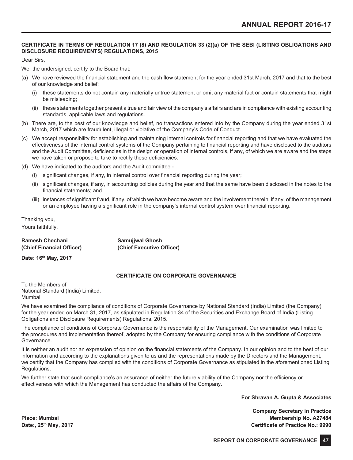### **CERTIFICATE IN TERMS OF REGULATION 17 (8) AND REGULATION 33 (2)(a) OF THE SEBI (LISTING OBLIGATIONS AND DISCLOSURE REQUIREMENTS) REGULATIONS, 2015**

Dear Sirs,

We, the undersigned, certify to the Board that:

- (a) We have reviewed the financial statement and the cash flow statement for the year ended 31st March, 2017 and that to the best of our knowledge and belief:
	- (i) these statements do not contain any materially untrue statement or omit any material fact or contain statements that might be misleading;
	- (ii) these statements together present a true and fair view of the company's affairs and are in compliance with existing accounting standards, applicable laws and regulations.
- (b) There are, to the best of our knowledge and belief, no transactions entered into by the Company during the year ended 31st March, 2017 which are fraudulent, illegal or violative of the Company's Code of Conduct.
- (c) We accept responsibility for establishing and maintaining internal controls for financial reporting and that we have evaluated the effectiveness of the internal control systems of the Company pertaining to financial reporting and have disclosed to the auditors and the Audit Committee, deficiencies in the design or operation of internal controls, if any, of which we are aware and the steps we have taken or propose to take to rectify these deficiencies.
- (d) We have indicated to the auditors and the Audit committee
	- (i) significant changes, if any, in internal control over financial reporting during the year;
	- (ii) significant changes, if any, in accounting policies during the year and that the same have been disclosed in the notes to the financial statements; and
	- (iii) instances of significant fraud, if any, of which we have become aware and the involvement therein, if any, of the management or an employee having a significant role in the company's internal control system over financial reporting.

Thanking you, Yours faithfully,

# **Ramesh Chechani Samujjwal Ghosh**

**(Chief Financial Officer) (Chief Executive Officer)**

**Date: 16th May, 2017**

### **CERTIFICATE ON CORPORATE GOVERNANCE**

To the Members of National Standard (India) Limited, Mumbai

We have examined the compliance of conditions of Corporate Governance by National Standard (India) Limited (the Company) for the year ended on March 31, 2017, as stipulated in Regulation 34 of the Securities and Exchange Board of India (Listing Obligations and Disclosure Requirements) Regulations, 2015.

The compliance of conditions of Corporate Governance is the responsibility of the Management. Our examination was limited to the procedures and implementation thereof, adopted by the Company for ensuring compliance with the conditions of Corporate Governance.

It is neither an audit nor an expression of opinion on the financial statements of the Company. In our opinion and to the best of our information and according to the explanations given to us and the representations made by the Directors and the Management, we certify that the Company has complied with the conditions of Corporate Governance as stipulated in the aforementioned Listing Regulations.

We further state that such compliance's an assurance of neither the future viability of the Company nor the efficiency or effectiveness with which the Management has conducted the affairs of the Company.

**For Shravan A. Gupta & Associates**

**Company Secretary in Practice Place: Mumbai Membership No. A27484 Date:, 25th May, 2017 Certificate of Practice No.: 9990**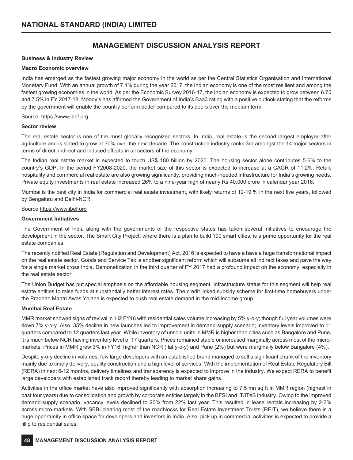### **MANAGEMENT DISCUSSION ANALYSIS REPORT**

### **Business & Industry Review**

### **Macro Economic overview**

India has emerged as the fastest growing major economy in the world as per the Central Statistics Organisation and International Monetary Fund. With an annual growth of 7.1% during the year 2017, the Indian economy is one of the most resilient and among the fastest growing economies in the world. As per the Economic Survey 2016-17, the Indian economy is expected to grow between 6.75 and 7.5% in FY 2017-18. Moody's has affirmed the Government of India's Baa3 rating with a positive outlook stating that the reforms by the government will enable the country perform better compared to its peers over the medium term.

### Source: https://www.ibef.org

### **Sector review**

The real estate sector is one of the most globally recognized sectors. In India, real estate is the second largest employer after agriculture and is slated to grow at 30% over the next decade. The construction industry ranks 3rd amongst the 14 major sectors in terms of direct, indirect and induced effects in all sectors of the economy.

The Indian real estate market is expected to touch US\$ 180 billion by 2020. The housing sector alone contributes 5-6% to the country's GDP. In the period FY2008-2020, the market size of this sector is expected to increase at a CAGR of 11.2%. Retail, hospitality and commercial real estate are also growing significantly, providing much-needed infrastructure for India's growing needs. Private equity investments in real estate increased 26% to a nine-year high of nearly Rs 40,000 crore in calendar year 2016.

Mumbai is the best city in India for commercial real estate investment, with likely returns of 12-19 % in the next five years, followed by Bengaluru and Delhi-NCR.

### Source https://www.ibef.org

### **Government Initiatives**

The Government of India along with the governments of the respective states has taken several initiatives to encourage the development in the sector. The Smart City Project, where there is a plan to build 100 smart cities, is a prime opportunity for the real estate companies.

The recently notified Real Estate (Regulation and Development) Act, 2016 is expected to have a have a huge transformational impact on the real estate sector. Goods and Service Tax is another significant reform which will subsume all indirect taxes and pave the way for a single market cross India. Demonetization in the third quarter of FY 2017 had a profound impact on the economy, especially in the real estate sector.

The Union Budget has put special emphasis on the affordable housing segment. Infrastructure status for this segment will help real estate entities to raise funds at substantially better interest rates. The credit linked subsidy scheme for first-time homebuyers under the Pradhan Mantri Awas Yojana is expected to push real estate demand in the mid-income group.

### **Mumbai Real Estate**

MMR market showed signs of revival in H2 FY16 with residential sales volume increasing by 5% y-o-y; though full year volumes were down 7% y-o-y. Also, 35% decline in new launches led to improvement in demand-supply scenario; inventory levels improved to 11 quarters compared to 12 quarters last year. While inventory of unsold units in MMR is higher than cities such as Bangalore and Pune, it is much below NCR having inventory level of 17 quarters. Prices remained stable or increased marginally across most of the micromarkets. Prices in MMR grew 3% in FY16, higher than NCR (flat y-o-y) and Pune (2%) but were marginally below Bangalore (4%).

Despite y-o-y decline in volumes, few large developers with an established brand managed to sell a significant chunk of the inventory mainly due to timely delivery, quality construction and a high level of services. With the implementation of Real Estate Regulatory Bill (RERA) in next 6-12 months, delivery timelines and transparency is expected to improve in the industry. We expect RERA to benefit large developers with established track record thereby leading to market share gains.

Activities in the office market have also improved significantly with absorption increasing to 7.5 mn sq ft in MMR region (highest in past four years) due to consolidation and growth by corporate entities largely in the BFSI and IT/ITeS industry. Owing to the improved demand-supply scenario, vacancy levels declined to 20% from 22% last year. This resulted in lease rentals increasing by 2-3% across micro-markets. With SEBI clearing most of the roadblocks for Real Estate Investment Trusts (REIT), we believe there is a huge opportunity in office space for developers and investors in India. Also, pick up in commercial activities is expected to provide a fillip to residential sales.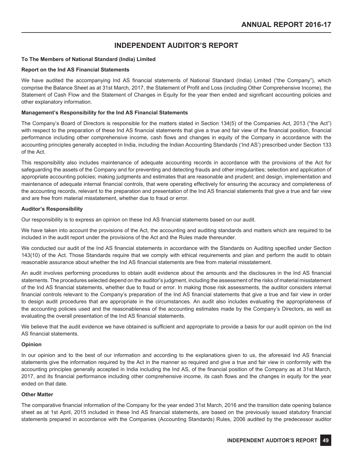### **INDEPENDENT AUDITOR'S REPORT**

### **To The Members of National Standard (India) Limited**

### **Report on the Ind AS Financial Statements**

We have audited the accompanying Ind AS financial statements of National Standard (India) Limited ("the Company"), which comprise the Balance Sheet as at 31st March, 2017, the Statement of Profit and Loss (including Other Comprehensive Income), the Statement of Cash Flow and the Statement of Changes in Equity for the year then ended and significant accounting policies and other explanatory information.

### **Management's Responsibility for the Ind AS Financial Statements**

The Company's Board of Directors is responsible for the matters stated in Section 134(5) of the Companies Act, 2013 ("the Act") with respect to the preparation of these Ind AS financial statements that give a true and fair view of the financial position, financial performance including other comprehensive income, cash flows and changes in equity of the Company in accordance with the accounting principles generally accepted in India, including the Indian Accounting Standards ('Ind AS') prescribed under Section 133 of the Act.

This responsibility also includes maintenance of adequate accounting records in accordance with the provisions of the Act for safeguarding the assets of the Company and for preventing and detecting frauds and other irregularities; selection and application of appropriate accounting policies; making judgments and estimates that are reasonable and prudent; and design, implementation and maintenance of adequate internal financial controls, that were operating effectively for ensuring the accuracy and completeness of the accounting records, relevant to the preparation and presentation of the Ind AS financial statements that give a true and fair view and are free from material misstatement, whether due to fraud or error.

### **Auditor's Responsibility**

Our responsibility is to express an opinion on these Ind AS financial statements based on our audit.

We have taken into account the provisions of the Act, the accounting and auditing standards and matters which are required to be included in the audit report under the provisions of the Act and the Rules made thereunder.

We conducted our audit of the Ind AS financial statements in accordance with the Standards on Auditing specified under Section 143(10) of the Act. Those Standards require that we comply with ethical requirements and plan and perform the audit to obtain reasonable assurance about whether the Ind AS financial statements are free from material misstatement.

An audit involves performing procedures to obtain audit evidence about the amounts and the disclosures in the Ind AS financial statements. The procedures selected depend on the auditor's judgment, including the assessment of the risks of material misstatement of the Ind AS financial statements, whether due to fraud or error. In making those risk assessments, the auditor considers internal financial controls relevant to the Company's preparation of the Ind AS financial statements that give a true and fair view in order to design audit procedures that are appropriate in the circumstances. An audit also includes evaluating the appropriateness of the accounting policies used and the reasonableness of the accounting estimates made by the Company's Directors, as well as evaluating the overall presentation of the Ind AS financial statements.

We believe that the audit evidence we have obtained is sufficient and appropriate to provide a basis for our audit opinion on the Ind AS financial statements.

### **Opinion**

In our opinion and to the best of our information and according to the explanations given to us, the aforesaid Ind AS financial statements give the information required by the Act in the manner so required and give a true and fair view in conformity with the accounting principles generally accepted in India including the Ind AS, of the financial position of the Company as at 31st March, 2017, and its financial performance including other comprehensive income, its cash flows and the changes in equity for the year ended on that date.

### **Other Matter**

The comparative financial information of the Company for the year ended 31st March, 2016 and the transition date opening balance sheet as at 1st April, 2015 included in these Ind AS financial statements, are based on the previously issued statutory financial statements prepared in accordance with the Companies (Accounting Standards) Rules, 2006 audited by the predecessor auditor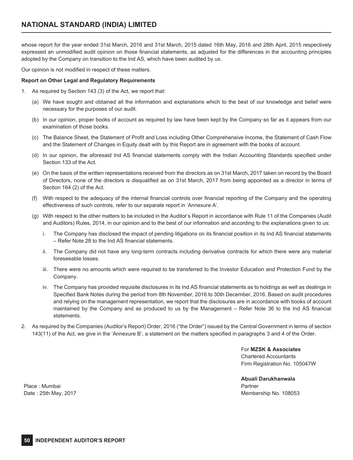whose report for the year ended 31st March, 2016 and 31st March, 2015 dated 16th May, 2016 and 28th April, 2015 respectively expressed an unmodified audit opinion on those financial statements, as adjusted for the differences in the accounting principles adopted by the Company on transition to the Ind AS, which have been audited by us.

Our opinion is not modified in respect of these matters.

### **Report on Other Legal and Regulatory Requirements**

- 1. As required by Section 143 (3) of the Act, we report that:
	- (a) We have sought and obtained all the information and explanations which to the best of our knowledge and belief were necessary for the purposes of our audit.
	- (b) In our opinion, proper books of account as required by law have been kept by the Company so far as it appears from our examination of those books.
	- (c) The Balance Sheet, the Statement of Profit and Loss including Other Comprehensive Income, the Statement of Cash Flow and the Statement of Changes in Equity dealt with by this Report are in agreement with the books of account.
	- (d) In our opinion, the aforesaid Ind AS financial statements comply with the Indian Accounting Standards specified under Section 133 of the Act.
	- (e) On the basis of the written representations received from the directors as on 31st March, 2017 taken on record by the Board of Directors, none of the directors is disqualified as on 31st March, 2017 from being appointed as a director in terms of Section 164 (2) of the Act.
	- (f) With respect to the adequacy of the internal financial controls over financial reporting of the Company and the operating effectiveness of such controls, refer to our separate report in 'Annexure A'.
	- (g) With respect to the other matters to be included in the Auditor's Report in accordance with Rule 11 of the Companies (Audit and Auditors) Rules, 2014, in our opinion and to the best of our information and according to the explanations given to us:
		- i. The Company has disclosed the impact of pending litigations on its financial position in its Ind AS financial statements – Refer Note 28 to the Ind AS financial statements.
		- ii. The Company did not have any long-term contracts including derivative contracts for which there were any material foreseeable losses.
		- iii. There were no amounts which were required to be transferred to the Investor Education and Protection Fund by the Company.
		- iv. The Company has provided requisite disclosures in its Ind AS financial statements as to holdings as well as dealings in Specified Bank Notes during the period from 8th November, 2016 to 30th December, 2016. Based on audit procedures and relying on the management representation, we report that the disclosures are in accordance with books of account maintained by the Company and as produced to us by the Management – Refer Note 36 to the Ind AS financial statements.
- 2. As required by the Companies (Auditor's Report) Order, 2016 ("the Order") issued by the Central Government in terms of section 143(11) of the Act, we give in the 'Annexure B', a statement on the matters specified in paragraphs 3 and 4 of the Order.

For **MZSK & Associates** Chartered Accountants Firm Registration No. 105047W

**Abuali Darukhanwala** Partner Membership No. 108053

Place : Mumbai Date : 25th May, 2017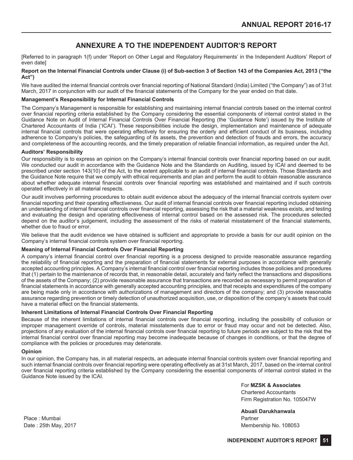### **ANNEXURE A TO THE INDEPENDENT AUDITOR'S REPORT**

[Referred to in paragraph 1(f) under 'Report on Other Legal and Regulatory Requirements' in the Independent Auditors' Report of even date]

### **Report on the Internal Financial Controls under Clause (i) of Sub-section 3 of Section 143 of the Companies Act, 2013 ("the Act")**

We have audited the internal financial controls over financial reporting of National Standard (India) Limited ("the Company") as of 31st March, 2017 in conjunction with our audit of the financial statements of the Company for the year ended on that date.

### **Management's Responsibility for Internal Financial Controls**

The Company's Management is responsible for establishing and maintaining internal financial controls based on the internal control over financial reporting criteria established by the Company considering the essential components of internal control stated in the Guidance Note on Audit of Internal Financial Controls Over Financial Reporting (the 'Guidance Note') issued by the Institute of Chartered Accountants of India ('ICAI'). These responsibilities include the design, implementation and maintenance of adequate internal financial controls that were operating effectively for ensuring the orderly and efficient conduct of its business, including adherence to Company's policies, the safeguarding of its assets, the prevention and detection of frauds and errors, the accuracy and completeness of the accounting records, and the timely preparation of reliable financial information, as required under the Act.

### **Auditors' Responsibility**

Our responsibility is to express an opinion on the Company's internal financial controls over financial reporting based on our audit. We conducted our audit in accordance with the Guidance Note and the Standards on Auditing, issued by ICAI and deemed to be prescribed under section 143(10) of the Act, to the extent applicable to an audit of internal financial controls. Those Standards and the Guidance Note require that we comply with ethical requirements and plan and perform the audit to obtain reasonable assurance about whether adequate internal financial controls over financial reporting was established and maintained and if such controls operated effectively in all material respects.

Our audit involves performing procedures to obtain audit evidence about the adequacy of the internal financial controls system over financial reporting and their operating effectiveness. Our audit of internal financial controls over financial reporting included obtaining an understanding of internal financial controls over financial reporting, assessing the risk that a material weakness exists, and testing and evaluating the design and operating effectiveness of internal control based on the assessed risk. The procedures selected depend on the auditor's judgement, including the assessment of the risks of material misstatement of the financial statements, whether due to fraud or error.

We believe that the audit evidence we have obtained is sufficient and appropriate to provide a basis for our audit opinion on the Company's internal financial controls system over financial reporting.

### **Meaning of Internal Financial Controls Over Financial Reporting**

A company's internal financial control over financial reporting is a process designed to provide reasonable assurance regarding the reliability of financial reporting and the preparation of financial statements for external purposes in accordance with generally accepted accounting principles. A Company's internal financial control over financial reporting includes those policies and procedures that (1) pertain to the maintenance of records that, in reasonable detail, accurately and fairly reflect the transactions and dispositions of the assets of the Company; (2) provide reasonable assurance that transactions are recorded as necessary to permit preparation of financial statements in accordance with generally accepted accounting principles, and that receipts and expenditures of the company are being made only in accordance with authorizations of management and directors of the company; and (3) provide reasonable assurance regarding prevention or timely detection of unauthorized acquisition, use, or disposition of the company's assets that could have a material effect on the financial statements.

### **Inherent Limitations of Internal Financial Controls Over Financial Reporting**

Because of the inherent limitations of internal financial controls over financial reporting, including the possibility of collusion or improper management override of controls, material misstatements due to error or fraud may occur and not be detected. Also, projections of any evaluation of the internal financial controls over financial reporting to future periods are subject to the risk that the internal financial control over financial reporting may become inadequate because of changes in conditions, or that the degree of compliance with the policies or procedures may deteriorate.

### **Opinion**

In our opinion, the Company has, in all material respects, an adequate internal financial controls system over financial reporting and such internal financial controls over financial reporting were operating effectively as at 31st March, 2017, based on the internal control over financial reporting criteria established by the Company considering the essential components of internal control stated in the Guidance Note issued by the ICAI.

> For **MZSK & Associates** Chartered Accountants Firm Registration No. 105047W

**Abuali Darukhanwala** Partner Membership No. 108053

Place : Mumbai Date : 25th May, 2017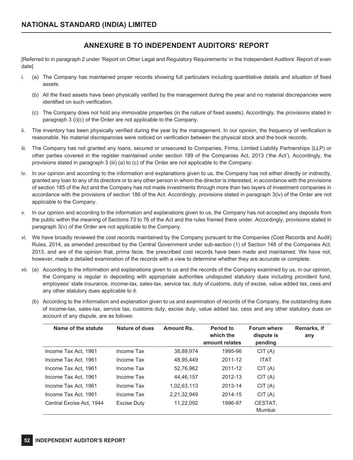### **ANNEXURE B TO INDEPENDENT AUDITORS' REPORT**

[Referred to in paragraph 2 under 'Report on Other Legal and Regulatory Requirements' in the Independent Auditors' Report of even date]

- i. (a) The Company has maintained proper records showing full particulars including quantitative details and situation of fixed assets.
	- (b) All the fixed assets have been physically verified by the management during the year and no material discrepancies were identified on such verification.
	- (c) The Company does not hold any immovable properties (in the nature of fixed assets). Accordingly, the provisions stated in paragraph 3 (i)(c) of the Order are not applicable to the Company.
- ii. The inventory has been physically verified during the year by the management. In our opinion, the frequency of verification is reasonable. No material discrepancies were noticed on verification between the physical stock and the book records.
- iii. The Company has not granted any loans, secured or unsecured to Companies, Firms, Limited Liability Partnerships (LLP) or other parties covered in the register maintained under section 189 of the Companies Act, 2013 ('the Act'). Accordingly, the provisions stated in paragraph 3 (iii) (a) to (c) of the Order are not applicable to the Company.
- iv. In our opinion and according to the information and explanations given to us, the Company has not either directly or indirectly, granted any loan to any of its directors or to any other person in whom the director is interested, in accordance with the provisions of section 185 of the Act and the Company has not made investments through more than two layers of investment companies in accordance with the provisions of section 186 of the Act. Accordingly, provisions stated in paragraph 3(iv) of the Order are not applicable to the Company.
- v. In our opinion and according to the information and explanations given to us, the Company has not accepted any deposits from the public within the meaning of Sections 73 to 76 of the Act and the rules framed there under. Accordingly, provisions stated in paragraph 3(v) of the Order are not applicable to the Company.
- vi. We have broadly reviewed the cost records maintained by the Company pursuant to the Companies (Cost Records and Audit) Rules, 2014, as amended prescribed by the Central Government under sub-section (1) of Section 148 of the Companies Act, 2013, and are of the opinion that, prima facie, the prescribed cost records have been made and maintained. We have not, however, made a detailed examination of the records with a view to determine whether they are accurate or complete.
- vii. (a) According to the information and explanations given to us and the records of the Company examined by us, in our opinion, the Company is regular in depositing with appropriate authorities undisputed statutory dues including provident fund, employees' state insurance, income-tax, sales-tax, service tax, duty of customs, duty of excise, value added tax, cess and any other statutory dues applicable to it.
	- (b) According to the information and explanation given to us and examination of records of the Company, the outstanding dues of income-tax, sales-tax, service tax, customs duty, excise duty, value added tax, cess and any other statutory dues on account of any dispute, are as follows:

| Name of the statute      | Nature of dues | Amount Rs.  | <b>Period to</b><br>which the<br>amount relates | <b>Forum where</b><br>dispute is<br>pending | Remarks, if<br>any |
|--------------------------|----------------|-------------|-------------------------------------------------|---------------------------------------------|--------------------|
| Income Tax Act, 1961     | Income Tax     | 38,89,974   | 1995-96                                         | CIT(A)                                      |                    |
| Income Tax Act, 1961     | Income Tax     | 48,95,449   | 2011-12                                         | <b>ITAT</b>                                 |                    |
| Income Tax Act. 1961     | Income Tax     | 52,76,962   | 2011-12                                         | CIT(A)                                      |                    |
| Income Tax Act. 1961     | Income Tax     | 44,46,157   | 2012-13                                         | CIT(A)                                      |                    |
| Income Tax Act. 1961     | Income Tax     | 1,02,63,113 | 2013-14                                         | CIT(A)                                      |                    |
| Income Tax Act. 1961     | Income Tax     | 2,21,32,949 | 2014-15                                         | CIT(A)                                      |                    |
| Central Excise Act. 1944 | Excise Duty    | 11,22,092   | 1996-97                                         | CESTAT,<br>Mumbai                           |                    |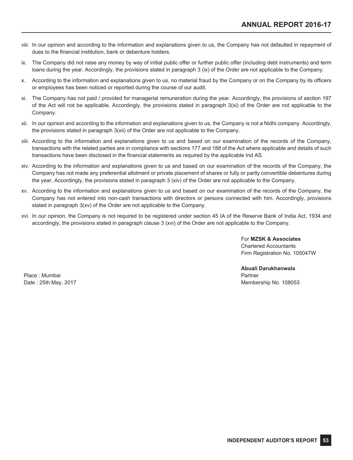- viii. In our opinion and according to the information and explanations given to us, the Company has not defaulted in repayment of dues to the financial institution, bank or debenture holders.
- ix. The Company did not raise any money by way of initial public offer or further public offer (including debt instruments) and term loans during the year. Accordingly, the provisions stated in paragraph 3 (ix) of the Order are not applicable to the Company.
- x. According to the information and explanations given to us, no material fraud by the Company or on the Company by its officers or employees has been noticed or reported during the course of our audit.
- xi. The Company has not paid / provided for managerial remuneration during the year. Accordingly, the provisions of section 197 of the Act will not be applicable. Accordingly, the provisions stated in paragraph 3(xi) of the Order are not applicable to the Company.
- xii. In our opinion and according to the information and explanations given to us, the Company is not a Nidhi company. Accordingly, the provisions stated in paragraph 3(xii) of the Order are not applicable to the Company.
- xiii. According to the information and explanations given to us and based on our examination of the records of the Company, transactions with the related parties are in compliance with sections 177 and 188 of the Act where applicable and details of such transactions have been disclosed in the financial statements as required by the applicable Ind AS.
- xiv. According to the information and explanations given to us and based on our examination of the records of the Company, the Company has not made any preferential allotment or private placement of shares or fully or partly convertible debentures during the year. Accordingly, the provisions stated in paragraph 3 (xiv) of the Order are not applicable to the Company.
- xv. According to the information and explanations given to us and based on our examination of the records of the Company, the Company has not entered into non-cash transactions with directors or persons connected with him. Accordingly, provisions stated in paragraph 3(xv) of the Order are not applicable to the Company.
- xvi. In our opinion, the Company is not required to be registered under section 45 IA of the Reserve Bank of India Act, 1934 and accordingly, the provisions stated in paragraph clause 3 (xvi) of the Order are not applicable to the Company.

For **MZSK & Associates** Chartered Accountants Firm Registration No. 105047W

Place : Mumbai Date : 25th May, 2017 **Abuali Darukhanwala** Partner Membership No. 108053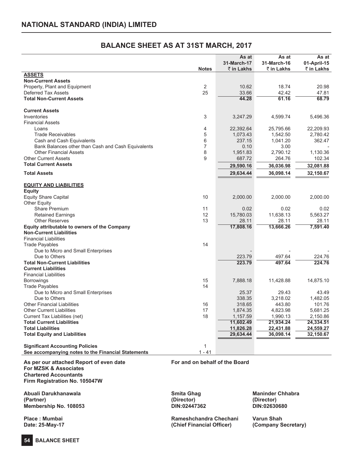### **BALANCE SHEET AS AT 31ST MARCH, 2017**

|                                                    |                | As at       | As at       | As at       |
|----------------------------------------------------|----------------|-------------|-------------|-------------|
|                                                    |                | 31-March-17 | 31-March-16 | 01-April-15 |
|                                                    | <b>Notes</b>   | ₹ in Lakhs  | ₹ in Lakhs  | ₹ in Lakhs  |
| <b>ASSETS</b>                                      |                |             |             |             |
| <b>Non-Current Assets</b>                          |                |             |             |             |
| Property, Plant and Equipment                      | $\overline{2}$ | 10.62       | 18.74       | 20.98       |
| <b>Deferred Tax Assets</b>                         | 25             | 33.66       | 42.42       | 47.81       |
| <b>Total Non-Current Assets</b>                    |                | 44.28       | 61.16       | 68.79       |
| <b>Current Assets</b>                              |                |             |             |             |
| Inventories                                        | 3              | 3,247.29    | 4,599.74    | 5,496.36    |
| <b>Financial Assets</b>                            |                |             |             |             |
| Loans                                              | 4              | 22,392.64   | 25,795.66   | 22,209.93   |
| <b>Trade Receivables</b>                           | 5              | 1,073.43    | 1,542.50    | 2,780.42    |
| Cash and Cash Equivalents                          | 6              | 237.15      | 1,041.20    | 362.47      |
| Bank Balances other than Cash and Cash Equivalents | $\overline{7}$ | 0.10        | 3.00        |             |
| <b>Other Financial Assets</b>                      | 8              | 1,951.83    | 2,790.12    | 1,130.36    |
| <b>Other Current Assets</b>                        | 9              | 687.72      | 264.76      | 102.34      |
| <b>Total Current Assets</b>                        |                |             |             |             |
|                                                    |                | 29,590.16   | 36,036.98   | 32,081.88   |
| <b>Total Assets</b>                                |                | 29,634.44   | 36,098.14   | 32,150.67   |
| <b>EQUITY AND LIABILITIES</b>                      |                |             |             |             |
| <b>Equity</b>                                      |                |             |             |             |
| <b>Equity Share Capital</b>                        | 10             | 2,000.00    | 2.000.00    | 2,000.00    |
| <b>Other Equity</b>                                |                |             |             |             |
| Share Premium                                      | 11             | 0.02        | 0.02        | 0.02        |
| <b>Retained Earnings</b>                           | 12             | 15,780.03   | 11,638.13   | 5,563.27    |
| <b>Other Reserves</b>                              | 13             | 28.11       | 28.11       | 28.11       |
| Equity attributable to owners of the Company       |                | 17,808.16   | 13,666.26   | 7,591.40    |
| <b>Non-Current Liabilities</b>                     |                |             |             |             |
| <b>Financial Liabilities</b>                       |                |             |             |             |
| <b>Trade Payables</b>                              | 14             |             |             |             |
| Due to Micro and Small Enterprises                 |                |             |             |             |
| Due to Others                                      |                | 223.79      | 497.64      | 224.76      |
| <b>Total Non-Current Liabilities</b>               |                | 223.79      | 497.64      | 224.76      |
| <b>Current Liabilities</b>                         |                |             |             |             |
| <b>Financial Liabilities</b>                       |                |             |             |             |
| <b>Borrowings</b>                                  | 15             | 7,888.18    | 11,428.88   | 14,875.10   |
| <b>Trade Payables</b>                              | 14             |             |             |             |
| Due to Micro and Small Enterprises                 |                | 25.37       | 29.43       | 43.49       |
| Due to Others                                      |                | 338.35      | 3.218.02    | 1,482.05    |
| <b>Other Financial Liabilities</b>                 | 16             | 318.65      | 443.80      | 101.76      |
| <b>Other Current Liabilities</b>                   | 17             | 1,874.35    | 4,823.98    | 5,681.25    |
|                                                    | 18             |             |             |             |
| Current Tax Liabilities (net)                      |                | 1,157.59    | 1,990.13    | 2,150.86    |
| <b>Total Current Liabilities</b>                   |                | 11,602.49   | 21,934.24   | 24,334.51   |
| <b>Total Liabilities</b>                           |                | 11,826.28   | 22,431.88   | 24,559.27   |
| <b>Total Equity and Liabilities</b>                |                | 29,634.44   | 36,098.14   | 32,150.67   |
| <b>Significant Accounting Policies</b>             | $\mathbf{1}$   |             |             |             |
| See accompanying notes to the Financial Statements | $1 - 41$       |             |             |             |

**As per our attached Report of even date For and on behalf of the Board For MZSK & Associates Chartered Accountants Firm Registration No. 105047W**

**Abuali Darukhanawala Smita Ghag Maninder Chhabra (Partner) (Director) (Director) Membership No. 108053 DIN:02447362 DIN:02630680**

**Place : Mumbai Rameshchandra Chechani Varun Shah Date: 25-May-17 (Chief Financial Officer) (Company Secretary)**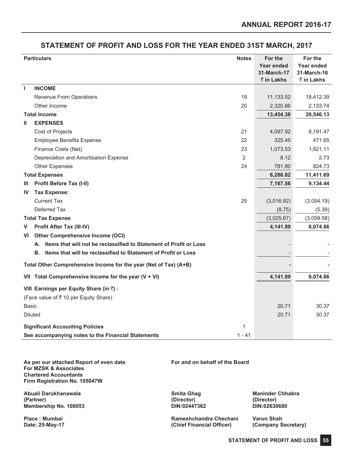### **STATEMENT OF PROFIT AND LOSS FOR THE YEAR ENDED 31ST MARCH, 2017**

|              | <b>Particulars</b>                                                       |          | For the<br><b>Year ended</b> | For the<br>Year ended     |
|--------------|--------------------------------------------------------------------------|----------|------------------------------|---------------------------|
|              |                                                                          |          | 31-March-17<br>₹ in Lakhs    | 31-March-16<br>₹ in Lakhs |
| J.           | <b>INCOME</b>                                                            |          |                              |                           |
|              | Revenue From Operations                                                  | 19       | 11,133.52                    | 18,412.39                 |
|              | Other Income                                                             | 20       | 2,320.86                     | 2,133.74                  |
|              | <b>Total Income</b>                                                      |          | 13,454.38                    | 20,546.13                 |
| Ш            | <b>EXPENSES</b>                                                          |          |                              |                           |
|              | Cost of Projects                                                         | 21       | 4,097.92                     | 8,191.47                  |
|              | <b>Employee Benefits Expense</b>                                         | 22       | 325.45                       | 471.65                    |
|              | Finance Costs (Net)                                                      | 23       | 1,073.53                     | 1,921.11                  |
|              | Depreciation and Amortisation Expense                                    | 2        | 8.12                         | 2.73                      |
|              | <b>Other Expenses</b>                                                    | 24       | 781.80                       | 824.73                    |
|              | <b>Total Expenses</b>                                                    |          | 6,286.82                     | 11,411.69                 |
| Ш            | <b>Profit Before Tax (I-II)</b>                                          |          | 7,167.56                     | 9,134.44                  |
| IV           | <b>Tax Expense:</b>                                                      |          |                              |                           |
|              | <b>Current Tax</b>                                                       | 25       | (3,016.92)                   | (3,054.19)                |
|              | Deferred Tax                                                             |          | (8.75)                       | (5.39)                    |
|              | <b>Total Tax Expense</b>                                                 |          | (3,025.67)                   | (3,059.58)                |
| V            | <b>Profit After Tax (III-IV)</b>                                         |          | 4,141.89                     | 6,074.86                  |
| VI           | <b>Other Comprehensive Income (OCI)</b>                                  |          |                              |                           |
|              | Items that will not be reclassified to Statement of Profit or Loss<br>А. |          |                              |                           |
|              | Items that will be reclassified to Statement of Profit or Loss<br>В.     |          |                              |                           |
|              | Total Other Comprehensive Income for the year (Net of Tax) (A+B)         |          |                              |                           |
|              | VII Total Comprehensive Income for the year $(V + VI)$                   |          | 4,141.89                     | 6,074.86                  |
|              | VIII Earnings per Equity Share (in ₹) :                                  |          |                              |                           |
|              | (Face value of ₹ 10 per Equity Share)                                    |          |                              |                           |
| <b>Basic</b> |                                                                          |          | 20.71                        | 30.37                     |
|              | <b>Diluted</b>                                                           |          | 20.71                        | 30.37                     |
|              | <b>Significant Accounting Policies</b>                                   | 1        |                              |                           |
|              | See accompanying notes to the Financial Statements                       | $1 - 41$ |                              |                           |

**As per our attached Report of even date For and on behalf of the Board For MZSK & Associates Chartered Accountants Firm Registration No. 105047W**

**Abuali Darukhanawala Smita Ghag Maninder Chhabra (Partner) (Director) (Director) Membership No. 108053 DIN:02447362 DIN:02630680**

Place : Mumbai **Place : Mumbai Rameshchandra Chechani Varun Shah**<br> **Place : 25-May-17 Rameshchandra Chechani** (Chief Financial Officer) (Company Secretary) **Date: 25-May-17 (Chief Financial Officer) (Company Secretary)**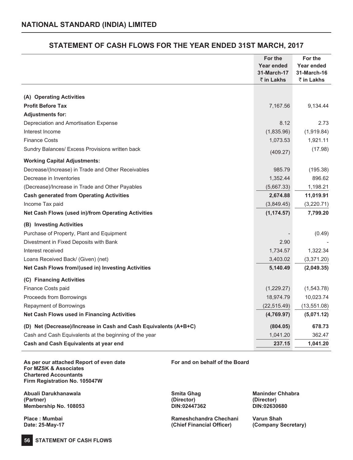## **STATEMENT OF CASH FLOWS FOR THE YEAR ENDED 31ST MARCH, 2017**

|                                                                  | For the<br>Year ended<br>31-March-17<br>₹ in Lakhs | For the<br>Year ended<br>31-March-16<br>₹ in Lakhs |
|------------------------------------------------------------------|----------------------------------------------------|----------------------------------------------------|
|                                                                  |                                                    |                                                    |
| (A) Operating Activities                                         |                                                    |                                                    |
| <b>Profit Before Tax</b>                                         | 7,167.56                                           | 9,134.44                                           |
| <b>Adjustments for:</b>                                          |                                                    |                                                    |
| Depreciation and Amortisation Expense                            | 8.12                                               | 2.73                                               |
| Interest Income                                                  | (1,835.96)                                         | (1,919.84)                                         |
| <b>Finance Costs</b>                                             | 1,073.53                                           | 1,921.11                                           |
| Sundry Balances/ Excess Provisions written back                  | (409.27)                                           | (17.98)                                            |
| <b>Working Capital Adjustments:</b>                              |                                                    |                                                    |
| Decrease/(Increase) in Trade and Other Receivables               | 985.79                                             | (195.38)                                           |
| Decrease in Inventories                                          | 1,352.44                                           | 896.62                                             |
| (Decrease)/Increase in Trade and Other Payables                  | (5,667.33)                                         | 1,198.21                                           |
| <b>Cash generated from Operating Activities</b>                  | 2,674.88                                           | 11,019.91                                          |
| Income Tax paid                                                  | (3,849.45)                                         | (3,220.71)                                         |
| Net Cash Flows (used in)/from Operating Activities               | (1, 174.57)                                        | 7,799.20                                           |
| (B) Investing Activities                                         |                                                    |                                                    |
| Purchase of Property, Plant and Equipment                        |                                                    | (0.49)                                             |
| Divestment in Fixed Deposits with Bank                           | 2.90                                               |                                                    |
| Interest received                                                | 1,734.57                                           | 1,322.34                                           |
| Loans Received Back/ (Given) (net)                               | 3,403.02                                           | (3,371.20)                                         |
| Net Cash Flows from/(used in) Investing Activities               | 5,140.49                                           | (2,049.35)                                         |
| (C) Financing Activities                                         |                                                    |                                                    |
| Finance Costs paid                                               | (1,229.27)                                         | (1,543.78)                                         |
| Proceeds from Borrowings                                         | 18,974.79                                          | 10,023.74                                          |
| Repayment of Borrowings                                          | (22, 515.49)                                       | (13,551.08)                                        |
| Net Cash Flows used in Financing Activities                      | (4,769.97)                                         | (5,071.12)                                         |
| (D) Net (Decrease)/Increase in Cash and Cash Equivalents (A+B+C) | (804.05)                                           | 678.73                                             |
| Cash and Cash Equivalents at the beginning of the year           | 1,041.20                                           | 362.47                                             |
| Cash and Cash Equivalents at year end                            | 237.15                                             | 1,041.20                                           |
|                                                                  |                                                    |                                                    |

**As per our attached Report of even date For and on behalf of the Board For MZSK & Associates Chartered Accountants Firm Registration No. 105047W**

Abuali Darukhanawala **Maninder Chhabra** Smita Ghag **Maninder Chhabra**<br>(Partner) (Director) (Director) (Director) **(Partner) (Director) (Director) Membership No. 108053 DIN:02447362 DIN:02630680**

**56 STATEMENT OF CASH FLOWS**

Place : Mumbai **Place : Mumbai Rameshchandra Chechani Varun Shah**<br> **Place : 25-May-17 Rameshchandra Chechani** (Chief Financial Officer) (Company Secretary) **Date: 25-May-17 (Chief Financial Officer) (Company Secretary)**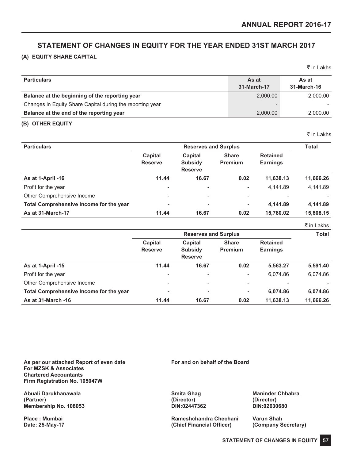### **STATEMENT OF CHANGES IN EQUITY FOR THE YEAR ENDED 31ST MARCH 2017**

### **(A) EQUITY SHARE CAPITAL**

|                                                           |             | . <u>.</u>  |
|-----------------------------------------------------------|-------------|-------------|
| <b>Particulars</b>                                        | As at       | As at       |
|                                                           | 31-March-17 | 31-March-16 |
| Balance at the beginning of the reporting year            | 2.000.00    | 2,000.00    |
| Changes in Equity Share Capital during the reporting year |             |             |
| Balance at the end of the reporting year                  | 2,000.00    | 2,000.00    |

### **(B) OTHER EQUITY**

₹ in Lakhs

 $\bar{\tau}$  in Lakhs

| <b>Particulars</b>                      |                           | <b>Total</b>                                       |                                |                                    |           |  |
|-----------------------------------------|---------------------------|----------------------------------------------------|--------------------------------|------------------------------------|-----------|--|
|                                         | Capital<br><b>Reserve</b> | <b>Capital</b><br><b>Subsidy</b><br><b>Reserve</b> | <b>Share</b><br><b>Premium</b> | <b>Retained</b><br><b>Earnings</b> |           |  |
| As at 1-April -16                       | 11.44                     | 16.67                                              | 0.02                           | 11,638.13                          | 11,666.26 |  |
| Profit for the year                     | -                         |                                                    | $\overline{\phantom{a}}$       | 4.141.89                           | 4.141.89  |  |
| Other Comprehensive Income              | $\overline{\phantom{a}}$  | $\overline{\phantom{0}}$                           | $\overline{\phantom{a}}$       |                                    |           |  |
| Total Comprehensive Income for the year | ۰                         | ۰                                                  | $\overline{\phantom{a}}$       | 4.141.89                           | 4,141.89  |  |
| As at 31-March-17                       | 11.44                     | 16.67                                              | 0.02                           | 15,780.02                          | 15,808.15 |  |

|                                         |                          |                             |                          |                 | ₹ in Lakhs   |
|-----------------------------------------|--------------------------|-----------------------------|--------------------------|-----------------|--------------|
|                                         |                          | <b>Reserves and Surplus</b> |                          |                 | <b>Total</b> |
|                                         | Capital                  | Capital                     | <b>Share</b>             | <b>Retained</b> |              |
|                                         | <b>Reserve</b>           | <b>Subsidy</b>              | <b>Premium</b>           | <b>Earnings</b> |              |
|                                         |                          | <b>Reserve</b>              |                          |                 |              |
| As at 1-April -15                       | 11.44                    | 16.67                       | 0.02                     | 5,563.27        | 5,591.40     |
| Profit for the year                     | $\overline{\phantom{0}}$ | $\overline{\phantom{a}}$    | $\overline{\phantom{a}}$ | 6.074.86        | 6,074.86     |
| Other Comprehensive Income              | -                        | $\overline{\phantom{a}}$    | $\overline{\phantom{a}}$ |                 |              |
| Total Comprehensive Income for the year |                          | ۰                           | ۰                        | 6,074.86        | 6,074.86     |
| As at 31-March -16                      | 11.44                    | 16.67                       | 0.02                     | 11.638.13       | 11.666.26    |

**As per our attached Report of even date For and on behalf of the Board For MZSK & Associates Chartered Accountants Firm Registration No. 105047W**

**Abuali Darukhanawala Smita Ghag Maninder Chhabra (Partner) (Director) (Director) Membership No. 108053 DIN:02447362 DIN:02630680**

**Place : Mumbai Rameshchandra Chechani Varun Shah Date: 25-May-17 (Chief Financial Officer) (Company Secretary)**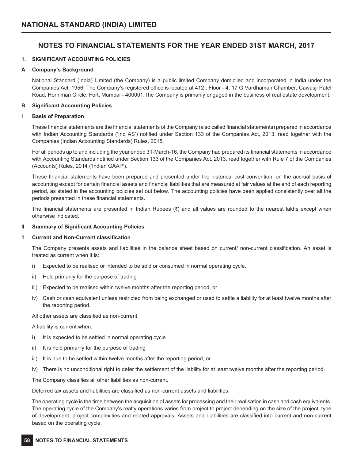### **NOTES TO FINANCIAL STATEMENTS FOR THE YEAR ENDED 31ST MARCH, 2017**

### **1. SIGNIFICANT ACCOUNTING POLICIES**

### **A Company's Background**

National Standard (India) Limited (the Company) is a public limited Company domiciled and incorporated in India under the Companies Act, 1956. The Company's registered office is located at 412 , Floor - 4, 17 G Vardhaman Chamber, Cawasji Patel Road, Horniman Circle, Fort, Mumbai - 400001.The Company is primarily engaged in the business of real estate development.

### **B Significant Accounting Policies**

### **I Basis of Preparation**

These financial statements are the financial statements of the Company (also called financial statements) prepared in accordance with Indian Accounting Standards ('Ind AS') notified under Section 133 of the Companies Act, 2013, read together with the Companies (Indian Accounting Standards) Rules, 2015.

For all periods up to and including the year ended 31-March-16, the Company had prepared its financial statements in accordance with Accounting Standards notified under Section 133 of the Companies Act, 2013, read together with Rule 7 of the Companies (Accounts) Rules, 2014 ('Indian GAAP').

These financial statements have been prepared and presented under the historical cost convention, on the accrual basis of accounting except for certain financial assets and financial liabilities that are measured at fair values at the end of each reporting period, as stated in the accounting policies set out below. The accounting policies have been applied consistently over all the periods presented in these financial statements.

The financial statements are presented in Indian Rupees  $(3)$  and all values are rounded to the nearest lakhs except when otherwise indicated.

### **II Summary of Significant Accounting Policies**

### **1 Current and Non-Current classification**

The Company presents assets and liabilities in the balance sheet based on current/ non-current classification. An asset is treated as current when it is:

- i) Expected to be realised or intended to be sold or consumed in normal operating cycle.
- ii) Held primarily for the purpose of trading
- iii) Expected to be realised within twelve months after the reporting period, or
- iv) Cash or cash equivalent unless restricted from being exchanged or used to settle a liability for at least twelve months after the reporting period.

All other assets are classified as non-current.

A liability is current when:

- i) It is expected to be settled in normal operating cycle
- ii) It is held primarily for the purpose of trading
- iii) It is due to be settled within twelve months after the reporting period, or
- iv) There is no unconditional right to defer the settlement of the liability for at least twelve months after the reporting period.

The Company classifies all other liabilities as non-current.

Deferred tax assets and liabilities are classified as non-current assets and liabilities.

The operating cycle is the time between the acquisition of assets for processing and their realisation in cash and cash equivalents. The operating cycle of the Company's realty operations varies from project to project depending on the size of the project, type of development, project complexities and related approvals. Assets and Liabilities are classified into current and non-current based on the operating cycle.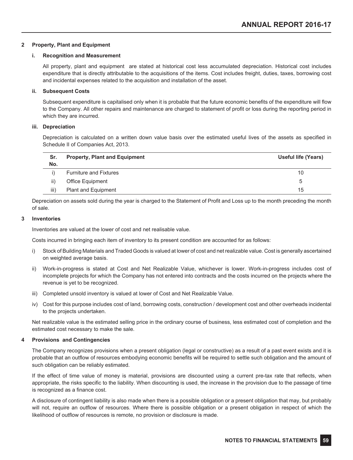### **2 Property, Plant and Equipment**

### **i. Recognition and Measurement**

All property, plant and equipment are stated at historical cost less accumulated depreciation. Historical cost includes expenditure that is directly attributable to the acquisitions of the items. Cost includes freight, duties, taxes, borrowing cost and incidental expenses related to the acquisition and installation of the asset.

### **ii. Subsequent Costs**

Subsequent expenditure is capitalised only when it is probable that the future economic benefits of the expenditure will flow to the Company. All other repairs and maintenance are charged to statement of profit or loss during the reporting period in which they are incurred.

### **iii. Depreciation**

Depreciation is calculated on a written down value basis over the estimated useful lives of the assets as specified in Schedule II of Companies Act, 2013.

| Sr.  | <b>Property, Plant and Equipment</b> | Useful life (Years) |
|------|--------------------------------------|---------------------|
| No.  |                                      |                     |
|      | <b>Furniture and Fixtures</b>        | 10                  |
| ii)  | Office Equipment                     | b                   |
| iii) | Plant and Equipment                  | 15                  |

Depreciation on assets sold during the year is charged to the Statement of Profit and Loss up to the month preceding the month of sale.

### **3 Inventories**

Inventories are valued at the lower of cost and net realisable value.

Costs incurred in bringing each item of inventory to its present condition are accounted for as follows:

- i) Stock of Building Materials and Traded Goods is valued at lower of cost and net realizable value. Cost is generally ascertained on weighted average basis.
- ii) Work-in-progress is stated at Cost and Net Realizable Value, whichever is lower. Work-in-progress includes cost of incomplete projects for which the Company has not entered into contracts and the costs incurred on the projects where the revenue is yet to be recognized.
- iii) Completed unsold inventory is valued at lower of Cost and Net Realizable Value.
- iv) Cost for this purpose includes cost of land, borrowing costs, construction / development cost and other overheads incidental to the projects undertaken.

Net realizable value is the estimated selling price in the ordinary course of business, less estimated cost of completion and the estimated cost necessary to make the sale.

### **4 Provisions and Contingencies**

The Company recognizes provisions when a present obligation (legal or constructive) as a result of a past event exists and it is probable that an outflow of resources embodying economic benefits will be required to settle such obligation and the amount of such obligation can be reliably estimated.

If the effect of time value of money is material, provisions are discounted using a current pre-tax rate that reflects, when appropriate, the risks specific to the liability. When discounting is used, the increase in the provision due to the passage of time is recognized as a finance cost.

A disclosure of contingent liability is also made when there is a possible obligation or a present obligation that may, but probably will not, require an outflow of resources. Where there is possible obligation or a present obligation in respect of which the likelihood of outflow of resources is remote, no provision or disclosure is made.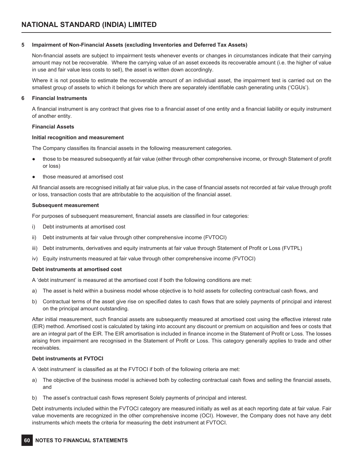### **5 Impairment of Non-Financial Assets (excluding Inventories and Deferred Tax Assets)**

Non-financial assets are subject to impairment tests whenever events or changes in circumstances indicate that their carrying amount may not be recoverable. Where the carrying value of an asset exceeds its recoverable amount (i.e. the higher of value in use and fair value less costs to sell), the asset is written down accordingly.

Where it is not possible to estimate the recoverable amount of an individual asset, the impairment test is carried out on the smallest group of assets to which it belongs for which there are separately identifiable cash generating units ('CGUs').

### **6 Financial Instruments**

A financial instrument is any contract that gives rise to a financial asset of one entity and a financial liability or equity instrument of another entity.

### **Financial Assets**

### **Initial recognition and measurement**

The Company classifies its financial assets in the following measurement categories.

- those to be measured subsequently at fair value (either through other comprehensive income, or through Statement of profit or loss)
- those measured at amortised cost

All financial assets are recognised initially at fair value plus, in the case of financial assets not recorded at fair value through profit or loss, transaction costs that are attributable to the acquisition of the financial asset.

### **Subsequent measurement**

For purposes of subsequent measurement, financial assets are classified in four categories:

- i) Debt instruments at amortised cost
- ii) Debt instruments at fair value through other comprehensive income (FVTOCI)
- iii) Debt instruments, derivatives and equity instruments at fair value through Statement of Profit or Loss (FVTPL)
- iv) Equity instruments measured at fair value through other comprehensive income (FVTOCI)

### **Debt instruments at amortised cost**

A 'debt instrument' is measured at the amortised cost if both the following conditions are met:

- a) The asset is held within a business model whose objective is to hold assets for collecting contractual cash flows, and
- b) Contractual terms of the asset give rise on specified dates to cash flows that are solely payments of principal and interest on the principal amount outstanding.

After initial measurement, such financial assets are subsequently measured at amortised cost using the effective interest rate (EIR) method. Amortised cost is calculated by taking into account any discount or premium on acquisition and fees or costs that are an integral part of the EIR. The EIR amortisation is included in finance income in the Statement of Profit or Loss. The losses arising from impairment are recognised in the Statement of Profit or Loss. This category generally applies to trade and other receivables.

### **Debt instruments at FVTOCI**

A 'debt instrument' is classified as at the FVTOCI if both of the following criteria are met:

- a) The objective of the business model is achieved both by collecting contractual cash flows and selling the financial assets, and
- b) The asset's contractual cash flows represent Solely payments of principal and interest.

Debt instruments included within the FVTOCI category are measured initially as well as at each reporting date at fair value. Fair value movements are recognized in the other comprehensive income (OCI). However, the Company does not have any debt instruments which meets the criteria for measuring the debt instrument at FVTOCI.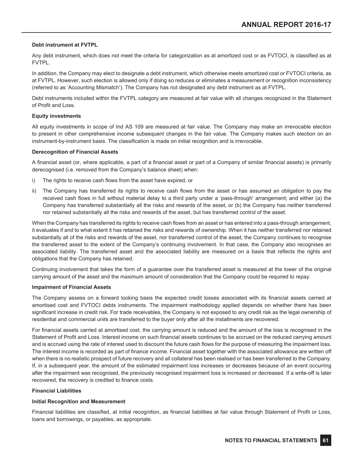### **Debt instrument at FVTPL**

Any debt instrument, which does not meet the criteria for categorization as at amortized cost or as FVTOCI, is classified as at FVTPL.

In addition, the Company may elect to designate a debt instrument, which otherwise meets amortized cost or FVTOCI criteria, as at FVTPL. However, such election is allowed only if doing so reduces or eliminates a measurement or recognition inconsistency (referred to as 'Accounting Mismatch'). The Company has not designated any debt instrument as at FVTPL.

Debt instruments included within the FVTPL category are measured at fair value with all changes recognized in the Statement of Profit and Loss.

### **Equity investments**

All equity investments in scope of Ind AS 109 are measured at fair value. The Company may make an irrevocable election to present in other comprehensive income subsequent changes in the fair value. The Company makes such election on an instrument-by-instrument basis. The classification is made on initial recognition and is irrevocable.

### **Derecognition of Financial Assets**

A financial asset (or, where applicable, a part of a financial asset or part of a Company of similar financial assets) is primarily derecognised (i.e. removed from the Company's balance sheet) when:

- i) The rights to receive cash flows from the asset have expired, or
- ii) The Company has transferred its rights to receive cash flows from the asset or has assumed an obligation to pay the received cash flows in full without material delay to a third party under a 'pass-through' arrangement; and either (a) the Company has transferred substantially all the risks and rewards of the asset, or (b) the Company has neither transferred nor retained substantially all the risks and rewards of the asset, but has transferred control of the asset.

When the Company has transferred its rights to receive cash flows from an asset or has entered into a pass-through arrangement, it evaluates if and to what extent it has retained the risks and rewards of ownership. When it has neither transferred nor retained substantially all of the risks and rewards of the asset, nor transferred control of the asset, the Company continues to recognise the transferred asset to the extent of the Company's continuing involvement. In that case, the Company also recognises an associated liability. The transferred asset and the associated liability are measured on a basis that reflects the rights and obligations that the Company has retained.

Continuing involvement that takes the form of a guarantee over the transferred asset is measured at the lower of the original carrying amount of the asset and the maximum amount of consideration that the Company could be required to repay.

### **Impairment of Financial Assets**

The Company assess on a forward looking basis the expected credit losses associated with its financial assets carried at amortised cost and FVTOCI debts instruments. The impairment methodology applied depends on whether there has been significant increase in credit risk. For trade receivables, the Company is not exposed to any credit risk as the legal ownership of residential and commercial units are transferred to the buyer only after all the installments are recovered.

For financial assets carried at amortised cost, the carrying amount is reduced and the amount of the loss is recognised in the Statement of Profit and Loss. Interest income on such financial assets continues to be accrued on the reduced carrying amount and is accrued using the rate of interest used to discount the future cash flows for the purpose of measuring the impairment loss. The interest income is recorded as part of finance income. Financial asset together with the associated allowance are written off when there is no realistic prospect of future recovery and all collateral has been realised or has been transferred to the Company. If, in a subsequent year, the amount of the estimated impairment loss increases or decreases because of an event occurring after the impairment was recognised, the previously recognised impairment loss is increased or decreased. If a write-off is later recovered, the recovery is credited to finance costs.

### **Financial Liabilities**

### **Initial Recognition and Measurement**

Financial liabilities are classified, at initial recognition, as financial liabilities at fair value through Statement of Profit or Loss, loans and borrowings, or payables, as appropriate.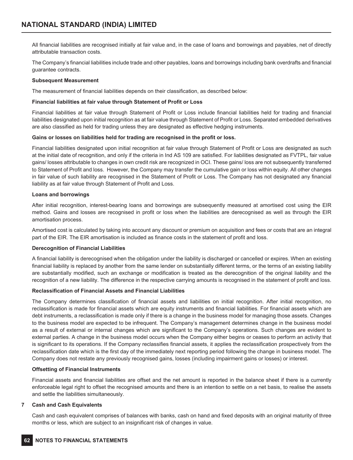All financial liabilities are recognised initially at fair value and, in the case of loans and borrowings and payables, net of directly attributable transaction costs.

The Company's financial liabilities include trade and other payables, loans and borrowings including bank overdrafts and financial guarantee contracts.

### **Subsequent Measurement**

The measurement of financial liabilities depends on their classification, as described below:

### **Financial liabilities at fair value through Statement of Profit or Loss**

Financial liabilities at fair value through Statement of Profit or Loss include financial liabilities held for trading and financial liabilities designated upon initial recognition as at fair value through Statement of Profit or Loss. Separated embedded derivatives are also classified as held for trading unless they are designated as effective hedging instruments.

### **Gains or losses on liabilities held for trading are recognised in the profit or loss.**

Financial liabilities designated upon initial recognition at fair value through Statement of Profit or Loss are designated as such at the initial date of recognition, and only if the criteria in Ind AS 109 are satisfied. For liabilities designated as FVTPL, fair value gains/ losses attributable to changes in own credit risk are recognized in OCI. These gains/ loss are not subsequently transferred to Statement of Profit and loss. However, the Company may transfer the cumulative gain or loss within equity. All other changes in fair value of such liability are recognised in the Statement of Profit or Loss. The Company has not designated any financial liability as at fair value through Statement of Profit and Loss.

### **Loans and borrowings**

After initial recognition, interest-bearing loans and borrowings are subsequently measured at amortised cost using the EIR method. Gains and losses are recognised in profit or loss when the liabilities are derecognised as well as through the EIR amortisation process.

Amortised cost is calculated by taking into account any discount or premium on acquisition and fees or costs that are an integral part of the EIR. The EIR amortisation is included as finance costs in the statement of profit and loss.

### **Derecognition of Financial Liabilities**

A financial liability is derecognised when the obligation under the liability is discharged or cancelled or expires. When an existing financial liability is replaced by another from the same lender on substantially different terms, or the terms of an existing liability are substantially modified, such an exchange or modification is treated as the derecognition of the original liability and the recognition of a new liability. The difference in the respective carrying amounts is recognised in the statement of profit and loss.

### **Reclassification of Financial Assets and Financial Liabilities**

The Company determines classification of financial assets and liabilities on initial recognition. After initial recognition, no reclassification is made for financial assets which are equity instruments and financial liabilities. For financial assets which are debt instruments, a reclassification is made only if there is a change in the business model for managing those assets. Changes to the business model are expected to be infrequent. The Company's management determines change in the business model as a result of external or internal changes which are significant to the Company's operations. Such changes are evident to external parties. A change in the business model occurs when the Company either begins or ceases to perform an activity that is significant to its operations. If the Company reclassifies financial assets, it applies the reclassification prospectively from the reclassification date which is the first day of the immediately next reporting period following the change in business model. The Company does not restate any previously recognised gains, losses (including impairment gains or losses) or interest.

### **Offsetting of Financial Instruments**

Financial assets and financial liabilities are offset and the net amount is reported in the balance sheet if there is a currently enforceable legal right to offset the recognised amounts and there is an intention to settle on a net basis, to realise the assets and settle the liabilities simultaneously.

### **7 Cash and Cash Equivalents**

Cash and cash equivalent comprises of balances with banks, cash on hand and fixed deposits with an original maturity of three months or less, which are subject to an insignificant risk of changes in value.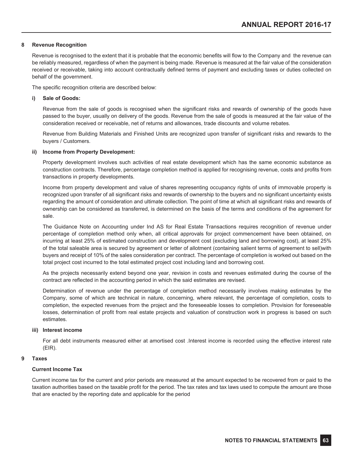### **8 Revenue Recognition**

Revenue is recognised to the extent that it is probable that the economic benefits will flow to the Company and the revenue can be reliably measured, regardless of when the payment is being made. Revenue is measured at the fair value of the consideration received or receivable, taking into account contractually defined terms of payment and excluding taxes or duties collected on behalf of the government.

The specific recognition criteria are described below:

### **i) Sale of Goods:**

Revenue from the sale of goods is recognised when the significant risks and rewards of ownership of the goods have passed to the buyer, usually on delivery of the goods. Revenue from the sale of goods is measured at the fair value of the consideration received or receivable, net of returns and allowances, trade discounts and volume rebates.

Revenue from Building Materials and Finished Units are recognized upon transfer of significant risks and rewards to the buyers / Customers.

### **ii) Income from Property Development:**

Property development involves such activities of real estate development which has the same economic substance as construction contracts. Therefore, percentage completion method is applied for recognising revenue, costs and profits from transactions in property developments.

Income from property development and value of shares representing occupancy rights of units of immovable property is recognized upon transfer of all significant risks and rewards of ownership to the buyers and no significant uncertainty exists regarding the amount of consideration and ultimate collection. The point of time at which all significant risks and rewards of ownership can be considered as transferred, is determined on the basis of the terms and conditions of the agreement for sale.

The Guidance Note on Accounting under Ind AS for Real Estate Transactions requires recognition of revenue under percentage of completion method only when, all critical approvals for project commencement have been obtained, on incurring at least 25% of estimated construction and development cost (excluding land and borrowing cost), at least 25% of the total saleable area is secured by agreement or letter of allotment (containing salient terms of agreement to sell)with buyers and receipt of 10% of the sales consideration per contract. The percentage of completion is worked out based on the total project cost incurred to the total estimated project cost including land and borrowing cost.

As the projects necessarily extend beyond one year, revision in costs and revenues estimated during the course of the contract are reflected in the accounting period in which the said estimates are revised.

Determination of revenue under the percentage of completion method necessarily involves making estimates by the Company, some of which are technical in nature, concerning, where relevant, the percentage of completion, costs to completion, the expected revenues from the project and the foreseeable losses to completion. Provision for foreseeable losses, determination of profit from real estate projects and valuation of construction work in progress is based on such estimates.

### **iii) Interest income**

For all debt instruments measured either at amortised cost .Interest income is recorded using the effective interest rate (EIR).

### **9 Taxes**

### **Current Income Tax**

Current income tax for the current and prior periods are measured at the amount expected to be recovered from or paid to the taxation authorities based on the taxable profit for the period. The tax rates and tax laws used to compute the amount are those that are enacted by the reporting date and applicable for the period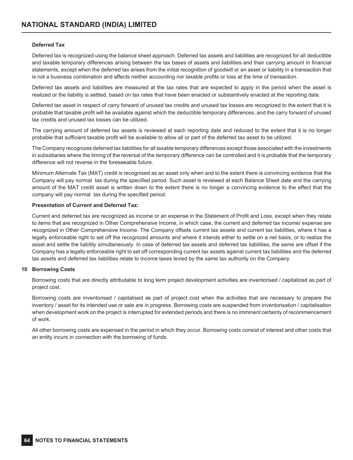### **Deferred Tax**

Deferred tax is recognized using the balance sheet approach. Deferred tax assets and liabilities are recognized for all deductible and taxable temporary differences arising between the tax bases of assets and liabilities and their carrying amount in financial statements, except when the deferred tax arises from the initial recognition of goodwill or an asset or liability in a transaction that is not a business combination and affects neither accounting nor taxable profits or loss at the time of transaction.

Deferred tax assets and liabilities are measured at the tax rates that are expected to apply in the period when the asset is realized or the liability is settled, based on tax rates that have been enacted or substantively enacted at the reporting date.

Deferred tax asset in respect of carry forward of unused tax credits and unused tax losses are recognized to the extent that it is probable that taxable profit will be available against which the deductible temporary differences, and the carry forward of unused tax credits and unused tax losses can be utilized.

The carrying amount of deferred tax assets is reviewed at each reporting date and reduced to the extent that it is no longer probable that sufficient taxable profit will be available to allow all or part of the deferred tax asset to be utilized.

The Company recognizes deferred tax liabilities for all taxable temporary differences except those associated with the investments in subsidiaries where the timing of the reversal of the temporary difference can be controlled and it is probable that the temporary difference will not reverse in the foreseeable future.

Minimum Alternate Tax (MAT) credit is recognised as an asset only when and to the extent there is convincing evidence that the Company will pay normal tax during the specified period. Such asset is reviewed at each Balance Sheet date and the carrying amount of the MAT credit asset is written down to the extent there is no longer a convincing evidence to the effect that the company will pay normal tax during the specified period.

### **Presentation of Current and Deferred Tax:**

Current and deferred tax are recognized as income or an expense in the Statement of Profit and Loss, except when they relate to items that are recognized in Other Comprehensive Income, in which case, the current and deferred tax income/ expense are recognized in Other Comprehensive Income. The Company offsets current tax assets and current tax liabilities, where it has a legally enforceable right to set off the recognized amounts and where it intends either to settle on a net basis, or to realize the asset and settle the liability simultaneously. In case of deferred tax assets and deferred tax liabilities, the same are offset if the Company has a legally enforceable right to set off corresponding current tax assets against current tax liabilities and the deferred tax assets and deferred tax liabilities relate to income taxes levied by the same tax authority on the Company.

### **10 Borrowing Costs**

Borrowing costs that are directly attributable to long term project development activities are inventorised / capitalized as part of project cost.

Borrowing costs are inventorised / capitalised as part of project cost when the activities that are necessary to prepare the inventory / asset for its intended use or sale are in progress. Borrowing costs are suspended from inventorisation / capitalisation when development work on the project is interrupted for extended periods and there is no imminent certainty of recommencement of work.

All other borrowing costs are expensed in the period in which they occur. Borrowing costs consist of interest and other costs that an entity incurs in connection with the borrowing of funds.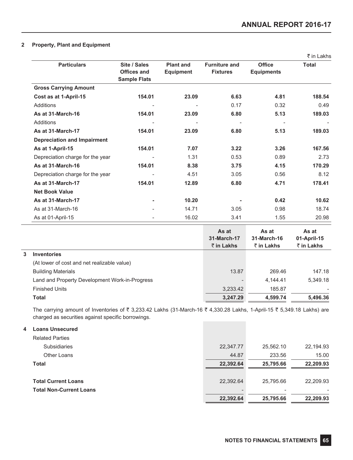### **2 Property, Plant and Equipment**

|                                    |                                                           |                                      |                                         |                                    | ₹ in Lakhs               |
|------------------------------------|-----------------------------------------------------------|--------------------------------------|-----------------------------------------|------------------------------------|--------------------------|
| <b>Particulars</b>                 | Site / Sales<br><b>Offices and</b><br><b>Sample Flats</b> | <b>Plant and</b><br><b>Equipment</b> | <b>Furniture and</b><br><b>Fixtures</b> | <b>Office</b><br><b>Equipments</b> | <b>Total</b>             |
| <b>Gross Carrying Amount</b>       |                                                           |                                      |                                         |                                    |                          |
| Cost as at 1-April-15              | 154.01                                                    | 23.09                                | 6.63                                    | 4.81                               | 188.54                   |
| Additions                          | $\overline{\phantom{0}}$                                  |                                      | 0.17                                    | 0.32                               | 0.49                     |
| As at 31-March-16                  | 154.01                                                    | 23.09                                | 6.80                                    | 5.13                               | 189.03                   |
| Additions                          | -                                                         | ٠                                    | $\overline{\phantom{a}}$                | $\overline{\phantom{a}}$           | $\overline{\phantom{a}}$ |
| As at 31-March-17                  | 154.01                                                    | 23.09                                | 6.80                                    | 5.13                               | 189.03                   |
| <b>Depreciation and Impairment</b> |                                                           |                                      |                                         |                                    |                          |
| As at 1-April-15                   | 154.01                                                    | 7.07                                 | 3.22                                    | 3.26                               | 167.56                   |
| Depreciation charge for the year   | -                                                         | 1.31                                 | 0.53                                    | 0.89                               | 2.73                     |
| As at 31-March-16                  | 154.01                                                    | 8.38                                 | 3.75                                    | 4.15                               | 170.29                   |
| Depreciation charge for the year   |                                                           | 4.51                                 | 3.05                                    | 0.56                               | 8.12                     |
| As at 31-March-17                  | 154.01                                                    | 12.89                                | 6.80                                    | 4.71                               | 178.41                   |
| <b>Net Book Value</b>              |                                                           |                                      |                                         |                                    |                          |
| As at 31-March-17                  | ۰                                                         | 10.20                                |                                         | 0.42                               | 10.62                    |
| As at 31-March-16                  |                                                           | 14.71                                | 3.05                                    | 0.98                               | 18.74                    |
| As at 01-April-15                  |                                                           | 16.02                                | 3.41                                    | 1.55                               | 20.98                    |

|   |                                                | As at<br>31-March-17<br>$\bar{\tau}$ in Lakhs | As at<br>31-March-16<br>$\bar{z}$ in Lakhs | As at<br>01-April-15<br>₹ in Lakhs |
|---|------------------------------------------------|-----------------------------------------------|--------------------------------------------|------------------------------------|
| 3 | <b>Inventories</b>                             |                                               |                                            |                                    |
|   | (At lower of cost and net realizable value)    |                                               |                                            |                                    |
|   | <b>Building Materials</b>                      | 13.87                                         | 269.46                                     | 147.18                             |
|   | Land and Property Development Work-in-Progress |                                               | 4.144.41                                   | 5.349.18                           |
|   | <b>Finished Units</b>                          | 3,233.42                                      | 185.87                                     |                                    |
|   | Total                                          | 3,247.29                                      | 4,599.74                                   | 5,496.36                           |
|   |                                                |                                               |                                            |                                    |

The carrying amount of Inventories of  $\bar{\tau}$  3,233.42 Lakhs (31-March-16  $\bar{\tau}$  4,330.28 Lakhs, 1-April-15  $\bar{\tau}$  5,349.18 Lakhs) are charged as securities against specific borrowings. **Contract Contract Contract** 

| 4 | <b>Loans Unsecured</b>         |           |           |           |
|---|--------------------------------|-----------|-----------|-----------|
|   | <b>Related Parties</b>         |           |           |           |
|   | <b>Subsidiaries</b>            | 22,347.77 | 25,562.10 | 22,194.93 |
|   | Other Loans                    | 44.87     | 233.56    | 15.00     |
|   | <b>Total</b>                   | 22,392.64 | 25,795.66 | 22,209.93 |
|   | <b>Total Current Loans</b>     | 22,392.64 | 25,795.66 | 22,209.93 |
|   | <b>Total Non-Current Loans</b> |           |           |           |
|   |                                | 22.392.64 | 25,795.66 | 22.209.93 |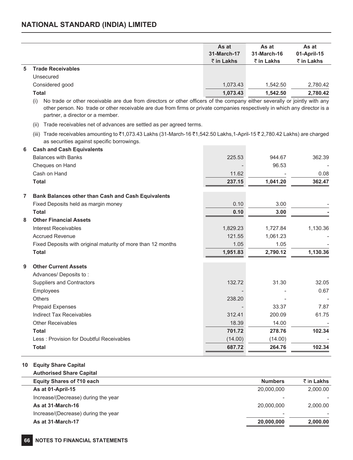### **NATIONAL STANDARD (INDIA) LIMITED**

|   |                          | As at                 | As at       | As at       |
|---|--------------------------|-----------------------|-------------|-------------|
|   |                          | 31-March-17           | 31-March-16 | 01-April-15 |
|   |                          | $\bar{\tau}$ in Lakhs | ₹ in Lakhs  | ₹ in Lakhs  |
| 5 | <b>Trade Receivables</b> |                       |             |             |
|   | Unsecured                |                       |             |             |
|   | Considered good          | 1,073.43              | 1.542.50    | 2,780.42    |
|   | Total                    | 1,073.43              | 1.542.50    | 2,780.42    |

(i) No trade or other receivable are due from directors or other officers of the company either severally or jointly with any other person. No trade or other receivable are due from firms or private companies respectively in which any director is a partner, a director or a member.

(ii) Trade receivables net of advances are settled as per agreed terms.

(iii) Trade receivables amounting to  $\bar{z}1,073.43$  Lakhs (31-March-16  $\bar{z}1,542.50$  Lakhs,1-April-15  $\bar{z}2,780.42$  Lakhs) are charged as securities against specific borrowings.

| 6 | <b>Cash and Cash Equivalents</b>                             |          |          |          |
|---|--------------------------------------------------------------|----------|----------|----------|
|   | <b>Balances with Banks</b>                                   | 225.53   | 944.67   | 362.39   |
|   | Cheques on Hand                                              |          | 96.53    |          |
|   | Cash on Hand                                                 | 11.62    |          | 0.08     |
|   | <b>Total</b>                                                 | 237.15   | 1,041.20 | 362.47   |
| 7 | Bank Balances other than Cash and Cash Equivalents           |          |          |          |
|   | Fixed Deposits held as margin money                          | 0.10     | 3.00     |          |
|   | <b>Total</b>                                                 | 0.10     | 3.00     |          |
| 8 | <b>Other Financial Assets</b>                                |          |          |          |
|   | Interest Receivables                                         | 1,829.23 | 1,727.84 | 1,130.36 |
|   | <b>Accrued Revenue</b>                                       | 121.55   | 1,061.23 |          |
|   | Fixed Deposits with original maturity of more than 12 months | 1.05     | 1.05     |          |
|   | <b>Total</b>                                                 | 1,951.83 | 2,790.12 | 1,130.36 |
| 9 | <b>Other Current Assets</b>                                  |          |          |          |
|   | Advances/ Deposits to:                                       |          |          |          |
|   | Suppliers and Contractors                                    | 132.72   | 31.30    | 32.05    |
|   | Employees                                                    |          |          | 0.67     |
|   | Others                                                       | 238.20   |          |          |
|   | Prepaid Expenses                                             |          | 33.37    | 7.87     |
|   | Indirect Tax Receivables                                     | 312.41   | 200.09   | 61.75    |
|   | <b>Other Receivables</b>                                     | 18.39    | 14.00    |          |
|   | <b>Total</b>                                                 | 701.72   | 278.76   | 102.34   |
|   | Less: Provision for Doubtful Receivables                     | (14.00)  | (14.00)  |          |
|   | <b>Total</b>                                                 | 687.72   | 264.76   | 102.34   |
|   |                                                              |          |          |          |

### **10 Equity Share Capital**

### **Authorised Share Capital**

| Equity Shares of ₹10 each           | <b>Numbers</b>           | ₹ in Lakhs |
|-------------------------------------|--------------------------|------------|
| As at 01-April-15                   | 20,000,000               | 2,000.00   |
| Increase/(Decrease) during the year | $\overline{\phantom{a}}$ |            |
| As at 31-March-16                   | 20,000,000               | 2,000.00   |
| Increase/(Decrease) during the year | $\overline{\phantom{a}}$ |            |
| As at 31-March-17                   | 20,000,000               | 2,000.00   |
|                                     |                          |            |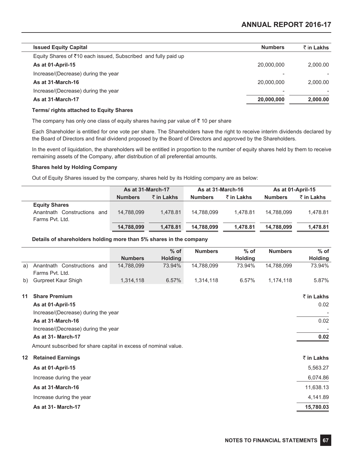| <b>Issued Equity Capital</b>                                   | <b>Numbers</b> | ₹ in Lakhs |
|----------------------------------------------------------------|----------------|------------|
| Equity Shares of ₹10 each issued, Subscribed and fully paid up |                |            |
| As at 01-April-15                                              | 20,000,000     | 2.000.00   |
| Increase/(Decrease) during the year                            | -              |            |
| As at 31-March-16                                              | 20,000,000     | 2.000.00   |
| Increase/(Decrease) during the year                            | -              |            |
| As at 31-March-17                                              | 20,000,000     | 2,000.00   |
|                                                                |                |            |

### **Terms/ rights attached to Equity Shares**

The company has only one class of equity shares having par value of  $\bar{z}$  10 per share

Each Shareholder is entitled for one vote per share. The Shareholders have the right to receive interim dividends declared by the Board of Directors and final dividend proposed by the Board of Directors and approved by the Shareholders.

In the event of liquidation, the shareholders will be entitled in proportion to the number of equity shares held by them to receive remaining assets of the Company, after distribution of all preferential amounts.

### **Shares held by Holding Company**

Out of Equity Shares issued by the company, shares held by its Holding company are as below:

|                                                     | As at 31-March-17 |                    | As at 31-March-16 |            | As at 01-April-15 |            |
|-----------------------------------------------------|-------------------|--------------------|-------------------|------------|-------------------|------------|
|                                                     | <b>Numbers</b>    | $\bar{z}$ in Lakhs | <b>Numbers</b>    | ₹ in Lakhs | <b>Numbers</b>    | ₹ in Lakhs |
| <b>Equity Shares</b><br>Anantnath Constructions and | 14.788.099        | 1.478.81           | 14.788.099        | 1.478.81   | 14.788.099        | 1.478.81   |
| Farms Pyt. Ltd.                                     | 14,788,099        | 1.478.81           | 14.788.099        | 1.478.81   | 14.788.099        | 1.478.81   |

### **Details of shareholders holding more than 5% shares in the company**

|         |                                                                 |                | $%$ of         | <b>Numbers</b> | $%$ of         | <b>Numbers</b> | $%$ of         |
|---------|-----------------------------------------------------------------|----------------|----------------|----------------|----------------|----------------|----------------|
|         |                                                                 | <b>Numbers</b> | <b>Holding</b> |                | <b>Holding</b> |                | <b>Holding</b> |
| a)      | Anantnath Constructions and<br>Farms Pvt. Ltd.                  | 14,788,099     | 73.94%         | 14,788,099     | 73.94%         | 14,788,099     | 73.94%         |
| b)      | Gurpreet Kaur Shigh                                             | 1,314,118      | 6.57%          | 1,314,118      | 6.57%          | 1,174,118      | 5.87%          |
| 11      | <b>Share Premium</b>                                            |                |                |                |                |                | ₹ in Lakhs     |
|         | As at 01-April-15                                               |                |                |                |                |                | 0.02           |
|         | Increase/(Decrease) during the year                             |                |                |                |                |                |                |
|         | As at 31-March-16                                               |                |                |                |                |                | 0.02           |
|         | Increase/(Decrease) during the year                             |                |                |                |                |                |                |
|         | <b>As at 31- March-17</b>                                       |                |                |                |                |                | 0.02           |
|         | Amount subscribed for share capital in excess of nominal value. |                |                |                |                |                |                |
| $12 \,$ | <b>Retained Earnings</b>                                        |                |                |                |                |                | ₹ in Lakhs     |
|         | As at 01-April-15                                               |                |                |                |                |                | 5,563.27       |
|         | Increase during the year                                        |                |                |                |                |                | 6,074.86       |
|         | As at 31-March-16                                               |                |                |                |                |                | 11,638.13      |
|         | Increase during the year                                        |                |                |                |                |                | 4,141.89       |
|         | <b>As at 31- March-17</b>                                       |                |                |                |                |                | 15,780.03      |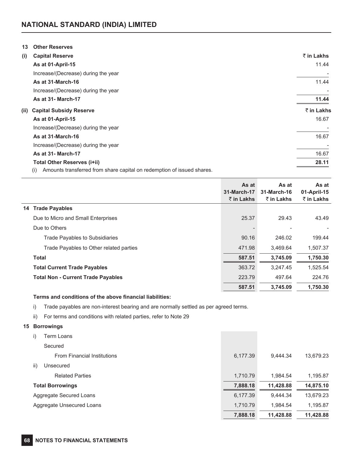| 13   | <b>Other Reserves</b>                                                         |            |
|------|-------------------------------------------------------------------------------|------------|
| (i)  | <b>Capital Reserve</b>                                                        | ₹ in Lakhs |
|      | As at 01-April-15                                                             | 11.44      |
|      | Increase/(Decrease) during the year                                           |            |
|      | As at 31-March-16                                                             | 11.44      |
|      | Increase/(Decrease) during the year                                           |            |
|      | <b>As at 31- March-17</b>                                                     | 11.44      |
| (ii) | <b>Capital Subsidy Reserve</b>                                                | ₹ in Lakhs |
|      | As at 01-April-15                                                             | 16.67      |
|      | Increase/(Decrease) during the year                                           |            |
|      | As at 31-March-16                                                             | 16.67      |
|      | Increase/(Decrease) during the year                                           |            |
|      | <b>As at 31- March-17</b>                                                     | 16.67      |
|      | <b>Total Other Reserves (i+ii)</b>                                            | 28.11      |
|      | Amounts transferred from share capital on redemption of issued shares.<br>(i) |            |

**As at 31-March-17** ` **in Lakhs As at 31-March-16** ` **in Lakhs As at 01-April-15** ` **in Lakhs 14 Trade Payables** Due to Micro and Small Enterprises 25.37 29.43 43.49 Due to Others - - - Trade Payables to Subsidiaries **199.44** 199.44 **199.44** 199.44 **199.44** 199.44 Trade Payables to Other related parties 471.98 471.98 471.98 3,469.64 1,507.37 **Total 587.51 3,745.09 1,750.30 Total Current Trade Payables** 363.72 3,247.45 1,525.54 **Total Non - Current Trade Payables** 223.79 497.64 224.76 **587.51 3,745.09 1,750.30**

### **Terms and conditions of the above financial liabilities:**

i) Trade payables are non-interest bearing and are normally settled as per agreed terms.

ii) For terms and conditions with related parties, refer to Note 29

### **15 Borrowings**

| Term Loans<br>i)                   |          |           |           |
|------------------------------------|----------|-----------|-----------|
| Secured                            |          |           |           |
| <b>From Financial Institutions</b> | 6,177.39 | 9,444.34  | 13,679.23 |
| ii)<br>Unsecured                   |          |           |           |
| <b>Related Parties</b>             | 1,710.79 | 1.984.54  | 1,195.87  |
| <b>Total Borrowings</b>            | 7,888.18 | 11,428.88 | 14,875.10 |
| Aggregate Secured Loans            | 6,177.39 | 9.444.34  | 13,679.23 |
| Aggregate Unsecured Loans          | 1,710.79 | 1.984.54  | 1,195.87  |
|                                    | 7,888.18 | 11,428.88 | 11,428.88 |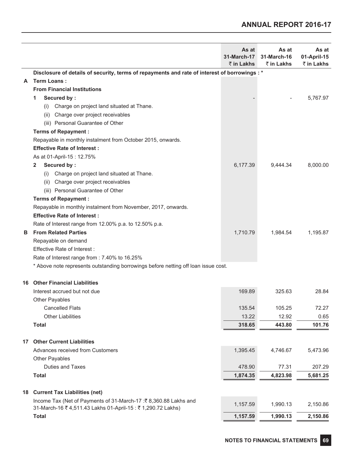## **ANNUAL REPORT 2016-17**

|    |                                                                                               | As at<br>31-March-17<br>₹ in Lakhs | As at<br>31-March-16<br>₹ in Lakhs | As at<br>01-April-15<br>₹ in Lakhs |
|----|-----------------------------------------------------------------------------------------------|------------------------------------|------------------------------------|------------------------------------|
|    | Disclosure of details of security, terms of repayments and rate of interest of borrowings : * |                                    |                                    |                                    |
| A  | <b>Term Loans:</b>                                                                            |                                    |                                    |                                    |
|    | <b>From Financial Institutions</b>                                                            |                                    |                                    |                                    |
|    | Secured by:<br>1                                                                              |                                    |                                    | 5,767.97                           |
|    | Charge on project land situated at Thane.<br>(1)                                              |                                    |                                    |                                    |
|    | Charge over project receivables<br>(ii)                                                       |                                    |                                    |                                    |
|    | (iii) Personal Guarantee of Other                                                             |                                    |                                    |                                    |
|    | <b>Terms of Repayment:</b>                                                                    |                                    |                                    |                                    |
|    | Repayable in monthly instalment from October 2015, onwards.                                   |                                    |                                    |                                    |
|    | <b>Effective Rate of Interest:</b>                                                            |                                    |                                    |                                    |
|    | As at 01-April-15: 12.75%                                                                     |                                    |                                    |                                    |
|    | Secured by:<br>2                                                                              | 6,177.39                           | 9,444.34                           | 8,000.00                           |
|    | Charge on project land situated at Thane.<br>(i)                                              |                                    |                                    |                                    |
|    | Charge over project receivables<br>(ii)                                                       |                                    |                                    |                                    |
|    | (iii) Personal Guarantee of Other                                                             |                                    |                                    |                                    |
|    | <b>Terms of Repayment:</b>                                                                    |                                    |                                    |                                    |
|    | Repayable in monthly instalment from November, 2017, onwards.                                 |                                    |                                    |                                    |
|    | <b>Effective Rate of Interest:</b>                                                            |                                    |                                    |                                    |
|    | Rate of Interest range from 12.00% p.a. to 12.50% p.a.                                        |                                    |                                    |                                    |
| в  | <b>From Related Parties</b>                                                                   | 1,710.79                           | 1,984.54                           | 1,195.87                           |
|    | Repayable on demand                                                                           |                                    |                                    |                                    |
|    | Effective Rate of Interest:                                                                   |                                    |                                    |                                    |
|    | Rate of Interest range from : 7.40% to 16.25%                                                 |                                    |                                    |                                    |
|    | * Above note represents outstanding borrowings before netting off loan issue cost.            |                                    |                                    |                                    |
| 16 | <b>Other Financial Liabilities</b>                                                            |                                    |                                    |                                    |
|    | Interest accrued but not due                                                                  | 169.89                             | 325.63                             | 28.84                              |
|    | Other Payables                                                                                |                                    |                                    |                                    |
|    | <b>Cancelled Flats</b>                                                                        | 135.54                             | 105.25                             | 72.27                              |
|    | <b>Other Liabilities</b>                                                                      | 13.22                              | 12.92                              | 0.65                               |
|    | <b>Total</b>                                                                                  | 318.65                             | 443.80                             | 101.76                             |
| 17 | <b>Other Current Liabilities</b>                                                              |                                    |                                    |                                    |
|    | Advances received from Customers                                                              | 1,395.45                           | 4,746.67                           | 5,473.96                           |
|    | Other Payables                                                                                |                                    |                                    |                                    |
|    | Duties and Taxes                                                                              | 478.90                             | 77.31                              | 207.29                             |
|    | <b>Total</b>                                                                                  | 1,874.35                           | 4,823.98                           | 5,681.25                           |
| 18 | <b>Current Tax Liabilities (net)</b>                                                          |                                    |                                    |                                    |
|    | Income Tax (Net of Payments of 31-March-17 : ₹8,360.88 Lakhs and                              | 1,157.59                           | 1,990.13                           | 2,150.86                           |
|    | 31-March-16 ₹ 4,511.43 Lakhs 01-April-15 : ₹ 1,290.72 Lakhs)                                  |                                    |                                    |                                    |
|    | <b>Total</b>                                                                                  | 1,157.59                           | 1,990.13                           | 2,150.86                           |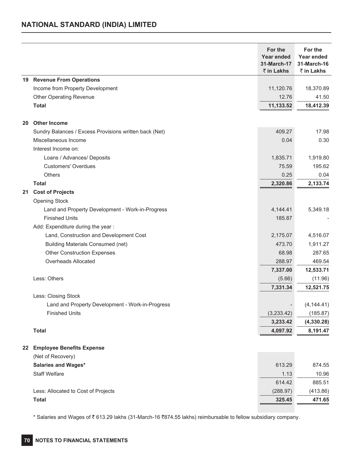### **NATIONAL STANDARD (INDIA) LIMITED**

|    |                                                        | For the<br><b>Year ended</b><br>31-March-17<br>₹ in Lakhs | For the<br>Year ended<br>31-March-16<br>₹ in Lakhs |
|----|--------------------------------------------------------|-----------------------------------------------------------|----------------------------------------------------|
|    | 19 Revenue From Operations                             |                                                           |                                                    |
|    | Income from Property Development                       | 11,120.76                                                 | 18,370.89                                          |
|    | <b>Other Operating Revenue</b>                         | 12.76                                                     | 41.50                                              |
|    | <b>Total</b>                                           | 11,133.52                                                 | 18,412.39                                          |
| 20 | <b>Other Income</b>                                    |                                                           |                                                    |
|    | Sundry Balances / Excess Provisions written back (Net) | 409.27                                                    | 17.98                                              |
|    | Miscellaneous Income                                   | 0.04                                                      | 0.30                                               |
|    | Interest Income on:                                    |                                                           |                                                    |
|    | Loans / Advances/ Deposits                             | 1,835.71                                                  | 1,919.80                                           |
|    | <b>Customers' Overdues</b>                             | 75.59                                                     | 195.62                                             |
|    | Others                                                 | 0.25                                                      | 0.04                                               |
|    | <b>Total</b>                                           | 2,320.86                                                  | 2,133.74                                           |
| 21 | <b>Cost of Projects</b>                                |                                                           |                                                    |
|    | <b>Opening Stock</b>                                   |                                                           |                                                    |
|    | Land and Property Development - Work-in-Progress       | 4,144.41                                                  | 5,349.18                                           |
|    | <b>Finished Units</b>                                  | 185.87                                                    |                                                    |
|    | Add: Expenditure during the year :                     |                                                           |                                                    |
|    | Land, Construction and Development Cost                | 2,175.07                                                  | 4,516.07                                           |
|    | <b>Building Materials Consumed (net)</b>               | 473.70                                                    | 1,911.27                                           |
|    | <b>Other Construction Expenses</b>                     | 68.98                                                     | 287.65                                             |
|    | Overheads Allocated                                    | 288.97                                                    | 469.54                                             |
|    |                                                        | 7,337.00                                                  | 12,533.71                                          |
|    | Less: Others                                           | (5.66)                                                    | (11.96)                                            |
|    |                                                        | 7,331.34                                                  | 12,521.75                                          |
|    | Less: Closing Stock                                    |                                                           |                                                    |
|    | Land and Property Development - Work-in-Progress       |                                                           | (4, 144.41)                                        |
|    | <b>Finished Units</b>                                  | (3,233.42)                                                | (185.87)                                           |
|    |                                                        | 3,233.42                                                  | (4,330.28)                                         |
|    | <b>Total</b>                                           | 4,097.92                                                  | 8,191.47                                           |
| 22 | <b>Employee Benefits Expense</b>                       |                                                           |                                                    |
|    | (Net of Recovery)                                      |                                                           |                                                    |
|    | <b>Salaries and Wages*</b>                             | 613.29                                                    | 874.55                                             |
|    | <b>Staff Welfare</b>                                   | 1.13                                                      | 10.96                                              |
|    |                                                        | 614.42                                                    | 885.51                                             |
|    | Less: Allocated to Cost of Projects                    | (288.97)                                                  | (413.86)                                           |
|    | <b>Total</b>                                           | 325.45                                                    | 471.65                                             |

\* Salaries and Wages of ₹613.29 lakhs (31-March-16 ₹874.55 lakhs) reimbursable to fellow subsidiary company.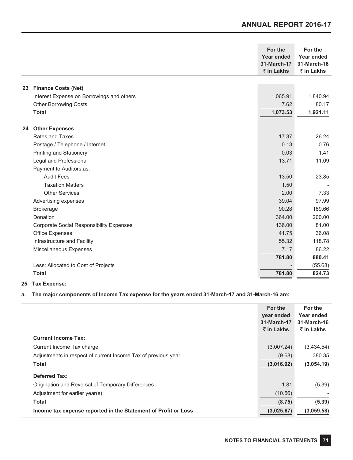|                                                 | For the<br>Year ended<br>31-March-17<br>₹ in Lakhs | For the<br>Year ended<br>31-March-16<br>₹ in Lakhs |
|-------------------------------------------------|----------------------------------------------------|----------------------------------------------------|
|                                                 |                                                    |                                                    |
| <b>Finance Costs (Net)</b><br>23                |                                                    |                                                    |
| Interest Expense on Borrowings and others       | 1,065.91                                           | 1,840.94                                           |
| <b>Other Borrowing Costs</b>                    | 7.62                                               | 80.17                                              |
| <b>Total</b>                                    | 1,073.53                                           | 1,921.11                                           |
| <b>Other Expenses</b><br>24                     |                                                    |                                                    |
| Rates and Taxes                                 | 17.37                                              | 26.24                                              |
| Postage / Telephone / Internet                  | 0.13                                               | 0.76                                               |
| <b>Printing and Stationery</b>                  | 0.03                                               | 1.41                                               |
| Legal and Professional                          | 13.71                                              | 11.09                                              |
| Payment to Auditors as:                         |                                                    |                                                    |
| <b>Audit Fees</b>                               | 13.50                                              | 23.85                                              |
| <b>Taxation Matters</b>                         | 1.50                                               |                                                    |
| <b>Other Services</b>                           | 2.00                                               | 7.33                                               |
| Advertising expenses                            | 39.04                                              | 97.99                                              |
| <b>Brokerage</b>                                | 90.28                                              | 189.66                                             |
| Donation                                        | 364.00                                             | 200.00                                             |
| <b>Corporate Social Responsibility Expenses</b> | 136.00                                             | 81.00                                              |
| Office Expenses                                 | 41.75                                              | 36.08                                              |
| Infrastructure and Facility                     | 55.32                                              | 118.78                                             |
| Miscellaneous Expenses                          | 7.17                                               | 86.22                                              |
|                                                 | 781.80                                             | 880.41                                             |
| Less: Allocated to Cost of Projects             |                                                    | (55.68)                                            |
| <b>Total</b>                                    | 781.80                                             | 824.73                                             |

### **25 Tax Expense:**

### **a. The major components of Income Tax expense for the years ended 31-March-17 and 31-March-16 are:**

|                                                                | For the<br>year ended<br>31-March-17 | For the<br>Year ended<br>31-March-16 |
|----------------------------------------------------------------|--------------------------------------|--------------------------------------|
|                                                                | $\bar{\tau}$ in Lakhs                | $\bar{z}$ in Lakhs                   |
| <b>Current Income Tax:</b>                                     |                                      |                                      |
| Current Income Tax charge                                      | (3,007.24)                           | (3,434.54)                           |
| Adjustments in respect of current Income Tax of previous year  | (9.68)                               | 380.35                               |
| <b>Total</b>                                                   | (3,016.92)                           | (3,054.19)                           |
| <b>Deferred Tax:</b>                                           |                                      |                                      |
| Origination and Reversal of Temporary Differences              | 1.81                                 | (5.39)                               |
| Adjustment for earlier year(s)                                 | (10.56)                              |                                      |
| Total                                                          | (8.75)                               | (5.39)                               |
| Income tax expense reported in the Statement of Profit or Loss | (3,025.67)                           | (3,059.58)                           |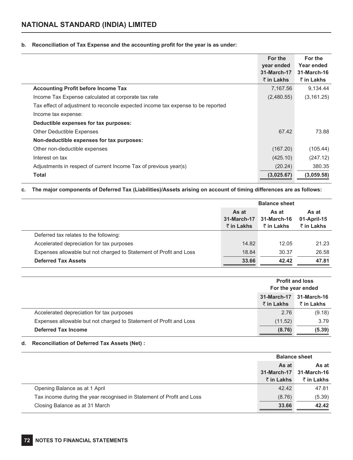# **b. Reconciliation of Tax Expense and the accounting profit for the year is as under:**

|                                                                                  | For the<br>year ended<br>31-March-17<br>₹ in Lakhs | For the<br>Year ended<br>31-March-16<br>₹ in Lakhs |
|----------------------------------------------------------------------------------|----------------------------------------------------|----------------------------------------------------|
| <b>Accounting Profit before Income Tax</b>                                       | 7,167.56                                           | 9,134.44                                           |
| Income Tax Expense calculated at corporate tax rate                              | (2,480.55)                                         | (3, 161.25)                                        |
| Tax effect of adjustment to reconcile expected income tax expense to be reported |                                                    |                                                    |
| Income tax expense:                                                              |                                                    |                                                    |
| Deductible expenses for tax purposes:                                            |                                                    |                                                    |
| <b>Other Deductible Expenses</b>                                                 | 67.42                                              | 73.88                                              |
| Non-deductible expenses for tax purposes:                                        |                                                    |                                                    |
| Other non-deductible expenses                                                    | (167.20)                                           | (105.44)                                           |
| Interest on tax                                                                  | (425.10)                                           | (247.12)                                           |
| Adjustments in respect of current Income Tax of previous year(s)                 | (20.24)                                            | 380.35                                             |
| Total                                                                            | (3,025.67)                                         | (3,059.58)                                         |

# **c. The major components of Deferred Tax (Liabilities)/Assets arising on account of timing differences are as follows:**

|                                                                    | <b>Balance sheet</b>                       |                                    |                                    |  |
|--------------------------------------------------------------------|--------------------------------------------|------------------------------------|------------------------------------|--|
|                                                                    | As at<br>31-March-17<br>$\bar{z}$ in Lakhs | As at<br>31-March-16<br>₹ in Lakhs | As at<br>01-April-15<br>₹ in Lakhs |  |
| Deferred tax relates to the following:                             |                                            |                                    |                                    |  |
| Accelerated depreciation for tax purposes                          | 14.82                                      | 12.05                              | 21.23                              |  |
| Expenses allowable but not charged to Statement of Profit and Loss | 18.84                                      | 30.37                              | 26.58                              |  |
| <b>Deferred Tax Assets</b>                                         | 33.66                                      | 42.42                              | 47.81                              |  |

|                                                                    | <b>Profit and loss</b><br>For the year ended                   |        |  |
|--------------------------------------------------------------------|----------------------------------------------------------------|--------|--|
|                                                                    | 31-March-17<br>31-March-16<br>₹ in Lakhs<br>$\bar{z}$ in Lakhs |        |  |
| Accelerated depreciation for tax purposes                          | 2.76                                                           | (9.18) |  |
| Expenses allowable but not charged to Statement of Profit and Loss | (11.52)                                                        | 3.79   |  |
| <b>Deferred Tax Income</b>                                         | (8.76)                                                         | (5.39) |  |

# **d. Reconciliation of Deferred Tax Assets (Net) :**

|                                                                       | <b>Balance sheet</b>                              |                                    |
|-----------------------------------------------------------------------|---------------------------------------------------|------------------------------------|
|                                                                       | As at<br><b>31-March-17</b><br>$\bar{z}$ in Lakhs | As at<br>31-March-16<br>₹ in Lakhs |
| Opening Balance as at 1 April                                         | 42.42                                             | 47.81                              |
| Tax income during the year recognised in Statement of Profit and Loss | (8.76)                                            | (5.39)                             |
| Closing Balance as at 31 March                                        | 33.66                                             | 42.42                              |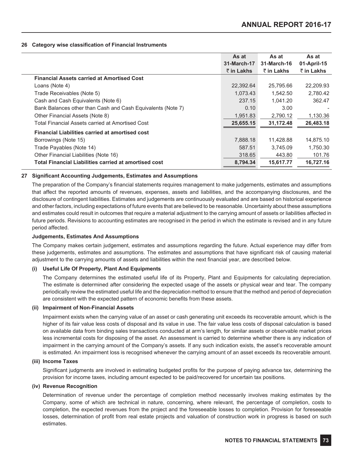#### **26 Category wise classification of Financial Instruments**

|                                                             | As at       | As at       | As at       |
|-------------------------------------------------------------|-------------|-------------|-------------|
|                                                             | 31-March-17 | 31-March-16 | 01-April-15 |
|                                                             | ₹ in Lakhs  | ₹ in Lakhs  | ₹ in Lakhs  |
| <b>Financial Assets carried at Amortised Cost</b>           |             |             |             |
| Loans (Note 4)                                              | 22,392.64   | 25,795.66   | 22,209.93   |
| Trade Receivables (Note 5)                                  | 1,073.43    | 1.542.50    | 2,780.42    |
| Cash and Cash Equivalents (Note 6)                          | 237.15      | 1.041.20    | 362.47      |
| Bank Balances other than Cash and Cash Equivalents (Note 7) | 0.10        | 3.00        |             |
| Other Financial Assets (Note 8)                             | 1,951.83    | 2,790.12    | 1,130.36    |
| Total Financial Assets carried at Amortised Cost            | 25,655.15   | 31,172.48   | 26,483.18   |
| <b>Financial Liabilities carried at amortised cost</b>      |             |             |             |
| Borrowings (Note 15)                                        | 7,888.18    | 11,428.88   | 14,875.10   |
| Trade Payables (Note 14)                                    | 587.51      | 3,745.09    | 1,750.30    |
| Other Financial Liabilities (Note 16)                       | 318.65      | 443.80      | 101.76      |
| Total Financial Liabilities carried at amortised cost       | 8,794.34    | 15,617.77   | 16,727.16   |

# **27 Significant Accounting Judgements, Estimates and Assumptions**

The preparation of the Company's financial statements requires management to make judgements, estimates and assumptions that affect the reported amounts of revenues, expenses, assets and liabilities, and the accompanying disclosures, and the disclosure of contingent liabilities. Estimates and judgements are continuously evaluated and are based on historical experience and other factors, including expectations of future events that are believed to be reasonable. Uncertainty about these assumptions and estimates could result in outcomes that require a material adjustment to the carrying amount of assets or liabilities affected in future periods. Revisions to accounting estimates are recognised in the period in which the estimate is revised and in any future period affected.

# **Judgements, Estimates And Assumptions**

The Company makes certain judgement, estimates and assumptions regarding the future. Actual experience may differ from these judgements, estimates and assumptions. The estimates and assumptions that have significant risk of causing material adjustment to the carrying amounts of assets and liabilities within the next financial year, are described below.

#### **(i) Useful Life Of Property, Plant And Equipments**

The Company determines the estimated useful life of its Property, Plant and Equipments for calculating depreciation. The estimate is determined after considering the expected usage of the assets or physical wear and tear. The company periodically review the estimated useful life and the depreciation method to ensure that the method and period of depreciation are consistent with the expected pattern of economic benefits from these assets.

#### **(ii) Impairment of Non-Financial Assets**

Impairment exists when the carrying value of an asset or cash generating unit exceeds its recoverable amount, which is the higher of its fair value less costs of disposal and its value in use. The fair value less costs of disposal calculation is based on available data from binding sales transactions conducted at arm's length, for similar assets or observable market prices less incremental costs for disposing of the asset. An assessment is carried to determine whether there is any indication of impairment in the carrying amount of the Company's assets. If any such indication exists, the asset's recoverable amount is estimated. An impairment loss is recognised whenever the carrying amount of an asset exceeds its recoverable amount.

#### **(iii) Income Taxes**

Significant judgments are involved in estimating budgeted profits for the purpose of paying advance tax, determining the provision for income taxes, including amount expected to be paid/recovered for uncertain tax positions.

### **(iv) Revenue Recognition**

Determination of revenue under the percentage of completion method necessarily involves making estimates by the Company, some of which are technical in nature, concerning, where relevant, the percentage of completion, costs to completion, the expected revenues from the project and the foreseeable losses to completion. Provision for foreseeable losses, determination of profit from real estate projects and valuation of construction work in progress is based on such estimates.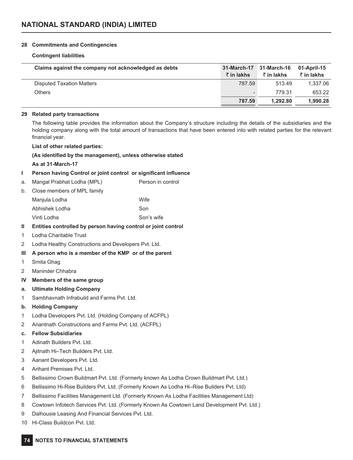### **28 Commitments and Contingencies**

#### **Contingent liabilities**

| Claims against the company not acknowledged as debts | 31-March-17              | 31-March-16           | 01-April-15        |
|------------------------------------------------------|--------------------------|-----------------------|--------------------|
|                                                      | $\bar{\tau}$ in lakhs    | $\bar{\tau}$ in lakhs | $\bar{z}$ in lakhs |
| Disputed Taxation Matters                            | 787.59                   | 513.49                | 1.337.06           |
| Others                                               | $\overline{\phantom{0}}$ | 779.31                | 653.22             |
|                                                      | 787.59                   | 1.292.80              | 1,990.28           |

#### **29 Related party transactions**

The following table provides the information about the Company's structure including the details of the subsidiaries and the holding company along with the total amount of transactions that have been entered into with related parties for the relevant financial year.

#### **List of other related parties:**

#### **(As identified by the management), unless otherwise stated**

#### **As at 31-March-17**

# **I Person having Control or joint control or significant influence**

- a. Mangal Prabhat Lodha (MPL) Person in control
- b. Close members of MPL family

| Manjula Lodha  | <b>Wife</b> |
|----------------|-------------|
| Abhishek Lodha | Son         |
| Vinti Lodha    | Son's wife  |

# **II Entities controlled by person having control or joint control**

- 1 Lodha Charitable Trust
- 2 Lodha Healthy Constructions and Developers Pvt. Ltd.

# **III A person who is a member of the KMP or of the parent**

- 1 Smita Ghag
- 2 Maninder Chhabra
- **IV Members of the same group**
- **a. Ultimate Holding Company**
- 1 Sambhavnath Infrabuild and Farms Pvt. Ltd.

# **b. Holding Company**

- 1 Lodha Developers Pvt. Ltd. (Holding Company of ACFPL)
- 2 Anantnath Constructions and Farms Pvt. Ltd. (ACFPL)

# **c. Fellow Subsidiaries**

- 1 Adinath Builders Pvt. Ltd.
- 2 Aiitnath Hi–Tech Builders Pvt. Ltd.
- 3 Aanant Developers Pvt. Ltd.
- 4 Arihant Premises Pvt. Ltd.
- 5 Bellissimo Crown Buildmart Pvt. Ltd. (Formerly known As Lodha Crown Buildmart Pvt. Ltd.)
- 6 Bellissimo Hi-Rise Builders Pvt. Ltd. (Formerly Known As Lodha Hi–Rise Builders Pvt. Ltd)
- 7 Bellissimo Facilities Management Ltd. (Formerly Known As Lodha Facilities Management Ltd)
- 8 Cowtown Infotech Services Pvt. Ltd. (Formerly Known As Cowtown Land Development Pvt. Ltd.)
- 9 Dalhousie Leasing And Financial Services Pvt. Ltd.
- 10 Hi-Class Buildcon Pvt. Ltd.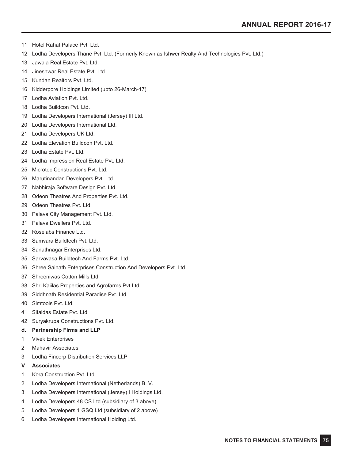- Hotel Rahat Palace Pvt. Ltd.
- Lodha Developers Thane Pvt. Ltd. (Formerly Known as Ishwer Realty And Technologies Pvt. Ltd.)
- Jawala Real Estate Pvt. Ltd.
- Jineshwar Real Estate Pvt. Ltd.
- Kundan Realtors Pvt. Ltd.
- Kidderpore Holdings Limited (upto 26-March-17)
- Lodha Aviation Pvt. Ltd.
- Lodha Buildcon Pvt. Ltd.
- Lodha Developers International (Jersey) III Ltd.
- Lodha Developers International Ltd.
- Lodha Developers UK Ltd.
- Lodha Elevation Buildcon Pvt. Ltd.
- Lodha Estate Pvt. Ltd.
- Lodha Impression Real Estate Pvt. Ltd.
- Microtec Constructions Pvt. Ltd.
- Marutinandan Developers Pvt. Ltd.
- Nabhiraja Software Design Pvt. Ltd.
- Odeon Theatres And Properties Pvt. Ltd.
- Odeon Theatres Pvt. Ltd.
- Palava City Management Pvt. Ltd.
- Palava Dwellers Pvt. Ltd.
- Roselabs Finance Ltd.
- Samvara Buildtech Pvt. Ltd.
- Sanathnagar Enterprises Ltd.
- Sarvavasa Buildtech And Farms Pvt. Ltd.
- Shree Sainath Enterprises Construction And Developers Pvt. Ltd.
- Shreeniwas Cotton Mills Ltd.
- Shri Kaiilas Properties and Agrofarms Pvt Ltd.
- Siddhnath Residential Paradise Pvt. Ltd.
- Simtools Pvt. Ltd.
- Sitaldas Estate Pvt. Ltd.
- Suryakrupa Constructions Pvt. Ltd.
- **d. Partnership Firms and LLP**
- Vivek Enterprises
- Mahavir Associates
- Lodha Fincorp Distribution Services LLP
- **V Associates**
- Kora Construction Pvt. Ltd.
- Lodha Developers International (Netherlands) B. V.
- Lodha Developers International (Jersey) I Holdings Ltd.
- Lodha Developers 48 CS Ltd (subsidiary of 3 above)
- Lodha Developers 1 GSQ Ltd (subsidiary of 2 above)
- Lodha Developers International Holding Ltd.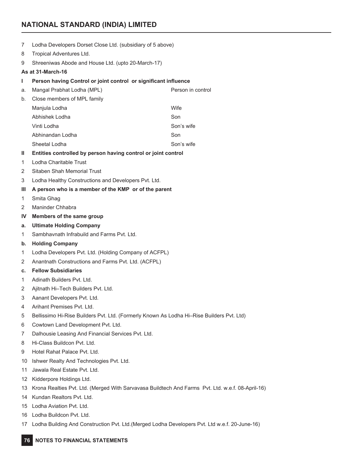# **NATIONAL STANDARD (INDIA) LIMITED**

- Lodha Developers Dorset Close Ltd. (subsidiary of 5 above)
- Tropical Adventures Ltd.
- Shreeniwas Abode and House Ltd. (upto 20-March-17)

#### **As at 31-March-16**

### **I Person having Control or joint control or significant influence**

| a. | Person in control<br>Mangal Prabhat Lodha (MPL) |            |  |
|----|-------------------------------------------------|------------|--|
| b. | Close members of MPL family                     |            |  |
|    | Manjula Lodha                                   | Wife       |  |
|    | Abhishek Lodha                                  | Son        |  |
|    | Vinti Lodha                                     | Son's wife |  |
|    | Abhinandan Lodha                                | Son        |  |
|    | Sheetal Lodha                                   | Son's wife |  |
|    |                                                 |            |  |

#### **II Entities controlled by person having control or joint control**

- Lodha Charitable Trust
- Sitaben Shah Memorial Trust
- Lodha Healthy Constructions and Developers Pvt. Ltd.

# **III A person who is a member of the KMP or of the parent**

- Smita Ghag
- Maninder Chhabra
- **IV Members of the same group**
- **a. Ultimate Holding Company**
- Sambhavnath Infrabuild and Farms Pvt. Ltd.
- **b. Holding Company**
- Lodha Developers Pvt. Ltd. (Holding Company of ACFPL)
- Anantnath Constructions and Farms Pvt. Ltd. (ACFPL)
- **c. Fellow Subsidiaries**
- Adinath Builders Pvt. Ltd.
- Ajitnath Hi–Tech Builders Pvt. Ltd.
- Aanant Developers Pvt. Ltd.
- Arihant Premises Pvt. Ltd.
- Bellissimo Hi-Rise Builders Pvt. Ltd. (Formerly Known As Lodha Hi–Rise Builders Pvt. Ltd)
- Cowtown Land Development Pvt. Ltd.
- Dalhousie Leasing And Financial Services Pvt. Ltd.
- Hi-Class Buildcon Pvt. Ltd.
- Hotel Rahat Palace Pvt. Ltd.
- Ishwer Realty And Technologies Pvt. Ltd.
- Jawala Real Estate Pvt. Ltd.
- Kidderpore Holdings Ltd.
- Krona Realties Pvt. Ltd. (Merged With Sarvavasa Buildtech And Farms Pvt. Ltd. w.e.f. 08-April-16)
- Kundan Realtors Pvt. Ltd.
- Lodha Aviation Pvt. Ltd.
- Lodha Buildcon Pvt. Ltd.
- Lodha Building And Construction Pvt. Ltd.(Merged Lodha Developers Pvt. Ltd w.e.f. 20-June-16)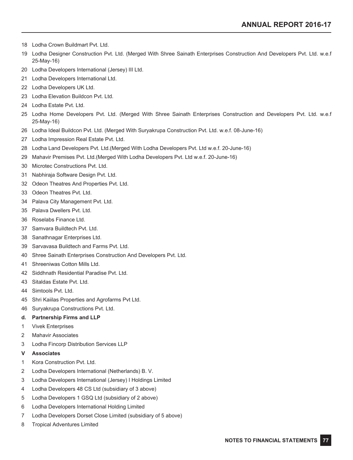- Lodha Crown Buildmart Pvt. Ltd.
- Lodha Designer Construction Pvt. Ltd. (Merged With Shree Sainath Enterprises Construction And Developers Pvt. Ltd. w.e.f 25-May-16)
- Lodha Developers International (Jersey) III Ltd.
- Lodha Developers International Ltd.
- Lodha Developers UK Ltd.
- Lodha Elevation Buildcon Pvt. Ltd.
- Lodha Estate Pvt. Ltd.
- Lodha Home Developers Pvt. Ltd. (Merged With Shree Sainath Enterprises Construction and Developers Pvt. Ltd. w.e.f 25-May-16)
- Lodha Ideal Buildcon Pvt. Ltd. (Merged With Suryakrupa Construction Pvt. Ltd. w.e.f. 08-June-16)
- Lodha Impression Real Estate Pvt. Ltd.
- Lodha Land Developers Pvt. Ltd.(Merged With Lodha Developers Pvt. Ltd w.e.f. 20-June-16)
- Mahavir Premises Pvt. Ltd.(Merged With Lodha Developers Pvt. Ltd w.e.f. 20-June-16)
- Microtec Constructions Pvt. Ltd.
- Nabhiraja Software Design Pvt. Ltd.
- Odeon Theatres And Properties Pvt. Ltd.
- Odeon Theatres Pvt. Ltd.
- Palava City Management Pvt. Ltd.
- Palava Dwellers Pvt. Ltd.
- Roselabs Finance Ltd.
- Samvara Buildtech Pvt. Ltd.
- Sanathnagar Enterprises Ltd.
- Sarvavasa Buildtech and Farms Pvt. Ltd.
- Shree Sainath Enterprises Construction And Developers Pvt. Ltd.
- Shreeniwas Cotton Mills Ltd.
- Siddhnath Residential Paradise Pvt. Ltd.
- Sitaldas Estate Pvt. Ltd.
- Simtools Pvt. Ltd.
- Shri Kaiilas Properties and Agrofarms Pvt Ltd.
- Suryakrupa Constructions Pvt. Ltd.

# **d. Partnership Firms and LLP**

- Vivek Enterprises
- Mahavir Associates
- Lodha Fincorp Distribution Services LLP

#### **V Associates**

- Kora Construction Pvt. Ltd.
- Lodha Developers International (Netherlands) B. V.
- Lodha Developers International (Jersey) I Holdings Limited
- Lodha Developers 48 CS Ltd (subsidiary of 3 above)
- Lodha Developers 1 GSQ Ltd (subsidiary of 2 above)
- Lodha Developers International Holding Limited
- Lodha Developers Dorset Close Limited (subsidiary of 5 above)
- Tropical Adventures Limited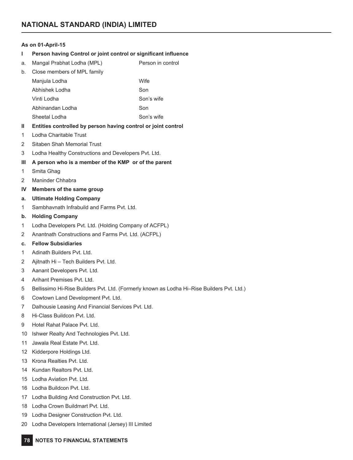# **As on 01-April-15**

- **I Person having Control or joint control or significant influence**
- a. Mangal Prabhat Lodha (MPL) Person in control

| Close members of MPL family<br>b. |                  |            |  |  |  |
|-----------------------------------|------------------|------------|--|--|--|
|                                   | Manjula Lodha    | Wife       |  |  |  |
|                                   | Abhishek Lodha   | Son        |  |  |  |
|                                   | Vinti Lodha      | Son's wife |  |  |  |
|                                   | Abhinandan Lodha | Son        |  |  |  |
|                                   | Sheetal Lodha    | Son's wife |  |  |  |

# **II Entities controlled by person having control or joint control**

- Lodha Charitable Trust
- Sitaben Shah Memorial Trust
- Lodha Healthy Constructions and Developers Pvt. Ltd.
- **III A person who is a member of the KMP or of the parent**
- Smita Ghag
- Maninder Chhabra
- **IV Members of the same group**
- **a. Ultimate Holding Company**
- Sambhavnath Infrabuild and Farms Pvt. Ltd.
- **b. Holding Company**
- Lodha Developers Pvt. Ltd. (Holding Company of ACFPL)
- Anantnath Constructions and Farms Pvt. Ltd. (ACFPL)
- **c. Fellow Subsidiaries**
- Adinath Builders Pvt. Ltd.
- Ajitnath Hi Tech Builders Pvt. Ltd.
- Aanant Developers Pvt. Ltd.
- Arihant Premises Pvt. Ltd.
- Bellissimo Hi-Rise Builders Pvt. Ltd. (Formerly known as Lodha Hi–Rise Builders Pvt. Ltd.)
- Cowtown Land Development Pvt. Ltd.
- Dalhousie Leasing And Financial Services Pvt. Ltd.
- Hi-Class Buildcon Pvt. Ltd.
- Hotel Rahat Palace Pvt. Ltd.
- Ishwer Realty And Technologies Pvt. Ltd.
- Jawala Real Estate Pvt. Ltd.
- Kidderpore Holdings Ltd.
- Krona Realties Pvt. Ltd.
- Kundan Realtors Pvt. Ltd.
- Lodha Aviation Pvt. Ltd.
- Lodha Buildcon Pvt. Ltd.
- Lodha Building And Construction Pvt. Ltd.
- Lodha Crown Buildmart Pvt. Ltd.
- Lodha Designer Construction Pvt. Ltd.
- Lodha Developers International (Jersey) III Limited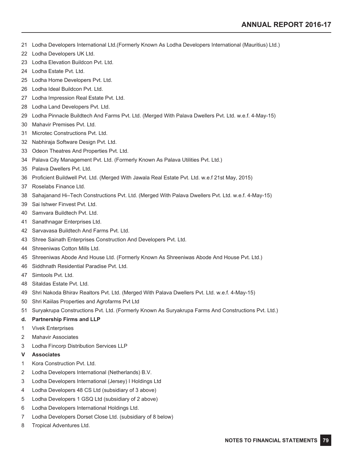- Lodha Developers International Ltd.(Formerly Known As Lodha Developers International (Mauritius) Ltd.)
- Lodha Developers UK Ltd.
- Lodha Elevation Buildcon Pvt. Ltd.
- Lodha Estate Pvt. Ltd.
- Lodha Home Developers Pvt. Ltd.
- Lodha Ideal Buildcon Pvt. Ltd.
- Lodha Impression Real Estate Pvt. Ltd.
- Lodha Land Developers Pvt. Ltd.
- Lodha Pinnacle Buildtech And Farms Pvt. Ltd. (Merged With Palava Dwellers Pvt. Ltd. w.e.f. 4-May-15)
- Mahavir Premises Pvt. Ltd.
- Microtec Constructions Pvt. Ltd.
- Nabhiraja Software Design Pvt. Ltd.
- Odeon Theatres And Properties Pvt. Ltd.
- Palava City Management Pvt. Ltd. (Formerly Known As Palava Utilities Pvt. Ltd.)
- Palava Dwellers Pvt. Ltd.
- Proficient Buildwell Pvt. Ltd. (Merged With Jawala Real Estate Pvt. Ltd. w.e.f 21st May, 2015)
- Roselabs Finance Ltd.
- Sahajanand Hi–Tech Constructions Pvt. Ltd. (Merged With Palava Dwellers Pvt. Ltd. w.e.f. 4-May-15)
- Sai Ishwer Finvest Pvt. Ltd.
- Samvara Buildtech Pvt. Ltd.
- Sanathnagar Enterprises Ltd.
- Sarvavasa Buildtech And Farms Pvt. Ltd.
- Shree Sainath Enterprises Construction And Developers Pvt. Ltd.
- Shreeniwas Cotton Mills Ltd.
- Shreeniwas Abode And House Ltd. (Formerly Known As Shreeniwas Abode And House Pvt. Ltd.)
- 46 Siddhnath Residential Paradise Pvt. I td.
- Simtools Pvt. Ltd.
- Sitaldas Estate Pvt. Ltd.
- Shri Nakoda Bhirav Realtors Pvt. Ltd. (Merged With Palava Dwellers Pvt. Ltd. w.e.f. 4-May-15)
- Shri Kaiilas Properties and Agrofarms Pvt Ltd
- Suryakrupa Constructions Pvt. Ltd. (Formerly Known As Suryakrupa Farms And Constructions Pvt. Ltd.)
- **d. Partnership Firms and LLP**
- Vivek Enterprises
- Mahavir Associates
- Lodha Fincorp Distribution Services LLP
- **V Associates**
- Kora Construction Pvt. Ltd.
- Lodha Developers International (Netherlands) B.V.
- Lodha Developers International (Jersey) I Holdings Ltd
- Lodha Developers 48 CS Ltd (subsidiary of 3 above)
- Lodha Developers 1 GSQ Ltd (subsidiary of 2 above)
- Lodha Developers International Holdings Ltd.
- Lodha Developers Dorset Close Ltd. (subsidiary of 8 below)
- Tropical Adventures Ltd.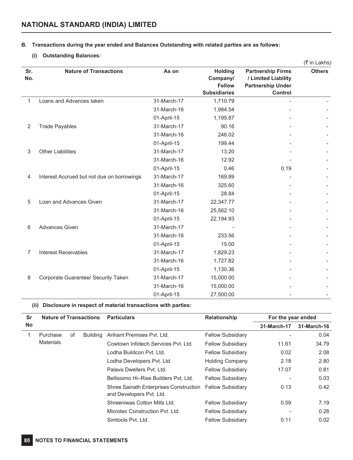# **B. Transactions during the year ended and Balances Outstanding with related parties are as follows:**

# **(i) Outstanding Balances:**

l,

l,

|              |                                            |             |                                                                    |                                                                                        | (₹ in Lakhs)  |
|--------------|--------------------------------------------|-------------|--------------------------------------------------------------------|----------------------------------------------------------------------------------------|---------------|
| Sr.<br>No.   | <b>Nature of Transactions</b>              | As on       | <b>Holding</b><br>Company/<br><b>Fellow</b><br><b>Subsidiaries</b> | <b>Partnership Firms</b><br>/ Limited Liability<br><b>Partnership Under</b><br>Control | <b>Others</b> |
| $\mathbf{1}$ | Loans and Advances taken                   | 31-March-17 | 1,710.79                                                           |                                                                                        |               |
|              |                                            | 31-March-16 | 1,984.54                                                           |                                                                                        |               |
|              |                                            | 01-April-15 | 1,195.87                                                           |                                                                                        |               |
| 2            | <b>Trade Payables</b>                      | 31-March-17 | 90.16                                                              |                                                                                        |               |
|              |                                            | 31-March-16 | 246.02                                                             |                                                                                        |               |
|              |                                            | 01-April-15 | 199.44                                                             |                                                                                        |               |
| 3            | <b>Other Liabilities</b>                   | 31-March-17 | 13.20                                                              |                                                                                        |               |
|              |                                            | 31-March-16 | 12.92                                                              |                                                                                        |               |
|              |                                            | 01-April-15 | 0.46                                                               | 0.19                                                                                   |               |
| 4            | Interest Accrued but not due on borrowings | 31-March-17 | 169.89                                                             |                                                                                        |               |
|              |                                            | 31-March-16 | 325.60                                                             |                                                                                        |               |
|              |                                            | 01-April-15 | 28.84                                                              |                                                                                        |               |
| 5            | Loan and Advances Given                    | 31-March-17 | 22,347.77                                                          |                                                                                        |               |
|              |                                            | 31-March-16 | 25,562.10                                                          |                                                                                        |               |
|              |                                            | 01-April-15 | 22,194.93                                                          |                                                                                        |               |
| 6            | <b>Advances Given</b>                      | 31-March-17 |                                                                    |                                                                                        |               |
|              |                                            | 31-March-16 | 233.56                                                             |                                                                                        |               |
|              |                                            | 01-April-15 | 15.00                                                              |                                                                                        |               |
| 7            | <b>Interest Receivables</b>                | 31-March-17 | 1,829.23                                                           |                                                                                        |               |
|              |                                            | 31-March-16 | 1,727.82                                                           |                                                                                        |               |
|              |                                            | 01-April-15 | 1,130.36                                                           |                                                                                        |               |
| 8            | Corporate Guarantee/ Security Taken        | 31-March-17 | 15,000.00                                                          |                                                                                        |               |
|              |                                            | 31-March-16 | 15,000.00                                                          |                                                                                        |               |
|              |                                            | 01-April-15 | 27,500.00                                                          |                                                                                        |               |

**(ii) Disclosure in respect of material transactions with parties:**

| Sr  | <b>Nature of Transactions</b> |    |                 | <b>Particulars</b>                                                 | Relationship             | For the year ended |             |
|-----|-------------------------------|----|-----------------|--------------------------------------------------------------------|--------------------------|--------------------|-------------|
| No. |                               |    |                 |                                                                    |                          | 31-March-17        | 31-March-16 |
|     | Purchase                      | οf | <b>Building</b> | Arihant Premises Pvt. Ltd.                                         | <b>Fellow Subsidiary</b> |                    | 0.04        |
|     | <b>Materials</b>              |    |                 | Cowtown Infotech Services Pyt. Ltd.                                | <b>Fellow Subsidiary</b> | 11.61              | 34.79       |
|     |                               |    |                 | Lodha Buildcon Pvt. Ltd.                                           | <b>Fellow Subsidiary</b> | 0.02               | 2.08        |
|     |                               |    |                 | Lodha Developers Pvt. Ltd.                                         | <b>Holding Company</b>   | 2.18               | 2.80        |
|     |                               |    |                 | Palava Dwellers Pvt. Ltd.                                          | <b>Fellow Subsidiary</b> | 17.07              | 0.81        |
|     |                               |    |                 | Bellissimo Hi-Rise Builders Pyt. Ltd.                              | <b>Fellow Subsidiary</b> |                    | 0.03        |
|     |                               |    |                 | Shree Sainath Enterprises Construction<br>and Developers Pvt. Ltd. | <b>Fellow Subsidiary</b> | 0.13               | 0.42        |
|     |                               |    |                 | Shreeniwas Cotton Mills Ltd.                                       | <b>Fellow Subsidiary</b> | 0.59               | 7.19        |
|     |                               |    |                 | Microtec Construction Pyt. Ltd.                                    | <b>Fellow Subsidiary</b> |                    | 0.28        |
|     |                               |    |                 | Simtools Pyt. Ltd.                                                 | <b>Fellow Subsidiary</b> | 0.11               | 0.02        |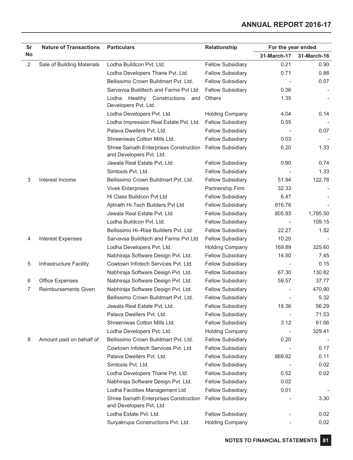| Sr             | <b>Nature of Transactions</b> | <b>Particulars</b>                                                 | Relationship             | For the year ended |             |
|----------------|-------------------------------|--------------------------------------------------------------------|--------------------------|--------------------|-------------|
| <b>No</b>      |                               |                                                                    |                          | 31-March-17        | 31-March-16 |
| $\overline{2}$ | Sale of Building Materials    | Lodha Buildcon Pvt. Ltd.                                           | <b>Fellow Subsidiary</b> | 0.21               | 0.90        |
|                |                               | Lodha Developers Thane Pvt. Ltd.                                   | <b>Fellow Subsidiary</b> | 0.71               | 0.88        |
|                |                               | Bellissimo Crown Buildmart Pvt. Ltd.                               | <b>Fellow Subsidiary</b> |                    | 0.07        |
|                |                               | Sarvavsa Buildtech and Farms Pvt Ltd                               | <b>Fellow Subsidiary</b> | 0.36               |             |
|                |                               | Healthy Constructions<br>Lodha<br>and<br>Developers Pvt. Ltd.      | <b>Others</b>            | 1.35               |             |
|                |                               | Lodha Developers Pvt. Ltd.                                         | <b>Holding Company</b>   | 4.04               | 0.14        |
|                |                               | Lodha Impression Real Estate Pvt. Ltd.                             | <b>Fellow Subsidiary</b> | 0.55               |             |
|                |                               | Palava Dwellers Pvt. Ltd.                                          | <b>Fellow Subsidiary</b> |                    | 0.07        |
|                |                               | Shreeniwas Cotton Mills Ltd.                                       | <b>Fellow Subsidiary</b> | 0.03               |             |
|                |                               | Shree Sainath Enterprises Construction<br>and Developers Pvt. Ltd. | <b>Fellow Subsidiary</b> | 6.20               | 1.33        |
|                |                               | Jawala Real Estate Pvt. Ltd.                                       | <b>Fellow Subsidiary</b> | 0.90               | 0.74        |
|                |                               | Simtools Pvt. Ltd.                                                 | <b>Fellow Subsidiary</b> |                    | 1.33        |
| 3              | Interest Income               | Bellissimo Crown Buildmart Pvt. Ltd.                               | <b>Fellow Subsidiary</b> | 51.94              | 122.78      |
|                |                               | <b>Vivek Enterprises</b>                                           | Partnership Firm         | 32.33              |             |
|                |                               | Hi Class Buildcon Pvt Ltd                                          | <b>Fellow Subsidiary</b> | 6.47               |             |
|                |                               | Ajitnath Hi-Tech Builders Pvt Ltd                                  | <b>Fellow Subsidiary</b> | 916.76             |             |
|                |                               | Jawala Real Estate Pyt. Ltd.                                       | Fellow Subsidiary        | 805.93             | 1,795.50    |
|                |                               | Lodha Buildcon Pvt. Ltd.                                           | <b>Fellow Subsidiary</b> |                    | 109.15      |
|                |                               | Bellissimo Hi-Rise Builders Pvt. Ltd.                              | <b>Fellow Subsidiary</b> | 22.27              | 1.52        |
| 4              | <b>Interest Expenses</b>      | Sarvavsa Buildtech and Farms Pvt Ltd                               | <b>Fellow Subsidiary</b> | 10.20              |             |
|                |                               | Lodha Developers Pvt. Ltd.                                         | <b>Holding Company</b>   | 169.89             | 325.60      |
|                |                               | Nabhiraja Software Design Pvt. Ltd.                                | <b>Fellow Subsidiary</b> | 14.50              | 7.45        |
| 5              | Infrastructure Facility       | Cowtown Infotech Services Pvt. Ltd.                                | <b>Fellow Subsidiary</b> |                    | 0.15        |
|                |                               | Nabhiraja Software Design Pvt. Ltd.                                | <b>Fellow Subsidiary</b> | 67.30              | 130.82      |
| 6              | <b>Office Expenses</b>        | Nabhiraja Software Design Pvt. Ltd.                                | <b>Fellow Subsidiary</b> | 59.57              | 37.77       |
| 7              | <b>Reimbursements Given</b>   | Nabhiraja Software Design Pvt. Ltd.                                | <b>Fellow Subsidiary</b> |                    | 470.90      |
|                |                               | Bellissimo Crown Buildmart Pvt. Ltd.                               | <b>Fellow Subsidiary</b> |                    | 5.32        |
|                |                               | Jawala Real Estate Pvt. Ltd.                                       | <b>Fellow Subsidiary</b> | 18.36              | 56.29       |
|                |                               | Palava Dwellers Pvt. Ltd.                                          | <b>Fellow Subsidiary</b> |                    | 71.53       |
|                |                               | Shreeniwas Cotton Mills Ltd.                                       | <b>Fellow Subsidiary</b> | 3.12               | 61.66       |
|                |                               | Lodha Developers Pvt. Ltd.                                         | <b>Holding Company</b>   |                    | 329.41      |
| 8              | Amount paid on behalf of      | Bellissimo Crown Buildmart Pvt. Ltd.                               | <b>Fellow Subsidiary</b> | 0.20               |             |
|                |                               | Cowtown Infotech Services Pvt. Ltd.                                | <b>Fellow Subsidiary</b> |                    | 0.17        |
|                |                               | Palava Dwellers Pvt. Ltd.                                          | <b>Fellow Subsidiary</b> | 869.92             | 0.11        |
|                |                               | Simtools Pvt. Ltd.                                                 | <b>Fellow Subsidiary</b> |                    | 0.02        |
|                |                               | Lodha Developers Thane Pvt. Ltd.                                   | <b>Fellow Subsidiary</b> | 0.52               | 0.02        |
|                |                               | Nabhiraja Software Design Pvt. Ltd.                                | <b>Fellow Subsidiary</b> | 0.02               |             |
|                |                               | Lodha Facilities Management Ltd                                    | <b>Fellow Subsidiary</b> | 0.01               |             |
|                |                               | Shree Sainath Enterprises Construction<br>and Developers Pvt. Ltd. | <b>Fellow Subsidiary</b> |                    | 3.30        |
|                |                               | Lodha Estate Pvt. Ltd.                                             | <b>Fellow Subsidiary</b> |                    | 0.02        |
|                |                               | Suryakrupa Constructions Pvt. Ltd.                                 | <b>Holding Company</b>   |                    | 0.02        |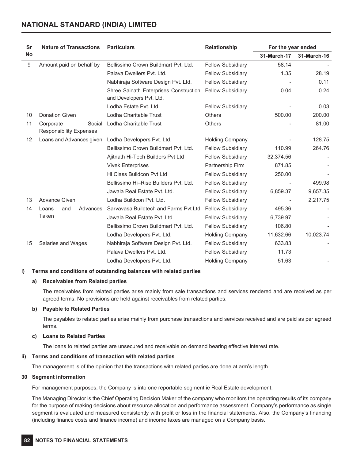# **NATIONAL STANDARD (INDIA) LIMITED**

| Sr        | <b>Nature of Transactions</b>                         | <b>Particulars</b>                                                 | <b>Relationship</b>      | For the year ended |             |
|-----------|-------------------------------------------------------|--------------------------------------------------------------------|--------------------------|--------------------|-------------|
| <b>No</b> |                                                       |                                                                    |                          | 31-March-17        | 31-March-16 |
| 9         | Amount paid on behalf by                              | Bellissimo Crown Buildmart Pvt. Ltd.                               | <b>Fellow Subsidiary</b> | 58.14              |             |
|           |                                                       | Palava Dwellers Pvt. Ltd.                                          | <b>Fellow Subsidiary</b> | 1.35               | 28.19       |
|           |                                                       | Nabhiraja Software Design Pvt. Ltd.                                | <b>Fellow Subsidiary</b> |                    | 0.11        |
|           |                                                       | Shree Sainath Enterprises Construction<br>and Developers Pvt. Ltd. | <b>Fellow Subsidiary</b> | 0.04               | 0.24        |
|           |                                                       | Lodha Estate Pyt. Ltd.                                             | <b>Fellow Subsidiary</b> |                    | 0.03        |
| 10        | <b>Donation Given</b>                                 | Lodha Charitable Trust                                             | <b>Others</b>            | 500.00             | 200.00      |
| 11        | Corporate<br>Social<br><b>Responsibility Expenses</b> | Lodha Charitable Trust                                             | <b>Others</b>            |                    | 81.00       |
| 12        | Loans and Advances given                              | Lodha Developers Pvt. Ltd.                                         | <b>Holding Company</b>   |                    | 128.75      |
|           |                                                       | Bellissimo Crown Buildmart Pvt. Ltd.                               | <b>Fellow Subsidiary</b> | 110.99             | 264.76      |
|           |                                                       | Ajitnath Hi-Tech Builders Pvt Ltd                                  | <b>Fellow Subsidiary</b> | 32,374.56          |             |
|           |                                                       | <b>Vivek Enterprises</b>                                           | Partnership Firm         | 871.85             |             |
|           |                                                       | Hi Class Buildcon Pvt Ltd                                          | <b>Fellow Subsidiary</b> | 250.00             |             |
|           |                                                       | Bellissimo Hi-Rise Builders Pyt. Ltd.                              | <b>Fellow Subsidiary</b> |                    | 499.98      |
|           |                                                       | Jawala Real Estate Pvt. Ltd.                                       | <b>Fellow Subsidiary</b> | 6,859.37           | 9,657.35    |
| 13        | <b>Advance Given</b>                                  | Lodha Buildcon Pvt. Ltd.                                           | <b>Fellow Subsidiary</b> |                    | 2,217.75    |
| 14        | Loans<br>and<br>Advances                              | Sarvayasa Buildtech and Farms Pyt Ltd                              | <b>Fellow Subsidiary</b> | 495.36             |             |
|           | Taken                                                 | Jawala Real Estate Pyt. Ltd.                                       | <b>Fellow Subsidiary</b> | 6,739.97           |             |
|           |                                                       | Bellissimo Crown Buildmart Pvt. Ltd.                               | <b>Fellow Subsidiary</b> | 106.80             |             |
|           |                                                       | Lodha Developers Pvt. Ltd.                                         | <b>Holding Company</b>   | 11,632.66          | 10,023.74   |
| 15        | Salaries and Wages                                    | Nabhiraja Software Design Pvt. Ltd.                                | <b>Fellow Subsidiary</b> | 633.83             |             |
|           |                                                       | Palava Dwellers Pvt. Ltd.                                          | <b>Fellow Subsidiary</b> | 11.73              |             |
|           |                                                       | Lodha Developers Pvt. Ltd.                                         | <b>Holding Company</b>   | 51.63              |             |

#### **i) Terms and conditions of outstanding balances with related parties**

#### **a) Receivables from Related parties**

The receivables from related parties arise mainly from sale transactions and services rendered and are received as per agreed terms. No provisions are held against receivables from related parties.

#### **b) Payable to Related Parties**

The payables to related parties arise mainly from purchase transactions and services received and are paid as per agreed terms.

## **c) Loans to Related Parties**

The loans to related parties are unsecured and receivable on demand bearing effective interest rate.

# **ii) Terms and conditions of transaction with related parties**

The management is of the opinion that the transactions with related parties are done at arm's length.

#### **30 Segment information**

For management purposes, the Company is into one reportable segment ie Real Estate development.

The Managing Director is the Chief Operating Decision Maker of the company who monitors the operating results of its company for the purpose of making decisions about resource allocation and performance assessment. Company's performance as single segment is evaluated and measured consistently with profit or loss in the financial statements. Also, the Company's financing (including finance costs and finance income) and income taxes are managed on a Company basis.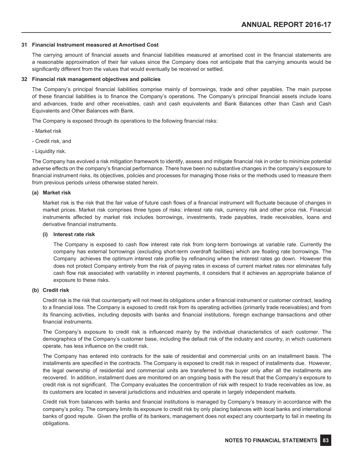#### **31 Financial Instrument measured at Amortised Cost**

The carrying amount of financial assets and financial liabilities measured at amortised cost in the financial statements are a reasonable approximation of their fair values since the Company does not anticipate that the carrying amounts would be significantly different from the values that would eventually be received or settled.

#### **32 Financial risk management objectives and policies**

The Company's principal financial liabilities comprise mainly of borrowings, trade and other payables. The main purpose of these financial liabilities is to finance the Company's operations. The Company's principal financial assets include loans and advances, trade and other receivables, cash and cash equivalents and Bank Balances other than Cash and Cash Equivalents and Other Balances with Bank.

The Company is exposed through its operations to the following financial risks:

- Market risk
- Credit risk, and
- Liquidity risk.

The Company has evolved a risk mitigation framework to identify, assess and mitigate financial risk in order to minimize potential adverse effects on the company's financial performance. There have been no substantive changes in the company's exposure to financial instrument risks, its objectives, policies and processes for managing those risks or the methods used to measure them from previous periods unless otherwise stated herein.

#### **(a) Market risk**

Market risk is the risk that the fair value of future cash flows of a financial instrument will fluctuate because of changes in market prices. Market risk comprises three types of risks: interest rate risk, currency risk and other price risk. Financial instruments affected by market risk includes borrowings, investments, trade payables, trade receivables, loans and derivative financial instruments.

#### **(i) Interest rate risk**

The Company is exposed to cash flow interest rate risk from long-term borrowings at variable rate. Currently the company has external borrowings (excluding short-term overdraft facilities) which are floating rate borrowings. The Company achieves the optimum interest rate profile by refinancing when the interest rates go down. However this does not protect Company entirely from the risk of paying rates in excess of current market rates nor eliminates fully cash flow risk associated with variability in interest payments, it considers that it achieves an appropriate balance of exposure to these risks.

#### **(b) Credit risk**

Credit risk is the risk that counterparty will not meet its obligations under a financial instrument or customer contract, leading to a financial loss. The Company is exposed to credit risk from its operating activities (primarily trade receivables) and from its financing activities, including deposits with banks and financial institutions, foreign exchange transactions and other financial instruments.

The Company's exposure to credit risk is influenced mainly by the individual characteristics of each customer. The demographics of the Company's customer base, including the default risk of the industry and country, in which customers operate, has less influence on the credit risk.

The Company has entered into contracts for the sale of residential and commercial units on an installment basis. The installments are specified in the contracts. The Company is exposed to credit risk in respect of installments due. However, the legal ownership of residential and commercial units are transferred to the buyer only after all the installments are recovered. In addition, installment dues are monitored on an ongoing basis with the result that the Company's exposure to credit risk is not significant. The Company evaluates the concentration of risk with respect to trade receivables as low, as its customers are located in several jurisdictions and industries and operate in largely independent markets.

Credit risk from balances with banks and financial institutions is managed by Company's treasury in accordance with the company's policy. The company limits its exposure to credit risk by only placing balances with local banks and international banks of good repute. Given the profile of its bankers, management does not expect any counterparty to fail in meeting its obligations.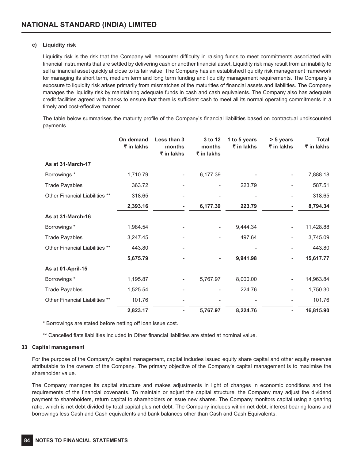# **c) Liquidity risk**

Liquidity risk is the risk that the Company will encounter difficulty in raising funds to meet commitments associated with financial instruments that are settled by delivering cash or another financial asset. Liquidity risk may result from an inability to sell a financial asset quickly at close to its fair value. The Company has an established liquidity risk management framework for managing its short term, medium term and long term funding and liquidity management requirements. The Company's exposure to liquidity risk arises primarily from mismatches of the maturities of financial assets and liabilities. The Company manages the liquidity risk by maintaining adequate funds in cash and cash equivalents. The Company also has adequate credit facilities agreed with banks to ensure that there is sufficient cash to meet all its normal operating commitments in a timely and cost-effective manner.

The table below summarises the maturity profile of the Company's financial liabilities based on contractual undiscounted payments.

|                                | On demand<br>₹ in lakhs | Less than 3<br>months<br>₹ in lakhs | 3 to 12<br>months<br>₹ in lakhs | 1 to 5 years<br>$\bar{z}$ in lakhs | > 5 years<br>$\bar{\tau}$ in lakhs | <b>Total</b><br>₹ in lakhs |
|--------------------------------|-------------------------|-------------------------------------|---------------------------------|------------------------------------|------------------------------------|----------------------------|
| As at 31-March-17              |                         |                                     |                                 |                                    |                                    |                            |
| Borrowings*                    | 1,710.79                |                                     | 6,177.39                        |                                    |                                    | 7,888.18                   |
| <b>Trade Payables</b>          | 363.72                  |                                     |                                 | 223.79                             |                                    | 587.51                     |
| Other Financial Liabilities ** | 318.65                  |                                     |                                 |                                    |                                    | 318.65                     |
|                                | 2,393.16                |                                     | 6,177.39                        | 223.79                             |                                    | 8,794.34                   |
| As at 31-March-16              |                         |                                     |                                 |                                    |                                    |                            |
| Borrowings*                    | 1,984.54                |                                     |                                 | 9,444.34                           |                                    | 11,428.88                  |
| <b>Trade Payables</b>          | 3,247.45                |                                     |                                 | 497.64                             |                                    | 3,745.09                   |
| Other Financial Liabilities ** | 443.80                  |                                     |                                 |                                    |                                    | 443.80                     |
|                                | 5,675.79                |                                     |                                 | 9,941.98                           |                                    | 15,617.77                  |
| As at 01-April-15              |                         |                                     |                                 |                                    |                                    |                            |
| Borrowings*                    | 1,195.87                |                                     | 5,767.97                        | 8,000.00                           |                                    | 14,963.84                  |
| <b>Trade Payables</b>          | 1,525.54                |                                     |                                 | 224.76                             |                                    | 1,750.30                   |
| Other Financial Liabilities ** | 101.76                  |                                     |                                 |                                    |                                    | 101.76                     |
|                                | 2,823.17                |                                     | 5,767.97                        | 8,224.76                           |                                    | 16,815.90                  |

\* Borrowings are stated before netting off loan issue cost.

\*\* Cancelled flats liabilities included in Other financial liabilities are stated at nominal value.

#### **33 Capital management**

For the purpose of the Company's capital management, capital includes issued equity share capital and other equity reserves attributable to the owners of the Company. The primary objective of the Company's capital management is to maximise the shareholder value.

The Company manages its capital structure and makes adjustments in light of changes in economic conditions and the requirements of the financial covenants. To maintain or adjust the capital structure, the Company may adjust the dividend payment to shareholders, return capital to shareholders or issue new shares. The Company monitors capital using a gearing ratio, which is net debt divided by total capital plus net debt. The Company includes within net debt, interest bearing loans and borrowings less Cash and Cash equivalents and bank balances other than Cash and Cash Equivalents.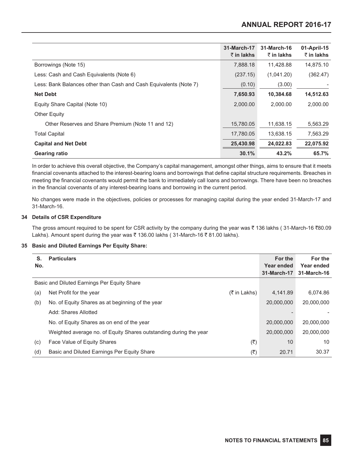|                                                                   | 31-March-17<br>$\bar{\tau}$ in lakhs | 31-March-16<br>₹ in lakhs | 01-April-15<br>$\bar{\tau}$ in lakhs |
|-------------------------------------------------------------------|--------------------------------------|---------------------------|--------------------------------------|
| Borrowings (Note 15)                                              | 7,888.18                             | 11,428.88                 | 14,875.10                            |
| Less: Cash and Cash Equivalents (Note 6)                          | (237.15)                             | (1,041.20)                | (362.47)                             |
| Less: Bank Balances other than Cash and Cash Equivalents (Note 7) | (0.10)                               | (3.00)                    |                                      |
| <b>Net Debt</b>                                                   | 7,650.93                             | 10,384.68                 | 14,512.63                            |
| Equity Share Capital (Note 10)                                    | 2,000.00                             | 2,000.00                  | 2,000.00                             |
| <b>Other Equity</b>                                               |                                      |                           |                                      |
| Other Reserves and Share Premium (Note 11 and 12)                 | 15,780.05                            | 11,638.15                 | 5,563.29                             |
| <b>Total Capital</b>                                              | 17,780.05                            | 13,638.15                 | 7,563.29                             |
| <b>Capital and Net Debt</b>                                       | 25,430.98                            | 24,022.83                 | 22,075.92                            |
| <b>Gearing ratio</b>                                              | 30.1%                                | 43.2%                     | 65.7%                                |

In order to achieve this overall objective, the Company's capital management, amongst other things, aims to ensure that it meets financial covenants attached to the interest-bearing loans and borrowings that define capital structure requirements. Breaches in meeting the financial covenants would permit the bank to immediately call loans and borrowings. There have been no breaches in the financial covenants of any interest-bearing loans and borrowing in the current period.

No changes were made in the objectives, policies or processes for managing capital during the year ended 31-March-17 and 31-March-16.

# **34 Details of CSR Expenditure**

The gross amount required to be spent for CSR activity by the company during the year was  $\bar{\tau}$  136 lakhs (31-March-16  $\bar{\tau}$ 80.09 Lakhs). Amount spent during the year was  $\bar{\tau}$  136.00 lakhs (31-March-16  $\bar{\tau}$  81.00 lakhs).

# **35 Basic and Diluted Earnings Per Equity Share:**

| S.<br>No. | <b>Particulars</b>                                                |                          | For the<br>Year ended<br>31-March-17 | For the<br>Year ended<br>31-March-16 |
|-----------|-------------------------------------------------------------------|--------------------------|--------------------------------------|--------------------------------------|
|           | Basic and Diluted Earnings Per Equity Share                       |                          |                                      |                                      |
| (a)       | Net Profit for the year                                           | $(5 \in \mathsf{Lakhs})$ | 4.141.89                             | 6,074.86                             |
| (b)       | No. of Equity Shares as at beginning of the year                  |                          | 20,000,000                           | 20,000,000                           |
|           | Add: Shares Allotted                                              |                          |                                      |                                      |
|           | No. of Equity Shares as on end of the year                        |                          | 20,000,000                           | 20,000,000                           |
|           | Weighted average no. of Equity Shares outstanding during the year |                          | 20,000,000                           | 20,000,000                           |
| (c)       | Face Value of Equity Shares                                       | (₹)                      | 10                                   | 10                                   |
| (d)       | Basic and Diluted Earnings Per Equity Share                       | (₹)                      | 20.71                                | 30.37                                |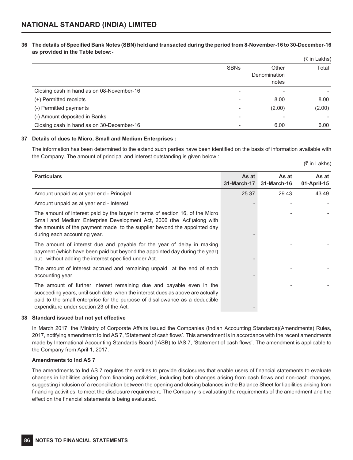### **36 The details of Specified Bank Notes (SBN) held and transacted during the period from 8-November-16 to 30-December-16 as provided in the Table below:-**

|                                           |             |              | $($ ₹ in Lakhs) |
|-------------------------------------------|-------------|--------------|-----------------|
|                                           | <b>SBNs</b> | Other        | Total           |
|                                           |             | Denomination |                 |
|                                           |             | notes        |                 |
| Closing cash in hand as on 08-November-16 |             |              |                 |
| (+) Permitted receipts                    |             | 8.00         | 8.00            |
| (-) Permitted payments                    |             | (2.00)       | (2.00)          |
| (-) Amount deposited in Banks             |             |              |                 |
| Closing cash in hand as on 30-December-16 |             | 6.00         | 6.00            |

#### **37 Details of dues to Micro, Small and Medium Enterprises :**

The information has been determined to the extend such parties have been identified on the basis of information available with the Company. The amount of principal and interest outstanding is given below :

|  | (₹ in Lakhs) |
|--|--------------|
|  |              |
|  |              |
|  |              |

| <b>Particulars</b>                                                                                                                                                                                                                                                                 | As at       | As at       | As at       |
|------------------------------------------------------------------------------------------------------------------------------------------------------------------------------------------------------------------------------------------------------------------------------------|-------------|-------------|-------------|
|                                                                                                                                                                                                                                                                                    | 31-March-17 | 31-March-16 | 01-April-15 |
| Amount unpaid as at year end - Principal                                                                                                                                                                                                                                           | 25.37       | 29.43       | 43.49       |
| Amount unpaid as at year end - Interest                                                                                                                                                                                                                                            |             |             |             |
| The amount of interest paid by the buyer in terms of section 16, of the Micro<br>Small and Medium Enterprise Development Act, 2006 (the 'Act') along with<br>the amounts of the payment made to the supplier beyond the appointed day<br>during each accounting year.              |             |             |             |
| The amount of interest due and payable for the year of delay in making<br>payment (which have been paid but beyond the appointed day during the year)<br>but without adding the interest specified under Act.                                                                      |             |             |             |
| The amount of interest accrued and remaining unpaid at the end of each<br>accounting year.                                                                                                                                                                                         |             |             |             |
| The amount of further interest remaining due and payable even in the<br>succeeding years, until such date when the interest dues as above are actually<br>paid to the small enterprise for the purpose of disallowance as a deductible<br>expenditure under section 23 of the Act. |             |             |             |

#### **38 Standard issued but not yet effective**

In March 2017, the Ministry of Corporate Affairs issued the Companies (Indian Accounting Standards)(Amendments) Rules, 2017, notifying amendment to Ind AS 7, 'Statement of cash flows'. This amendment is in accordance with the recent amendments made by International Accounting Standards Board (IASB) to IAS 7, 'Statement of cash flows'. The amendment is applicable to the Company from April 1, 2017.

#### **Amendments to Ind AS 7**

The amendments to Ind AS 7 requires the entities to provide disclosures that enable users of financial statements to evaluate changes in liabilities arising from financing activities, including both changes arising from cash flows and non-cash changes, suggesting inclusion of a reconciliation between the opening and closing balances in the Balance Sheet for liabilities arising from financing activities, to meet the disclosure requirement. The Company is evaluating the requirements of the amendment and the effect on the financial statements is being evaluated.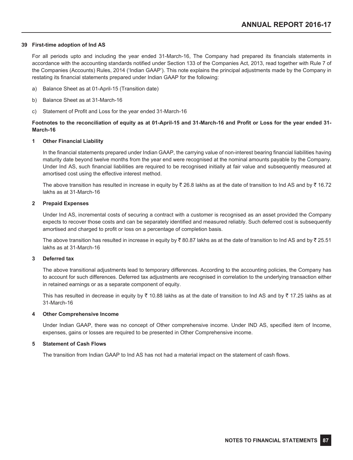#### **39 First-time adoption of Ind AS**

For all periods upto and including the year ended 31-March-16, The Company had prepared its financials statements in accordance with the accounting standards notified under Section 133 of the Companies Act, 2013, read together with Rule 7 of the Companies (Accounts) Rules, 2014 ('Indian GAAP'). This note explains the principal adjustments made by the Company in restating its financial statements prepared under Indian GAAP for the following:

- a) Balance Sheet as at 01-April-15 (Transition date)
- b) Balance Sheet as at 31-March-16
- c) Statement of Profit and Loss for the year ended 31-March-16

# **Footnotes to the reconciliation of equity as at 01-April-15 and 31-March-16 and Profit or Loss for the year ended 31- March-16**

#### **1 Other Financial Liability**

In the financial statements prepared under Indian GAAP, the carrying value of non-interest bearing financial liabilities having maturity date beyond twelve months from the year end were recognised at the nominal amounts payable by the Company. Under Ind AS, such financial liabilities are required to be recognised initially at fair value and subsequently measured at amortised cost using the effective interest method.

The above transition has resulted in increase in equity by  $\bar{\tau}$  26.8 lakhs as at the date of transition to Ind AS and by  $\bar{\tau}$  16.72 lakhs as at 31-March-16

#### **2 Prepaid Expenses**

Under Ind AS, incremental costs of securing a contract with a customer is recognised as an asset provided the Company expects to recover those costs and can be separately identified and measured reliably. Such deferred cost is subsequently amortised and charged to profit or loss on a percentage of completion basis.

The above transition has resulted in increase in equity by  $\bar{\tau}$  80.87 lakhs as at the date of transition to Ind AS and by  $\bar{\tau}$  25.51 lakhs as at 31-March-16

#### **3 Deferred tax**

The above transitional adjustments lead to temporary differences. According to the accounting policies, the Company has to account for such differences. Deferred tax adjustments are recognised in correlation to the underlying transaction either in retained earnings or as a separate component of equity.

This has resulted in decrease in equity by  $\bar{\zeta}$  10.88 lakhs as at the date of transition to Ind AS and by  $\bar{\zeta}$  17.25 lakhs as at 31-March-16

#### **4 Other Comprehensive Income**

Under Indian GAAP, there was no concept of Other comprehensive income. Under IND AS, specified item of Income, expenses, gains or losses are required to be presented in Other Comprehensive income.

#### **5 Statement of Cash Flows**

The transition from Indian GAAP to Ind AS has not had a material impact on the statement of cash flows.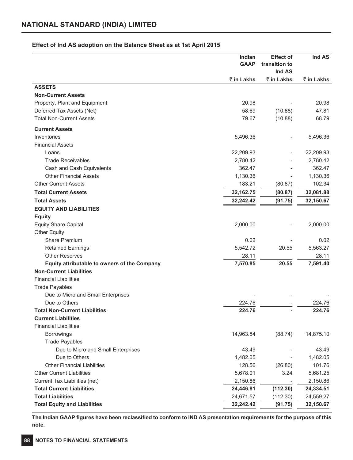# **Effect of Ind AS adoption on the Balance Sheet as at 1st April 2015**

|                                                     | Indian<br><b>GAAP</b> | <b>Effect of</b><br>transition to | Ind AS     |
|-----------------------------------------------------|-----------------------|-----------------------------------|------------|
|                                                     |                       | Ind AS                            |            |
|                                                     | ₹ in Lakhs            | ₹ in Lakhs                        | ₹ in Lakhs |
| <b>ASSETS</b>                                       |                       |                                   |            |
| <b>Non-Current Assets</b>                           |                       |                                   |            |
| Property, Plant and Equipment                       | 20.98                 |                                   | 20.98      |
| Deferred Tax Assets (Net)                           | 58.69                 | (10.88)                           | 47.81      |
| <b>Total Non-Current Assets</b>                     | 79.67                 | (10.88)                           | 68.79      |
| <b>Current Assets</b>                               |                       |                                   |            |
| Inventories                                         | 5,496.36              |                                   | 5,496.36   |
| <b>Financial Assets</b>                             |                       |                                   |            |
| Loans                                               | 22,209.93             |                                   | 22,209.93  |
| <b>Trade Receivables</b>                            | 2,780.42              |                                   | 2,780.42   |
| Cash and Cash Equivalents                           | 362.47                |                                   | 362.47     |
| <b>Other Financial Assets</b>                       | 1,130.36              |                                   | 1,130.36   |
| <b>Other Current Assets</b>                         | 183.21                | (80.87)                           | 102.34     |
| <b>Total Current Assets</b>                         | 32, 162. 75           | (80.87)                           | 32,081.88  |
| <b>Total Assets</b>                                 | 32,242.42             | (91.75)                           | 32,150.67  |
| <b>EQUITY AND LIABILITIES</b>                       |                       |                                   |            |
| <b>Equity</b>                                       |                       |                                   |            |
| <b>Equity Share Capital</b>                         | 2,000.00              |                                   | 2,000.00   |
| <b>Other Equity</b>                                 |                       |                                   |            |
| Share Premium                                       | 0.02                  |                                   | 0.02       |
| <b>Retained Earnings</b>                            | 5,542.72              | 20.55                             | 5,563.27   |
| <b>Other Reserves</b>                               | 28.11                 |                                   | 28.11      |
| <b>Equity attributable to owners of the Company</b> | 7,570.85              | 20.55                             | 7,591.40   |
| <b>Non-Current Liabilities</b>                      |                       |                                   |            |
| <b>Financial Liabilities</b>                        |                       |                                   |            |
| <b>Trade Payables</b>                               |                       |                                   |            |
| Due to Micro and Small Enterprises                  |                       |                                   |            |
| Due to Others                                       | 224.76                |                                   | 224.76     |
| <b>Total Non-Current Liabilities</b>                | 224.76                |                                   | 224.76     |
| <b>Current Liabilities</b>                          |                       |                                   |            |
| <b>Financial Liabilities</b>                        |                       |                                   |            |
| <b>Borrowings</b>                                   | 14,963.84             | (88.74)                           | 14,875.10  |
| <b>Trade Payables</b>                               |                       |                                   |            |
| Due to Micro and Small Enterprises                  | 43.49                 |                                   | 43.49      |
| Due to Others                                       | 1,482.05              |                                   | 1,482.05   |
| <b>Other Financial Liabilities</b>                  | 128.56                | (26.80)                           | 101.76     |
| <b>Other Current Liabilities</b>                    | 5,678.01              | 3.24                              | 5,681.25   |
| Current Tax Liabilities (net)                       | 2,150.86              |                                   | 2,150.86   |
| <b>Total Current Liabilities</b>                    | 24,446.81             | (112.30)                          | 24,334.51  |
| <b>Total Liabilities</b>                            | 24,671.57             | (112.30)                          | 24,559.27  |
| <b>Total Equity and Liabilities</b>                 | 32,242.42             | (91.75)                           | 32,150.67  |

**The Indian GAAP figures have been reclassified to conform to IND AS presentation requirements for the purpose of this note.**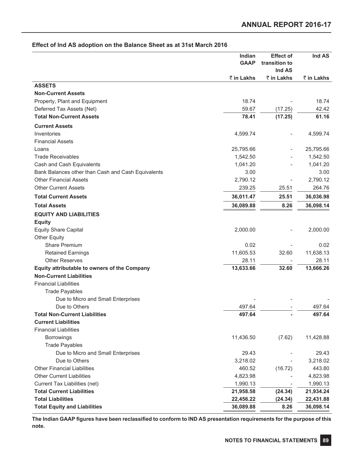|  |  | Effect of Ind AS adoption on the Balance Sheet as at 31st March 2016 |  |  |  |
|--|--|----------------------------------------------------------------------|--|--|--|
|--|--|----------------------------------------------------------------------|--|--|--|

|                                                    | Indian<br><b>GAAP</b> | <b>Effect of</b><br>transition to<br>Ind AS | Ind AS     |
|----------------------------------------------------|-----------------------|---------------------------------------------|------------|
|                                                    | ₹ in Lakhs            | ₹ in Lakhs                                  | ₹ in Lakhs |
| <b>ASSETS</b>                                      |                       |                                             |            |
| <b>Non-Current Assets</b>                          |                       |                                             |            |
| Property, Plant and Equipment                      | 18.74                 |                                             | 18.74      |
| Deferred Tax Assets (Net)                          | 59.67                 | (17.25)                                     | 42.42      |
| <b>Total Non-Current Assets</b>                    | 78.41                 | (17.25)                                     | 61.16      |
| <b>Current Assets</b>                              |                       |                                             |            |
| Inventories                                        | 4,599.74              |                                             | 4,599.74   |
| <b>Financial Assets</b>                            |                       |                                             |            |
| Loans                                              | 25,795.66             |                                             | 25,795.66  |
| <b>Trade Receivables</b>                           | 1,542.50              |                                             | 1,542.50   |
| Cash and Cash Equivalents                          | 1,041.20              |                                             | 1,041.20   |
| Bank Balances other than Cash and Cash Equivalents | 3.00                  |                                             | 3.00       |
| <b>Other Financial Assets</b>                      | 2,790.12              |                                             | 2,790.12   |
| <b>Other Current Assets</b>                        | 239.25                | 25.51                                       | 264.76     |
| <b>Total Current Assets</b>                        | 36,011.47             | 25.51                                       | 36,036.98  |
| <b>Total Assets</b>                                | 36,089.88             | 8.26                                        | 36,098.14  |
| <b>EQUITY AND LIABILITIES</b>                      |                       |                                             |            |
| <b>Equity</b>                                      |                       |                                             |            |
| <b>Equity Share Capital</b>                        | 2,000.00              |                                             | 2,000.00   |
| <b>Other Equity</b>                                |                       |                                             |            |
| <b>Share Premium</b>                               | 0.02                  |                                             | 0.02       |
| <b>Retained Earnings</b>                           | 11,605.53             | 32.60                                       | 11,638.13  |
| <b>Other Reserves</b>                              | 28.11                 |                                             | 28.11      |
| Equity attributable to owners of the Company       | 13,633.66             | 32.60                                       | 13,666.26  |
| <b>Non-Current Liabilities</b>                     |                       |                                             |            |
| <b>Financial Liabilities</b>                       |                       |                                             |            |
| <b>Trade Payables</b>                              |                       |                                             |            |
| Due to Micro and Small Enterprises                 |                       |                                             |            |
| Due to Others                                      | 497.64                |                                             | 497.64     |
| <b>Total Non-Current Liabilities</b>               | 497.64                |                                             | 497.64     |
| <b>Current Liabilities</b>                         |                       |                                             |            |
| <b>Financial Liabilities</b>                       |                       |                                             |            |
| <b>Borrowings</b>                                  | 11,436.50             | (7.62)                                      | 11,428.88  |
| <b>Trade Payables</b>                              |                       |                                             |            |
| Due to Micro and Small Enterprises                 | 29.43                 |                                             | 29.43      |
| Due to Others                                      | 3,218.02              |                                             | 3,218.02   |
| <b>Other Financial Liabilities</b>                 | 460.52                | (16.72)                                     | 443.80     |
| <b>Other Current Liabilities</b>                   | 4,823.98              |                                             | 4,823.98   |
| Current Tax Liabilities (net)                      | 1,990.13              |                                             | 1,990.13   |
| <b>Total Current Liabilities</b>                   | 21,958.58             | (24.34)                                     | 21,934.24  |
| <b>Total Liabilities</b>                           | 22,456.22             | (24.34)                                     | 22,431.88  |
| <b>Total Equity and Liabilities</b>                | 36,089.88             | 8.26                                        | 36,098.14  |

**The Indian GAAP figures have been reclassified to conform to IND AS presentation requirements for the purpose of this note.**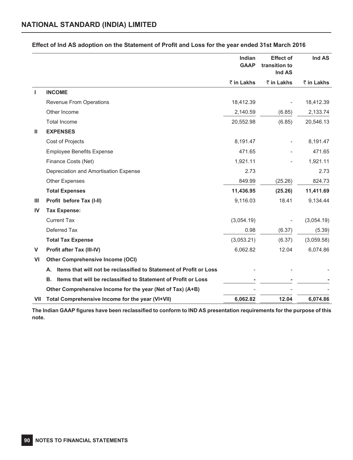|              |                                                                          | Indian<br><b>GAAP</b> | <b>Effect of</b><br>transition to<br>Ind AS | Ind AS     |
|--------------|--------------------------------------------------------------------------|-----------------------|---------------------------------------------|------------|
|              |                                                                          | ₹ in Lakhs            | ₹ in Lakhs                                  | ₹ in Lakhs |
| J.           | <b>INCOME</b>                                                            |                       |                                             |            |
|              | Revenue From Operations                                                  | 18,412.39             |                                             | 18,412.39  |
|              | Other Income                                                             | 2,140.59              | (6.85)                                      | 2,133.74   |
|              | <b>Total Income</b>                                                      | 20,552.98             | (6.85)                                      | 20,546.13  |
| Ш            | <b>EXPENSES</b>                                                          |                       |                                             |            |
|              | Cost of Projects                                                         | 8,191.47              |                                             | 8,191.47   |
|              | <b>Employee Benefits Expense</b>                                         | 471.65                |                                             | 471.65     |
|              | Finance Costs (Net)                                                      | 1,921.11              |                                             | 1,921.11   |
|              | Depreciation and Amortisation Expense                                    | 2.73                  |                                             | 2.73       |
|              | Other Expenses                                                           | 849.99                | (25.26)                                     | 824.73     |
|              | <b>Total Expenses</b>                                                    | 11,436.95             | (25.26)                                     | 11,411.69  |
| $\mathbf{m}$ | Profit before Tax (I-II)                                                 | 9,116.03              | 18.41                                       | 9,134.44   |
| IV           | <b>Tax Expense:</b>                                                      |                       |                                             |            |
|              | <b>Current Tax</b>                                                       | (3,054.19)            |                                             | (3,054.19) |
|              | Deferred Tax                                                             | 0.98                  | (6.37)                                      | (5.39)     |
|              | <b>Total Tax Expense</b>                                                 | (3,053.21)            | (6.37)                                      | (3,059.58) |
| $\mathsf{V}$ | Profit after Tax (III-IV)                                                | 6,062.82              | 12.04                                       | 6,074.86   |
| VI           | <b>Other Comprehensive Income (OCI)</b>                                  |                       |                                             |            |
|              | Items that will not be reclassified to Statement of Profit or Loss<br>А. |                       |                                             |            |
|              | Items that will be reclassified to Statement of Profit or Loss<br>В.     |                       |                                             |            |
|              | Other Comprehensive Income for the year (Net of Tax) (A+B)               |                       |                                             |            |
| VII          | Total Comprehensive Income for the year (VI+VII)                         | 6,062.82              | 12.04                                       | 6,074.86   |

# **Effect of Ind AS adoption on the Statement of Profit and Loss for the year ended 31st March 2016**

**The Indian GAAP figures have been reclassified to conform to IND AS presentation requirements for the purpose of this note.**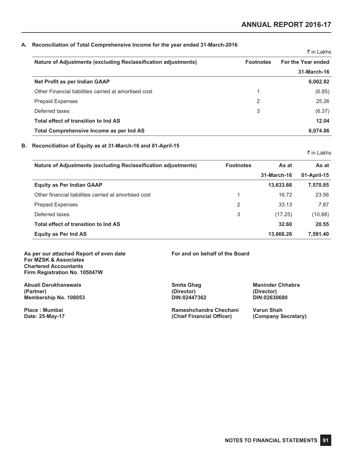## **A. Reconciliation of Total Comprehensive Income for the year ended 31-March-2016**

|                                                                |                  | k in Lakhs         |
|----------------------------------------------------------------|------------------|--------------------|
| Nature of Adjustments (excluding Reclassification adjustments) | <b>Footnotes</b> | For the Year ended |
|                                                                |                  | 31-March-16        |
| Net Profit as per Indian GAAP                                  |                  | 6,062.82           |
| Other Financial liabilities carried at amortised cost          | 1                | (6.85)             |
| <b>Prepaid Expenses</b>                                        | $\overline{2}$   | 25.26              |
| Deferred taxes                                                 | 3                | (6.37)             |
| Total effect of transition to Ind AS                           |                  | 12.04              |
| Total Comprehensive Income as per Ind AS                       |                  | 6,074.86           |

# **B. Reconciliation of Equity as at 31-March-16 and 01-April-15**

₹ in Lakhs

 $\pm$  in Lakhs

| <b>Nature of Adjustments (excluding Reclassification adjustments)</b> | <b>Footnotes</b> | As at       | As at       |
|-----------------------------------------------------------------------|------------------|-------------|-------------|
|                                                                       |                  | 31-March-16 | 01-April-15 |
| <b>Equity as Per Indian GAAP</b>                                      |                  | 13,633.66   | 7,570.85    |
| Other financial liabilities carried at amortised cost                 |                  | 16.72       | 23.56       |
| <b>Prepaid Expenses</b>                                               | 2                | 33.13       | 7.87        |
| Deferred taxes                                                        | 3                | (17.25)     | (10.88)     |
| Total effect of transition to Ind AS                                  |                  | 32.60       | 20.55       |
| <b>Equity as Per Ind AS</b>                                           |                  | 13,666.26   | 7.591.40    |

**As per our attached Report of even date For and on behalf of the Board For MZSK & Associates Chartered Accountants Firm Registration No. 105047W**

**Abuali Darukhanawala Smita Ghag Maninder Chhabra (Partner) (Director) (Director) Membership No. 108053 DIN:02447362 DIN:02630680**

**Place : Mumbai Rameshchandra Chechani Varun Shah (Chief Financial Officer)**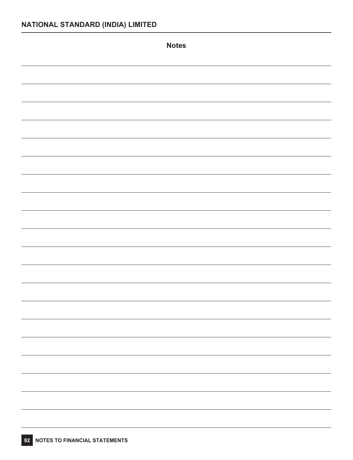| <b>Notes</b> |
|--------------|
|              |
|              |
|              |
|              |
|              |
|              |
|              |
|              |
|              |
|              |
|              |
|              |
|              |
|              |
|              |
|              |
|              |
|              |
| —            |
|              |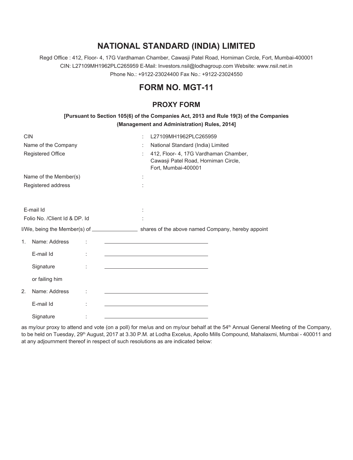# **NATIONAL STANDARD (INDIA) LIMITED**

Regd Office : 412, Floor- 4, 17G Vardhaman Chamber, Cawasji Patel Road, Horniman Circle, Fort, Mumbai-400001 CIN: L27109MH1962PLC265959 E-Mail: Investors.nsil@lodhagroup.com Website: www.nsil.net.in Phone No.: +9122-23024400 Fax No.: +9122-23024550

# **FORM NO. MGT-11**

# **PROXY FORM**

| [Pursuant to Section 105(6) of the Companies Act, 2013 and Rule 19(3) of the Companies |
|----------------------------------------------------------------------------------------|
| (Management and Administration) Rules, 2014]                                           |

| CIN |                                | L27109MH1962PLC265959                                                                                                                                                                                                                |
|-----|--------------------------------|--------------------------------------------------------------------------------------------------------------------------------------------------------------------------------------------------------------------------------------|
|     | Name of the Company            | National Standard (India) Limited                                                                                                                                                                                                    |
|     | Registered Office              | 412, Floor- 4, 17G Vardhaman Chamber,<br>Cawasji Patel Road, Horniman Circle,<br>Fort, Mumbai-400001                                                                                                                                 |
|     | Name of the Member(s)          |                                                                                                                                                                                                                                      |
|     | Registered address             |                                                                                                                                                                                                                                      |
|     |                                |                                                                                                                                                                                                                                      |
|     | E-mail Id                      |                                                                                                                                                                                                                                      |
|     | Folio No. / Client Id & DP. Id |                                                                                                                                                                                                                                      |
|     |                                |                                                                                                                                                                                                                                      |
| 1.  | Name: Address                  | <u>and the state of the state of the state of the state of the state of the state of the state of the state of the state of the state of the state of the state of the state of the state of the state of the state of the state</u> |
|     | E-mail Id                      | the control of the control of the control of the control of the control of                                                                                                                                                           |
|     | Signature                      | the control of the control of the control of the control of the control of                                                                                                                                                           |
|     | or failing him                 |                                                                                                                                                                                                                                      |
| 2.  | Name: Address                  | <u> 1989 - Johann Harry Harry Harry Harry Harry Harry Harry Harry Harry Harry Harry Harry Harry Harry Harry Harry</u>                                                                                                                |
|     | E-mail Id                      | the control of the control of the control of the control of the control of                                                                                                                                                           |
|     | Signature                      |                                                                                                                                                                                                                                      |

as my/our proxy to attend and vote (on a poll) for me/us and on my/our behalf at the 54<sup>th</sup> Annual General Meeting of the Company, to be held on Tuesday, 29<sup>th</sup> August, 2017 at 3.30 P.M. at Lodha Excelus, Apollo Mills Compound, Mahalaxmi, Mumbai - 400011 and at any adjournment thereof in respect of such resolutions as are indicated below: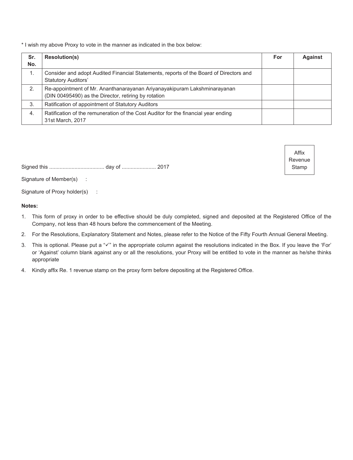\* I wish my above Proxy to vote in the manner as indicated in the box below:

| Sr.<br>No. | <b>Resolution(s)</b>                                                                                                             | For | <b>Against</b> |
|------------|----------------------------------------------------------------------------------------------------------------------------------|-----|----------------|
| 1.         | Consider and adopt Audited Financial Statements, reports of the Board of Directors and<br><b>Statutory Auditors'</b>             |     |                |
| 2.         | Re-appointment of Mr. Ananthanarayanan Ariyanayakipuram Lakshminarayanan<br>(DIN 00495490) as the Director, retiring by rotation |     |                |
| 3.         | Ratification of appointment of Statutory Auditors                                                                                |     |                |
| 4.         | Ratification of the remuneration of the Cost Auditor for the financial year ending<br>31st March, 2017                           |     |                |

Affix Revenue Stamp

Signed this ..................................... day of ....................... 2017

Signature of Member(s) :

Signature of Proxy holder(s) :

# **Notes:**

- 1. This form of proxy in order to be effective should be duly completed, signed and deposited at the Registered Office of the Company, not less than 48 hours before the commencement of the Meeting.
- 2. For the Resolutions, Explanatory Statement and Notes, please refer to the Notice of the Fifty Fourth Annual General Meeting.
- 3. This is optional. Please put a " $\checkmark$ " in the appropriate column against the resolutions indicated in the Box. If you leave the 'For' or 'Against' column blank against any or all the resolutions, your Proxy will be entitled to vote in the manner as he/she thinks appropriate
- 4. Kindly affix Re. 1 revenue stamp on the proxy form before depositing at the Registered Office.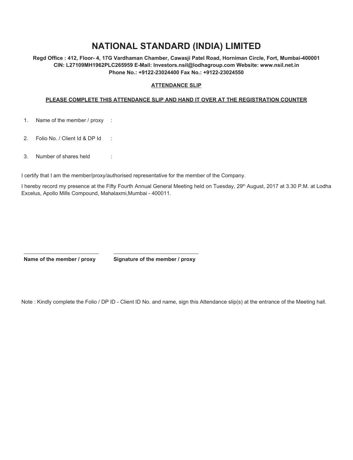# **NATIONAL STANDARD (INDIA) LIMITED**

**Regd Office : 412, Floor- 4, 17G Vardhaman Chamber, Cawasji Patel Road, Horniman Circle, Fort, Mumbai-400001 CIN: L27109MH1962PLC265959 E-Mail: Investors.nsil@lodhagroup.com Website: www.nsil.net.in Phone No.: +9122-23024400 Fax No.: +9122-23024550**

# **ATTENDANCE SLIP**

# **PLEASE COMPLETE THIS ATTENDANCE SLIP AND HAND IT OVER AT THE REGISTRATION COUNTER**

- 1. Name of the member / proxy :
- 2. Folio No. / Client Id & DP Id :
- 3. Number of shares held :

I certify that I am the member/proxy/authorised representative for the member of the Company.

I hereby record my presence at the Fifty Fourth Annual General Meeting held on Tuesday, 29<sup>th</sup> August, 2017 at 3.30 P.M. at Lodha Excelus, Apollo Mills Compound, Mahalaxmi,Mumbai - 400011.

**Name of the member / proxy Signature of the member / proxy**

Note : Kindly complete the Folio / DP ID - Client ID No. and name, sign this Attendance slip(s) at the entrance of the Meeting hall.